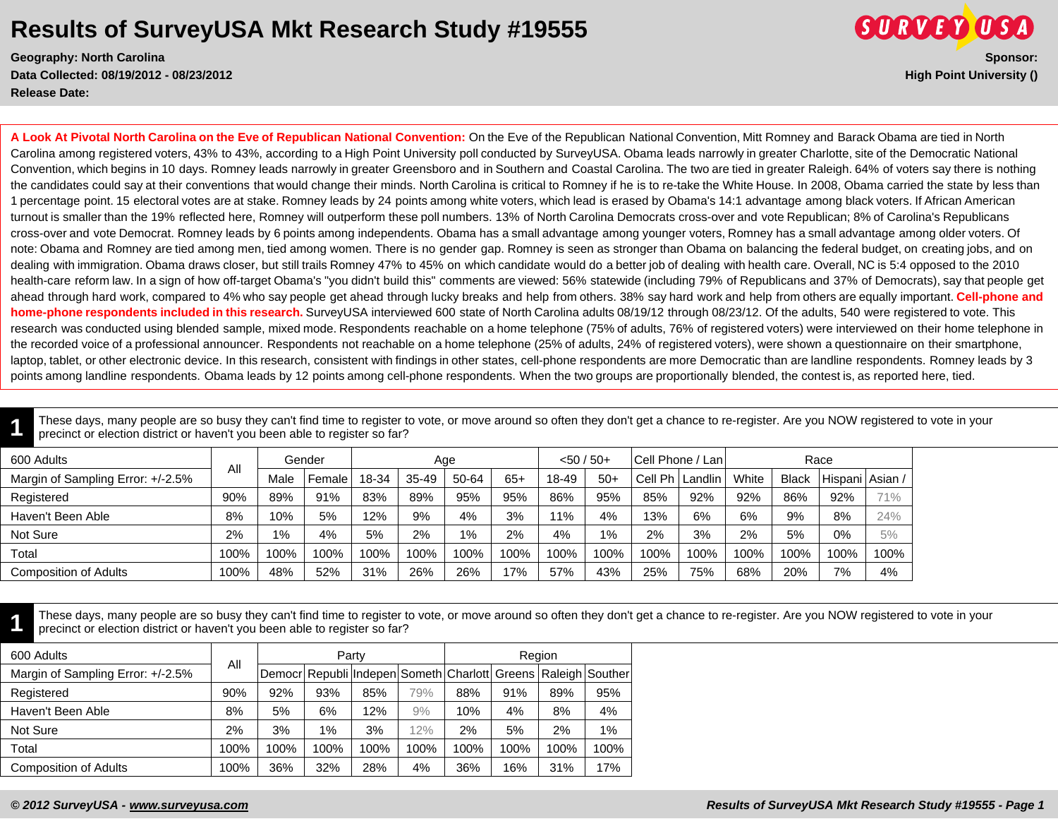**Data Collected: 08/19/2012 - 08/23/2012 High Point University () Release Date:** 



**A Look At Pivotal North Carolina on the Eve of Republican National Convention:** On the Eve of the Republican National Convention, Mitt Romney and Barack Obama are tied in North Carolina among registered voters, 43% to 43%, according to a High Point University poll conducted by SurveyUSA. Obama leads narrowly in greater Charlotte, site of the Democratic National Convention, which begins in 10 days. Romney leads narrowly in greater Greensboro and in Southern and Coastal Carolina. The two are tied in greater Raleigh. 64% of voters say there is nothing the candidates could say at their conventions that would change their minds. North Carolina is critical to Romney if he is to re-take the White House. In 2008, Obama carried the state by less than 1 percentage point. 15 electoral votes are at stake. Romney leads by 24 points among white voters, which lead is erased by Obama's 14:1 advantage among black voters. If African American turnout is smaller than the 19% reflected here, Romney will outperform these poll numbers. 13% of North Carolina Democrats cross-over and vote Republican; 8% of Carolina's Republicans cross-over and vote Democrat. Romney leads by 6 points among independents. Obama has a small advantage among younger voters, Romney has a small advantage among older voters. Of note: Obama and Romney are tied among men, tied among women. There is no gender gap. Romney is seen as stronger than Obama on balancing the federal budget, on creating jobs, and on dealing with immigration. Obama draws closer, but still trails Romney 47% to 45% on which candidate would do a better job of dealing with health care. Overall, NC is 5:4 opposed to the 2010 health-care reform law. In a sign of how off-target Obama's "you didn't build this" comments are viewed: 56% statewide (including 79% of Republicans and 37% of Democrats), say that people get ahead through hard work, compared to 4% who say people get ahead through lucky breaks and help from others. 38% say hard work and help from others are equally important. **Cell-phone and home-phone respondents included in this research.** SurveyUSA interviewed 600 state of North Carolina adults 08/19/12 through 08/23/12. Of the adults, 540 were registered to vote. This research was conducted using blended sample, mixed mode. Respondents reachable on a home telephone (75% of adults, 76% of registered voters) were interviewed on their home telephone in the recorded voice of a professional announcer. Respondents not reachable on a home telephone (25% of adults, 24% of registered voters), were shown a questionnaire on their smartphone, laptop, tablet, or other electronic device. In this research, consistent with findings in other states, cell-phone respondents are more Democratic than are landline respondents. Romney leads by 3 points among landline respondents. Obama leads by 12 points among cell-phone respondents. When the two groups are proportionally blended, the contest is, as reported here, tied.

**1** These days, many people are so busy they can't find time to register to vote, or move around so often they don't get a chance to re-register. Are you NOW registered to vote in your precinct or election district or haven't you been able to register so far?

| 600 Adults                        |      |       | Gender              |       | Age   |       |       | $< 50 / 50+$ |       | Cell Phone / Lan |           |       |              | Race    |         |
|-----------------------------------|------|-------|---------------------|-------|-------|-------|-------|--------------|-------|------------------|-----------|-------|--------------|---------|---------|
| Margin of Sampling Error: +/-2.5% | All  | Male  | Female <sup>'</sup> | 18-34 | 35-49 | 50-64 | $65+$ | 18-49        | $50+$ | Cell Ph          | Landlin I | White | <b>Black</b> | Hispani | Asian / |
| Registered                        | 90%  | 89%   | 91%                 | 83%   | 89%   | 95%   | 95%   | 86%          | 95%   | 85%              | 92%       | 92%   | 86%          | 92%     | 71%     |
| Haven't Been Able                 | 8%   | 10%   | 5%                  | 12%   | 9%    | 4%    | 3%    | 11%          | 4%    | 13%              | 6%        | 6%    | 9%           | 8%      | 24%     |
| Not Sure                          | 2%   | $1\%$ | 4%                  | 5%    | 2%    | 1%    | 2%    | 4%           | 1%    | 2%               | 3%        | 2%    | 5%           | 0%      | 5%      |
| Total                             | 100% | 100%  | 100%                | 100%  | 100%  | 100%  | 100%  | 100%         | 100%  | 100%             | 100%      | 100%  | '00%         | 100%    | 100%    |
| <b>Composition of Adults</b>      | 100% | 48%   | 52%                 | 31%   | 26%   | 26%   | 17%   | 57%          | 43%   | 25%              | 75%       | 68%   | 20%          | 7%      | 4%      |

**1** These days, many people are so busy they can't find time to register to vote, or move around so often they don't get a chance to re-register. Are you NOW registered to vote in your precinct or election district or haven't you been able to register so far?

| 600 Adults                        |      |      |      | Party                                                         |      |      | Region |      |       |
|-----------------------------------|------|------|------|---------------------------------------------------------------|------|------|--------|------|-------|
| Margin of Sampling Error: +/-2.5% | All  |      |      | Democr Republi Indepen Someth Charlott Greens Raleigh Souther |      |      |        |      |       |
| Registered                        | 90%  | 92%  | 93%  | 85%                                                           | 79%  | 88%  | 91%    | 89%  | 95%   |
| Haven't Been Able                 | 8%   | 5%   | 6%   | 12%                                                           | 9%   | 10%  | 4%     | 8%   | 4%    |
| Not Sure                          | 2%   | 3%   | 1%   | 3%                                                            | 12%  | 2%   | 5%     | 2%   | $1\%$ |
| Total                             | 100% | 100% | 100% | 100%                                                          | 100% | 100% | 100%   | 100% | 100%  |
| <b>Composition of Adults</b>      | 100% | 36%  | 32%  | 28%                                                           | 4%   | 36%  | 16%    | 31%  | 17%   |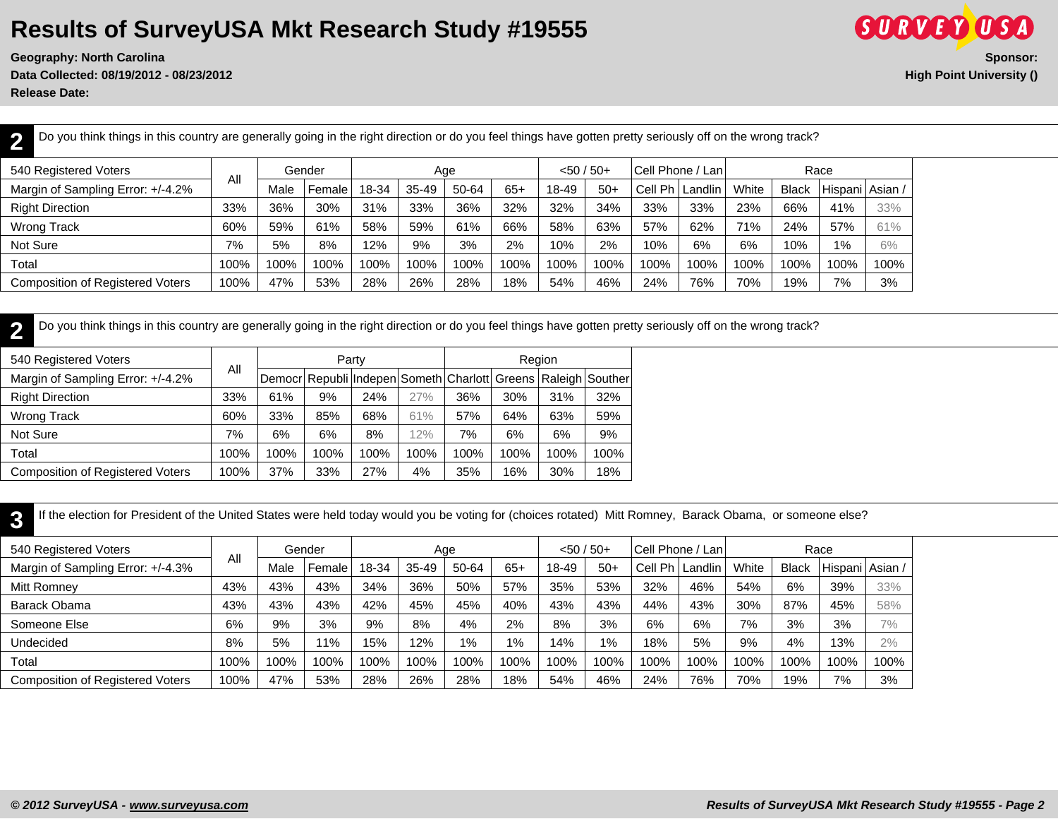**Data Collected: 08/19/2012 - 08/23/2012 High Point University ()**

**Release Date:** 

**2**

**SURVEY USA Geography: North Carolina Sponsor:**

Do you think things in this country are generally going in the right direction or do you feel things have gotten pretty seriously off on the wrong track?

| 540 Registered Voters             |      |      | Gender |       |           | Age   |       | $< 50 / 50+$ |       | <b>Cell Phone / Lani</b> |                   |       |              | Race    |        |
|-----------------------------------|------|------|--------|-------|-----------|-------|-------|--------------|-------|--------------------------|-------------------|-------|--------------|---------|--------|
| Margin of Sampling Error: +/-4.2% | All  | Male | Female | 18-34 | $35 - 49$ | 50-64 | $65+$ | 18-49        | $50+$ |                          | Cell Ph   Landlin | White | <b>Black</b> | Hispani | Asian, |
| <b>Right Direction</b>            | 33%  | 36%  | 30%    | 31%   | 33%       | 36%   | 32%   | 32%          | 34%   | 33%                      | 33%               | 23%   | 66%          | 41%     | 33%    |
| <b>Wrong Track</b>                | 60%  | 59%  | 61%    | 58%   | 59%       | 61%   | 66%   | 58%          | 63%   | 57%                      | 62%               | 71%   | 24%          | 57%     | 61%    |
| Not Sure                          | 7%   | 5%   | 8%     | 12%   | 9%        | 3%    | 2%    | 10%          | 2%    | 10%                      | 6%                | 6%    | 10%          | $1\%$   | 6%     |
| Total                             | 100% | 100% | 00%    | 100%  | 100%      | 100%  | 100%  | 100%         | 100%  | 100%                     | 100%              | 100%  | 100%         | 100%    | 100%   |
| Composition of Registered Voters  | 100% | 47%  | 53%    | 28%   | 26%       | 28%   | 18%   | 54%          | 46%   | 24%                      | 76%               | 70%   | 19%          | 7%      | 3%     |

**2** Do you think things in this country are generally going in the right direction or do you feel things have gotten pretty seriously off on the wrong track?

| 540 Registered Voters                   |      |      |      | Party |      |      | Region |      |                                                               |
|-----------------------------------------|------|------|------|-------|------|------|--------|------|---------------------------------------------------------------|
| Margin of Sampling Error: +/-4.2%       | All  |      |      |       |      |      |        |      | Democr Republi Indepen Someth Charlott Greens Raleigh Souther |
| <b>Right Direction</b>                  | 33%  | 61%  | 9%   | 24%   | 27%  | 36%  | 30%    | 31%  | 32%                                                           |
| Wrong Track                             | 60%  | 33%  | 85%  | 68%   | 61%  | 57%  | 64%    | 63%  | 59%                                                           |
| Not Sure                                | 7%   | 6%   | 6%   | 8%    | 12%  | 7%   | 6%     | 6%   | 9%                                                            |
| Total                                   | 100% | 100% | 100% | 100%  | 100% | 100% | 100%   | 100% | 100%                                                          |
| <b>Composition of Registered Voters</b> | 100% | 37%  | 33%  | 27%   | 4%   | 35%  | 16%    | 30%  | 18%                                                           |

**3** If the election for President of the United States were held today would you be voting for (choices rotated) Mitt Romney, Barack Obama, or someone else?

| 540 Registered Voters                   |      |      | Gender |       |         | Age   |       | $< 50 / 50+$ |       |            | Cell Phone / Lani |       |              | Race                |      |
|-----------------------------------------|------|------|--------|-------|---------|-------|-------|--------------|-------|------------|-------------------|-------|--------------|---------------------|------|
| Margin of Sampling Error: +/-4.3%       | All  | Male | Female | 18-34 | $35-49$ | 50-64 | $65+$ | 18-49        | $50+$ | Ph<br>Cell | Landlin           | White | <b>Black</b> | l Hispani   Asian / |      |
| Mitt Romney                             | 43%  | 43%  | 43%    | 34%   | 36%     | 50%   | 57%   | 35%          | 53%   | 32%        | 46%               | 54%   | 6%           | 39%                 | 33%  |
| Barack Obama                            | 43%  | 43%  | 43%    | 42%   | 45%     | 45%   | 40%   | 43%          | 43%   | 44%        | 43%               | 30%   | 87%          | 45%                 | 58%  |
| Someone Else                            | 6%   | 9%   | 3%     | 9%    | 8%      | 4%    | 2%    | 8%           | 3%    | 6%         | 6%                | 7%    | 3%           | 3%                  | 7%   |
| Undecided                               | 8%   | 5%   | 11%    | 15%   | 2%      | $1\%$ | 1%    | 14%          | $1\%$ | 18%        | 5%                | 9%    | 4%           | 13%                 | 2%   |
| Total                                   | 100% | 100% | 100%   | 100%  | 100%    | 100%  | 100%  | 100%         | 100%  | 100%       | 100%              | 100%  | 100%         | 100%                | 100% |
| <b>Composition of Registered Voters</b> | 100% | 47%  | 53%    | 28%   | 26%     | 28%   | 18%   | 54%          | 46%   | 24%        | 76%               | 70%   | 19%          | 7%                  | 3%   |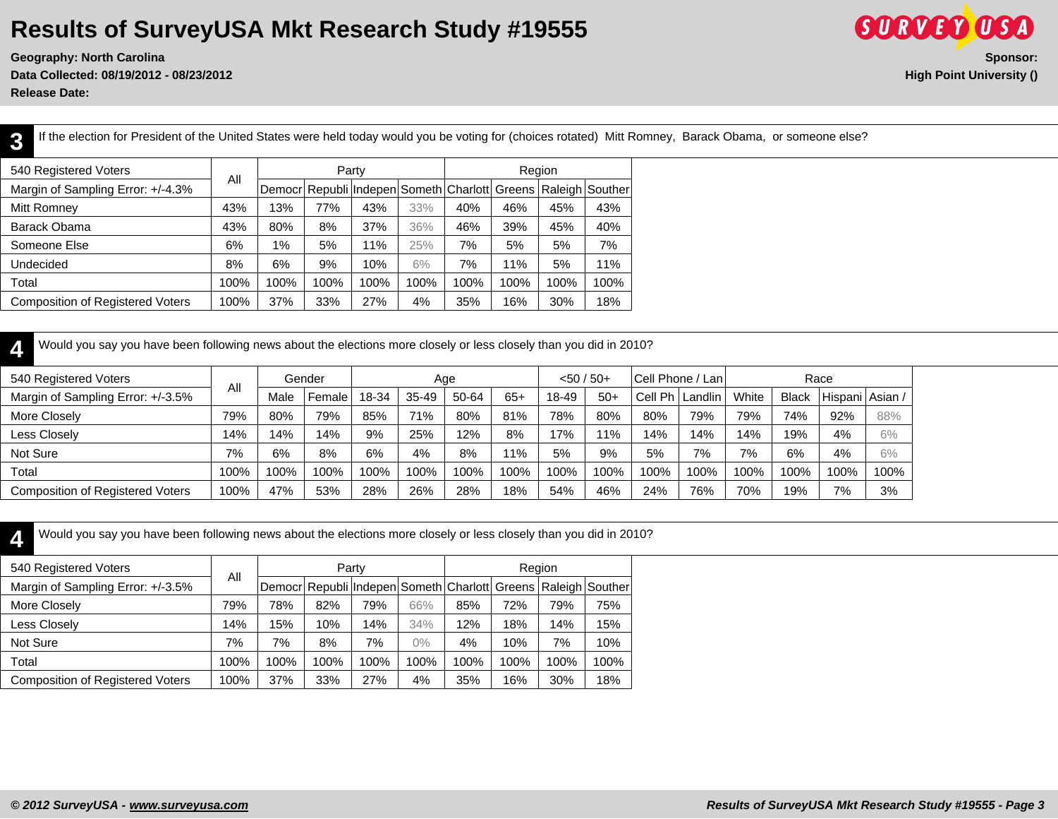**Geography: North Carolina Sponsor: Data Collected: 08/19/2012 - 08/23/2012 High Point University ()**

**Release Date:** 

**SURVEY USA** 

**3** If the election for President of the United States were held today would you be voting for (choices rotated) Mitt Romney, Barack Obama, or someone else? 540 Registered Voters Party **Region** 

| 540 Registered Voters                   | All  |       |      | Party |      |      |      | Region |                                                               |
|-----------------------------------------|------|-------|------|-------|------|------|------|--------|---------------------------------------------------------------|
| Margin of Sampling Error: +/-4.3%       |      |       |      |       |      |      |      |        | Democr Republi Indepen Someth Charlott Greens Raleigh Souther |
| Mitt Romney                             | 43%  | 13%   | 77%  | 43%   | 33%  | 40%  | 46%  | 45%    | 43%                                                           |
| Barack Obama                            | 43%  | 80%   | 8%   | 37%   | 36%  | 46%  | 39%  | 45%    | 40%                                                           |
| Someone Else                            | 6%   | $1\%$ | 5%   | 11%   | 25%  | 7%   | 5%   | 5%     | 7%                                                            |
| Undecided                               | 8%   | 6%    | 9%   | 10%   | 6%   | 7%   | 11%  | 5%     | 11%                                                           |
| Total                                   | 100% | 100%  | 100% | 100%  | 100% | 100% | 100% | 100%   | 100%                                                          |
| <b>Composition of Registered Voters</b> | 100% | 37%   | 33%  | 27%   | 4%   | 35%  | 16%  | 30%    | 18%                                                           |

**4** Would you say you have been following news about the elections more closely or less closely than you did in 2010?

| 540 Registered Voters                   |      |      | Gender |       | Age   |       |       | $< 50 / 50+$ |       | Cell Phone / Lan |         |       |              | Race              |      |
|-----------------------------------------|------|------|--------|-------|-------|-------|-------|--------------|-------|------------------|---------|-------|--------------|-------------------|------|
| Margin of Sampling Error: +/-3.5%       | All  | Male | Female | 18-34 | 35-49 | 50-64 | $65+$ | 18-49        | $50+$ | Cell Ph          | Landlin | White | <b>Black</b> | Hispani   Asian / |      |
| More Closely                            | 79%  | 80%  | 79%    | 85%   | 71%   | 80%   | 81%   | 78%          | 80%   | 80%              | 79%     | 79%   | 74%          | 92%               | 88%  |
| Less Closely                            | 14%  | 14%  | 14%    | 9%    | 25%   | 12%   | 8%    | 17%          | $1\%$ | 14%              | 14%     | 14%   | 19%          | 4%                | 6%   |
| Not Sure                                | 7%   | 6%   | 8%     | 6%    | 4%    | 8%    | ' 1%  | 5%           | 9%    | 5%               | 7%      | 7%    | 6%           | 4%                | 6%   |
| Total                                   | 100% | 100% | 100%   | 100%  | 100%  | 100%  | 100%  | 100%         | 100%  | 100%             | 100%    | 100%  | 100%         | 100%              | 100% |
| <b>Composition of Registered Voters</b> | 100% | 47%  | 53%    | 28%   | 26%   | 28%   | 18%   | 54%          | 46%   | 24%              | 76%     | 70%   | 19%          | 7%                | 3%   |

**4**

Would you say you have been following news about the elections more closely or less closely than you did in 2010?

| 540 Registered Voters                   |      |      |      | Party |       |      |      | Region |                                                               |
|-----------------------------------------|------|------|------|-------|-------|------|------|--------|---------------------------------------------------------------|
| Margin of Sampling Error: +/-3.5%       | All  |      |      |       |       |      |      |        | Democr Republi Indepen Someth Charlott Greens Raleigh Souther |
| More Closely                            | 79%  | 78%  | 82%  | 79%   | 66%   | 85%  | 72%  | 79%    | 75%                                                           |
| Less Closely                            | 14%  | 15%  | 10%  | 14%   | 34%   | 12%  | 18%  | 14%    | 15%                                                           |
| Not Sure                                | 7%   | 7%   | 8%   | 7%    | $0\%$ | 4%   | 10%  | 7%     | 10%                                                           |
| Total                                   | 100% | 100% | 100% | 100%  | 100%  | 100% | 100% | 100%   | 100%                                                          |
| <b>Composition of Registered Voters</b> | 100% | 37%  | 33%  | 27%   | 4%    | 35%  | 16%  | 30%    | 18%                                                           |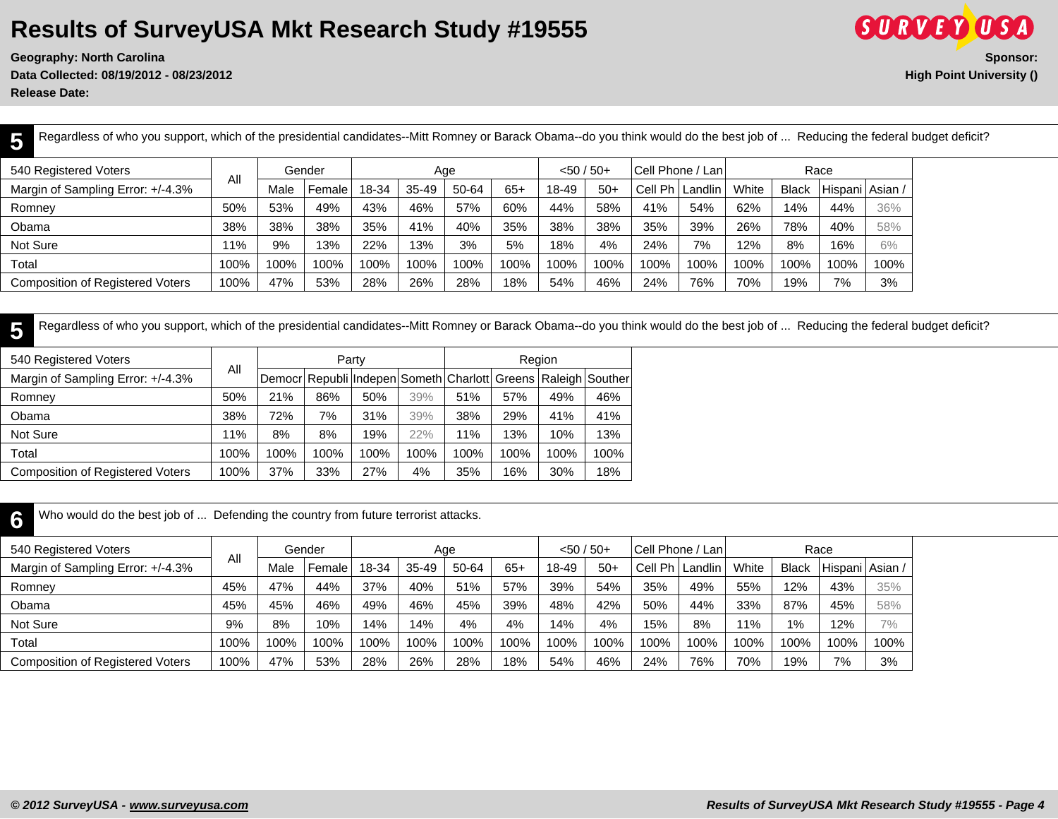**Geography: North Carolina Sponsor:**

**SURVEY USA Data Collected: 08/19/2012 - 08/23/2012 High Point University ()**

**Release Date:** 

**5** Regardless of who you support, which of the presidential candidates--Mitt Romney or Barack Obama--do you think would do the best job of ... Reducing the federal budget deficit?

| 540 Registered Voters                   |      |      | Gender |       |       | Aqe   |       | $<$ 50 / 50+ |       | Cell Phone / Lan |                   |       |              | Race            |      |
|-----------------------------------------|------|------|--------|-------|-------|-------|-------|--------------|-------|------------------|-------------------|-------|--------------|-----------------|------|
| Margin of Sampling Error: +/-4.3%       | All  | Male | Female | 18-34 | 35-49 | 50-64 | $65+$ | 18-49        | $50+$ |                  | Cell Ph   Landlin | White | <b>Black</b> | Hispani   Asian |      |
| Romney                                  | 50%  | 53%  | 49%    | 43%   | 46%   | 57%   | 60%   | 44%          | 58%   | 41%              | 54%               | 62%   | 14%          | 44%             | 36%  |
| Obama                                   | 38%  | 38%  | 38%    | 35%   | 41%   | 40%   | 35%   | 38%          | 38%   | 35%              | 39%               | 26%   | 78%          | 40%             | 58%  |
| Not Sure                                | 11%  | 9%   | 13%    | 22%   | 13%   | 3%    | 5%    | 18%          | 4%    | 24%              | 7%                | 12%   | 8%           | 16%             | 6%   |
| Total                                   | 100% | 100% | 100%   | 100%  | 100%  | 100%  | 100%  | 100%         | 100%  | 100%             | 100%              | 100%  | 100%         | 100%            | 100% |
| <b>Composition of Registered Voters</b> | 100% | 47%  | 53%    | 28%   | 26%   | 28%   | 18%   | 54%          | 46%   | 24%              | 76%               | 70%   | 19%          | 7%              | 3%   |

**5** Regardless of who you support, which of the presidential candidates--Mitt Romney or Barack Obama--do you think would do the best job of ... Reducing the federal budget deficit?

| 540 Registered Voters                   |      |      |      | Party |      |                                                               |      | Region |      |
|-----------------------------------------|------|------|------|-------|------|---------------------------------------------------------------|------|--------|------|
| Margin of Sampling Error: +/-4.3%       | Αll  |      |      |       |      | Democr Republi Indepen Someth Charlott Greens Raleigh Souther |      |        |      |
| Romney                                  | 50%  | 21%  | 86%  | 50%   | 39%  | 51%                                                           | 57%  | 49%    | 46%  |
| Obama                                   | 38%  | 72%  | 7%   | 31%   | 39%  | 38%                                                           | 29%  | 41%    | 41%  |
| Not Sure                                | ' 1% | 8%   | 8%   | 19%   | 22%  | 11%                                                           | 13%  | 10%    | 13%  |
| Total                                   | 100% | 100% | 100% | 100%  | 100% | 100%                                                          | 100% | 100%   | 100% |
| <b>Composition of Registered Voters</b> | 100% | 37%  | 33%  | 27%   | 4%   | 35%                                                           | 16%  | 30%    | 18%  |

**6** Who would do the best job of ... Defending the country from future terrorist attacks.

| 540 Registered Voters                   |      |      | Gender |       | Age       |       |       | $< 50 / 50 +$ |       | Cell Phone / Lan |         |       |              | Race              |      |
|-----------------------------------------|------|------|--------|-------|-----------|-------|-------|---------------|-------|------------------|---------|-------|--------------|-------------------|------|
| Margin of Sampling Error: +/-4.3%       | All  | Male | Female | 18-34 | $35 - 49$ | 50-64 | $65+$ | 18-49         | $50+$ | Cell Ph          | Landlin | White | <b>Black</b> | Hispani   Asian / |      |
| Romney                                  | 45%  | 47%  | 44%    | 37%   | 40%       | 51%   | 57%   | 39%           | 54%   | 35%              | 49%     | 55%   | 12%          | 43%               | 35%  |
| Obama                                   | 45%  | 45%  | 46%    | 49%   | 46%       | 45%   | 39%   | 48%           | 42%   | 50%              | 44%     | 33%   | 87%          | 45%               | 58%  |
| Not Sure                                | 9%   | 8%   | 10%    | 14%   | 14%       | 4%    | 4%    | 14%           | 4%    | 15%              | 8%      | 11%   | 1%           | 12%               | 7%   |
| Total                                   | 100% | 100% | 100%   | 100%  | 100%      | 100%  | 100%  | 100%          | 100%  | 100%             | 100%    | 100%  | 100%         | 100%              | 100% |
| <b>Composition of Registered Voters</b> | 100% | 47%  | 53%    | 28%   | 26%       | 28%   | 18%   | 54%           | 46%   | 24%              | 76%     | 70%   | 19%          | 7%                | 3%   |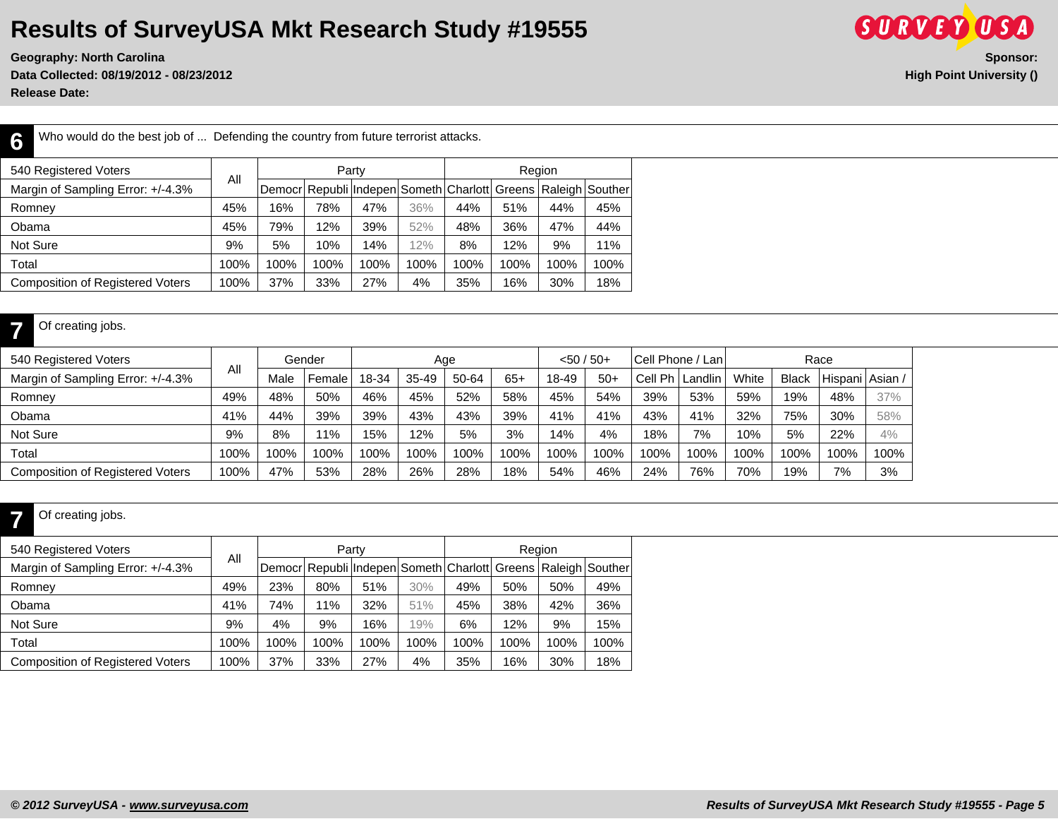Who would do the best job of ... Defending the country from future terrorist attacks.

**Geography: North Carolina** Sponsor: Sponsor: Sponsor: Sponsor: Sponsor: Sponsor: Sponsor: Sponsor: Sponsor: Sponsor: Sponsor: Sponsor: Sponsor: Sponsor: Sponsor: Sponsor: Sponsor: Sponsor: Sponsor: Sponsor: Sponsor: Spons **Data Collected: 08/19/2012 - 08/23/2012 High Point University ()**

**SURVEY USA** 

**Release Date:** 

**6**

**7**

| 540 Registered Voters                   |      |      |      | Party                                                         |      |      |      | Region |      |
|-----------------------------------------|------|------|------|---------------------------------------------------------------|------|------|------|--------|------|
| Margin of Sampling Error: +/-4.3%       | All  |      |      | Democr Republi Indepen Someth Charlott Greens Raleigh Souther |      |      |      |        |      |
| Romney                                  | 45%  | 16%  | 78%  | 47%                                                           | 36%  | 44%  | 51%  | 44%    | 45%  |
| Obama                                   | 45%  | 79%  | 12%  | 39%                                                           | 52%  | 48%  | 36%  | 47%    | 44%  |
| Not Sure                                | 9%   | 5%   | 10%  | 14%                                                           | 12%  | 8%   | 12%  | 9%     | 11%  |
| Total                                   | 100% | 100% | 100% | 100%                                                          | 100% | 100% | 100% | 100%   | 100% |
| <b>Composition of Registered Voters</b> | 100% | 37%  | 33%  | 27%                                                           | 4%   | 35%  | 16%  | 30%    | 18%  |

#### Of creating jobs.

| 540 Registered Voters                   |      |      | Gender |       |        | Age   |       | $< 50 / 50+$ |       | Cell Phone / Lan  |      |       |              | Race            |      |
|-----------------------------------------|------|------|--------|-------|--------|-------|-------|--------------|-------|-------------------|------|-------|--------------|-----------------|------|
| Margin of Sampling Error: +/-4.3%       | All  | Male | Female | 18-34 | 35-49  | 50-64 | $65+$ | 18-49        | $50+$ | Cell Ph   Landlin |      | White | <b>Black</b> | Hispani Asian / |      |
| Romney                                  | 49%  | 48%  | 50%    | 46%   | 45%    | 52%   | 58%   | 45%          | 54%   | 39%               | 53%  | 59%   | 19%          | 48%             | 37%  |
| Obama                                   | 41%  | 44%  | 39%    | 39%   | 43%    | 43%   | 39%   | 41%          | 41%   | 43%               | 41%  | 32%   | 75%          | 30%             | 58%  |
| Not Sure                                | 9%   | 8%   | 11%    | 15%   | $12\%$ | 5%    | 3%    | 14%          | 4%    | 18%               | 7%   | 10%   | 5%           | 22%             | 4%   |
| Total                                   | 100% | 100% | 100%   | 100%  | 100%   | 100%  | 100%  | 100%         | 100%  | 100%              | 100% | 100%  | 100%         | 100%            | 100% |
| <b>Composition of Registered Voters</b> | 100% | 47%  | 53%    | 28%   | 26%    | 28%   | 18%   | 54%          | 46%   | 24%               | 76%  | 70%   | 19%          | 7%              | 3%   |

#### **7** Of creating jobs.

| 540 Registered Voters                   |      |      |      | Party                                                         |      |      |      | Region |      |
|-----------------------------------------|------|------|------|---------------------------------------------------------------|------|------|------|--------|------|
| Margin of Sampling Error: +/-4.3%       | All  |      |      | Democr Republi Indepen Someth Charlott Greens Raleigh Souther |      |      |      |        |      |
| Romney                                  | 49%  | 23%  | 80%  | 51%                                                           | 30%  | 49%  | 50%  | 50%    | 49%  |
| Obama                                   | 41%  | 74%  | 11%  | 32%                                                           | 51%  | 45%  | 38%  | 42%    | 36%  |
| Not Sure                                | 9%   | 4%   | 9%   | 16%                                                           | 19%  | 6%   | 12%  | 9%     | 15%  |
| Total                                   | 100% | 100% | 100% | 100%                                                          | 100% | 100% | 100% | 100%   | 100% |
| <b>Composition of Registered Voters</b> | 100% | 37%  | 33%  | 27%                                                           | 4%   | 35%  | 16%  | 30%    | 18%  |
|                                         |      |      |      |                                                               |      |      |      |        |      |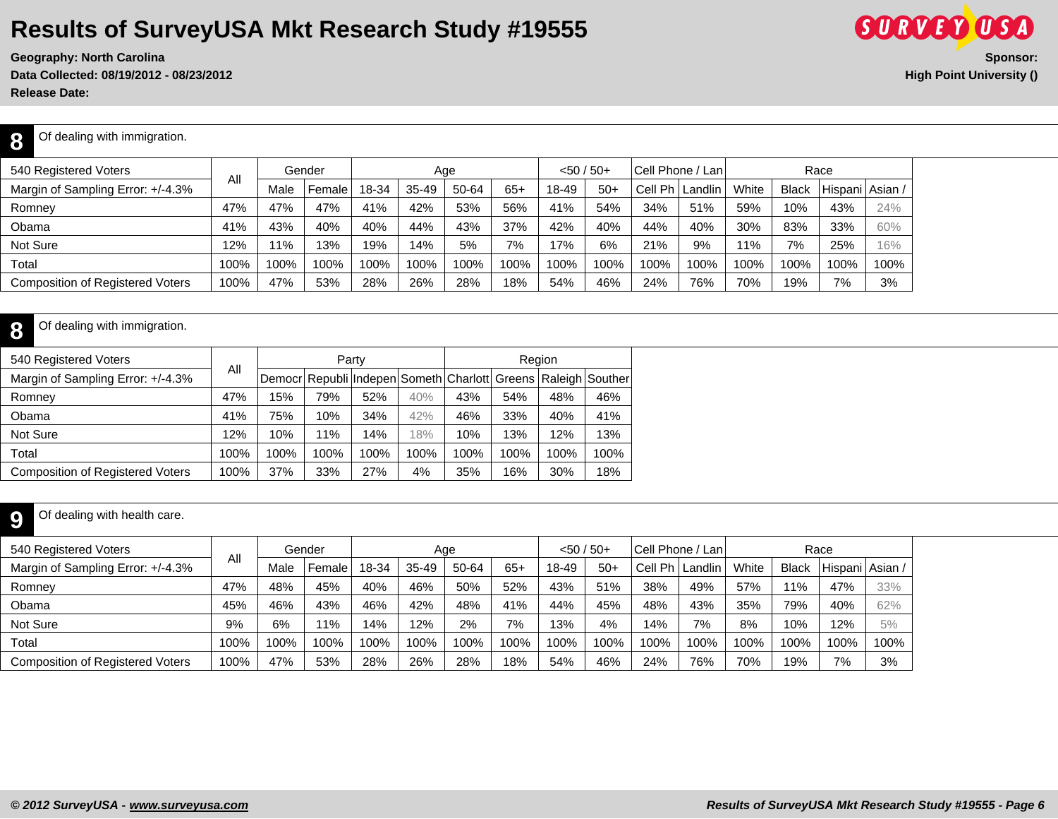**Data Collected: 08/19/2012 - 08/23/2012 High Point University ()**

**Release Date:** 

**8**

#### Of dealing with immigration.

| 540 Registered Voters                   |      |      | Gender |       | Aae   |       |       | $<$ 50 / 50+ |       |                   | <b>Cell Phone / Lani</b> |       | Race         |                   |      |
|-----------------------------------------|------|------|--------|-------|-------|-------|-------|--------------|-------|-------------------|--------------------------|-------|--------------|-------------------|------|
| Margin of Sampling Error: +/-4.3%       | All  | Male | Female | 18-34 | 35-49 | 50-64 | $65+$ | 18-49        | $50+$ | Cell Ph   Landlin |                          | White | <b>Black</b> | Hispani   Asian / |      |
| Romney                                  | 47%  | 47%  | 47%    | 41%   | 42%   | 53%   | 56%   | 41%          | 54%   | 34%               | 51%                      | 59%   | 10%          | 43%               | 24%  |
| Obama                                   | 41%  | 43%  | 40%    | 40%   | 44%   | 43%   | 37%   | 42%          | 40%   | 44%               | 40%                      | 30%   | 83%          | 33%               | 60%  |
| Not Sure                                | 12%  | 11%  | 13%    | 19%   | 14%   | 5%    | 7%    | 17%          | 6%    | 21%               | 9%                       | 11%   | 7%           | 25%               | 16%  |
| Total                                   | 100% | 100% | 100%   | 100%  | 100%  | 100%  | 100%  | 100%         | 100%  | 100%              | 100%                     | 100%  | 100%         | 100%              | 100% |
| <b>Composition of Registered Voters</b> | 100% | 47%  | 53%    | 28%   | 26%   | 28%   | 18%   | 54%          | 46%   | 24%               | 76%                      | 70%   | 19%          | 7%                | 3%   |

#### **8** Of dealing with immigration.

| 540 Registered Voters                   |      |      |      | Party |      |                                                               |      | Region |      |
|-----------------------------------------|------|------|------|-------|------|---------------------------------------------------------------|------|--------|------|
| Margin of Sampling Error: +/-4.3%       | All  |      |      |       |      | Democr Republi Indepen Someth Charlott Greens Raleigh Souther |      |        |      |
| Romney                                  | 47%  | 15%  | 79%  | 52%   | 40%  | 43%                                                           | 54%  | 48%    | 46%  |
| Obama                                   | 41%  | 75%  | 10%  | 34%   | 42%  | 46%                                                           | 33%  | 40%    | 41%  |
| Not Sure                                | 12%  | 10%  | 11%  | 14%   | 18%  | 10%                                                           | 13%  | 12%    | 13%  |
| Total                                   | 100% | 100% | 100% | 100%  | 100% | 100%                                                          | 100% | 100%   | 100% |
| <b>Composition of Registered Voters</b> | 100% | 37%  | 33%  | 27%   | 4%   | 35%                                                           | 16%  | 30%    | 18%  |

#### **9** Of dealing with health care.

| 540 Registered Voters                   |      |      | Gender |       |       | Age   |       | $< 50 / 50 +$ |       | Cell Phone / Lan |                   |       |              | Race              |      |
|-----------------------------------------|------|------|--------|-------|-------|-------|-------|---------------|-------|------------------|-------------------|-------|--------------|-------------------|------|
| Margin of Sampling Error: +/-4.3%       | All  | Male | Female | 18-34 | 35-49 | 50-64 | $65+$ | 18-49         | $50+$ |                  | Cell Ph   Landlin | White | <b>Black</b> | Hispani   Asian / |      |
| Romney                                  | 47%  | 48%  | 45%    | 40%   | 46%   | 50%   | 52%   | 43%           | 51%   | 38%              | 49%               | 57%   | 11%          | 47%               | 33%  |
| Obama                                   | 45%  | 46%  | 43%    | 46%   | 42%   | 48%   | 41%   | 44%           | 45%   | 48%              | 43%               | 35%   | 79%          | 40%               | 62%  |
| Not Sure                                | 9%   | 6%   | 11%    | 14%   | 12%   | 2%    | 7%    | 13%           | 4%    | 14%              | 7%                | 8%    | 10%          | 12%               | 5%   |
| Total                                   | 100% | 100% | 100%   | 100%  | 100%  | 100%  | 100%  | 100%          | 100%  | 100%             | 100%              | 100%  | 100%         | 100%              | 100% |
| <b>Composition of Registered Voters</b> | 100% | 47%  | 53%    | 28%   | 26%   | 28%   | 18%   | 54%           | 46%   | 24%              | 76%               | 70%   | 19%          | 7%                | 3%   |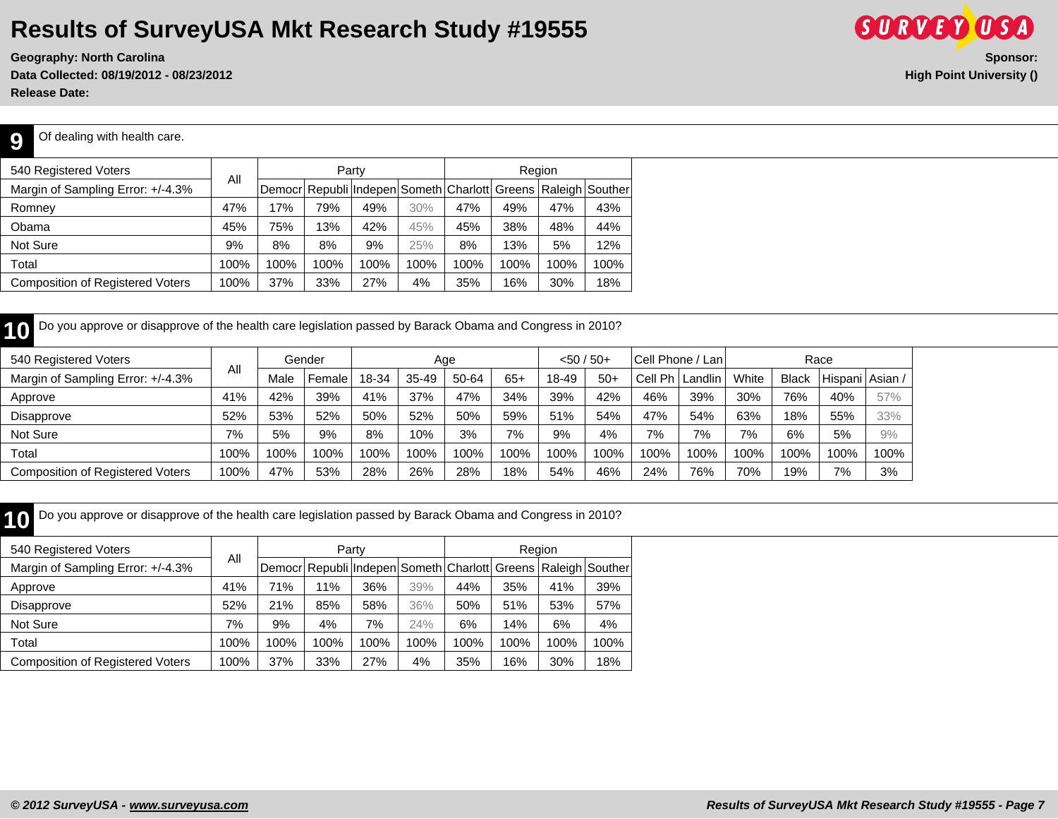**Data Collected: 08/19/2012 - 08/23/2012 High Point University () Release Date:** 



Of dealing with health care.

**9**

| 540 Registered Voters                   |      |      |      | Party |      |      |      | Region |                                                               |
|-----------------------------------------|------|------|------|-------|------|------|------|--------|---------------------------------------------------------------|
| Margin of Sampling Error: +/-4.3%       | Αll  |      |      |       |      |      |      |        | Democr Republi Indepen Someth Charlott Greens Raleigh Souther |
| Romney                                  | 47%  | 17%  | 79%  | 49%   | 30%  | 47%  | 49%  | 47%    | 43%                                                           |
| Obama                                   | 45%  | 75%  | 13%  | 42%   | 45%  | 45%  | 38%  | 48%    | 44%                                                           |
| Not Sure                                | 9%   | 8%   | 8%   | 9%    | 25%  | 8%   | 13%  | 5%     | 12%                                                           |
| Total                                   | 100% | 100% | 100% | 100%  | 100% | 100% | 100% | 100%   | 100%                                                          |
| <b>Composition of Registered Voters</b> | 100% | 37%  | 33%  | 27%   | 4%   | 35%  | 16%  | 30%    | 18%                                                           |

**10** Do you approve or disapprove of the health care legislation passed by Barack Obama and Congress in 2010?

| 540 Registered Voters                   |      |      | Gender |       |       | Age   |       | $<$ 50 / 50+ |       |                   | Cell Phone / Lan |       |       | Race    |                      |
|-----------------------------------------|------|------|--------|-------|-------|-------|-------|--------------|-------|-------------------|------------------|-------|-------|---------|----------------------|
| Margin of Sampling Error: +/-4.3%       | All  | Male | Female | 18-34 | 35-49 | 50-64 | $65+$ | 18-49        | $50+$ | Cell Ph   Landlin |                  | White | Black | Hispani | <sup>1</sup> Asian / |
| Approve                                 | 41%  | 42%  | 39%    | 41%   | 37%   | 47%   | 34%   | 39%          | 42%   | 46%               | 39%              | 30%   | 76%   | 40%     | 57%                  |
| Disapprove                              | 52%  | 53%  | 52%    | 50%   | 52%   | 50%   | 59%   | 51%          | 54%   | 47%               | 54%              | 63%   | 18%   | 55%     | 33%                  |
| Not Sure                                | 7%   | 5%   | 9%     | 8%    | 10%   | 3%    | 7%    | 9%           | 4%    | 7%                | 7%               | 7%    | 6%    | 5%      | 9%                   |
| Total                                   | 100% | 100% | 100%   | 100%  | 100%  | 100%  | 100%  | 100%         | 100%  | 100%              | 100%             | 100%  | 100%  | 100%    | 100%                 |
| <b>Composition of Registered Voters</b> | 100% | 47%  | 53%    | 28%   | 26%   | 28%   | 18%   | 54%          | 46%   | 24%               | 76%              | 70%   | 19%   | 7%      | 3%                   |

**10** Do you approve or disapprove of the health care legislation passed by Barack Obama and Congress in 2010?

| 540 Registered Voters                   |      |      |      | Party |      |      |      | Region |                                                               |
|-----------------------------------------|------|------|------|-------|------|------|------|--------|---------------------------------------------------------------|
| Margin of Sampling Error: +/-4.3%       | Αll  |      |      |       |      |      |      |        | Democr Republi Indepen Someth Charlott Greens Raleigh Souther |
| Approve                                 | 41%  | 71%  | 11%  | 36%   | 39%  | 44%  | 35%  | 41%    | 39%                                                           |
| Disapprove                              | 52%  | 21%  | 85%  | 58%   | 36%  | 50%  | 51%  | 53%    | 57%                                                           |
| Not Sure                                | 7%   | 9%   | 4%   | 7%    | 24%  | 6%   | 14%  | 6%     | 4%                                                            |
| Total                                   | 100% | 100% | 100% | 100%  | 100% | 100% | 100% | 100%   | 100%                                                          |
| <b>Composition of Registered Voters</b> | 100% | 37%  | 33%  | 27%   | 4%   | 35%  | 16%  | 30%    | 18%                                                           |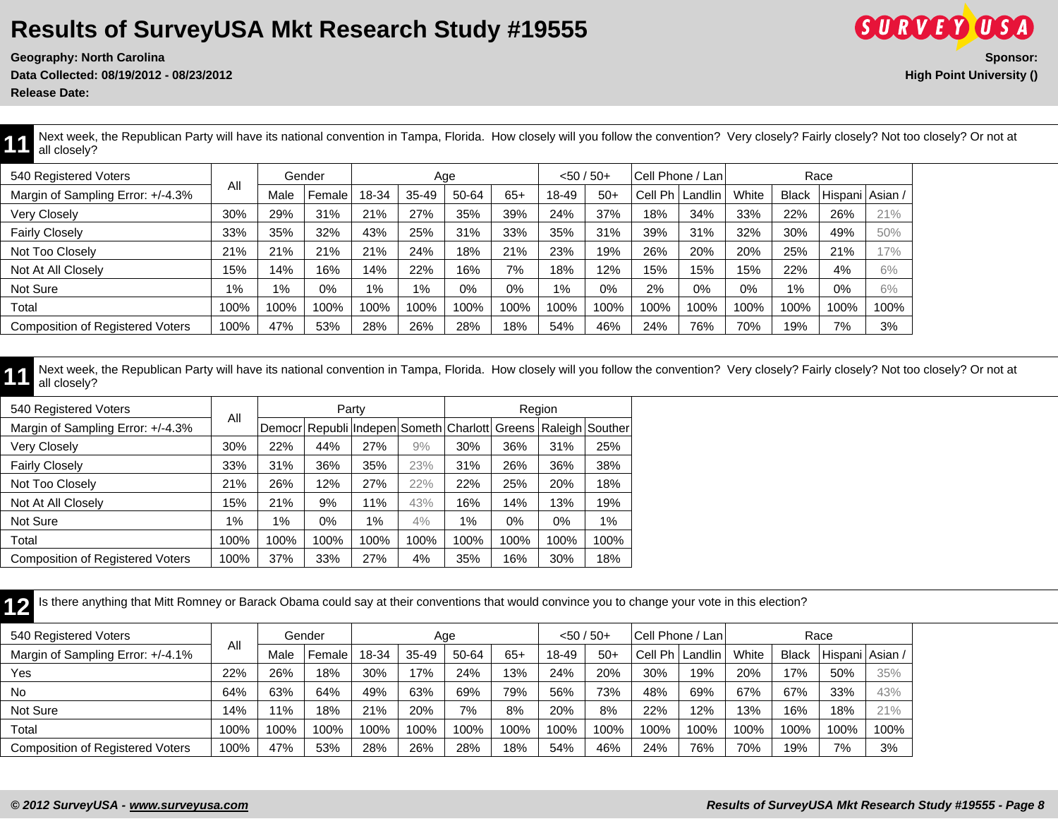**Geography: North Carolina** Data Collected: 08/19/2012 - 08/23/2012

**Release Date:** 

| (S.U.R.V.E.Y)                   |          |
|---------------------------------|----------|
|                                 | Sponsor: |
| <b>High Point University ()</b> |          |

Next week, the Republican Party will have its national convention in Tampa, Florida. How closely will you follow the convention? Very closely? Fairly closely? Not too closely? Or not at all closely?

| 540 Registered Voters                   |       |      | Gender |       |           | Age   |       | $<$ 50 / 50+ |       |         | Cell Phone / Lan |       |              | Race            |      |
|-----------------------------------------|-------|------|--------|-------|-----------|-------|-------|--------------|-------|---------|------------------|-------|--------------|-----------------|------|
| Margin of Sampling Error: +/-4.3%       | All   | Male | Female | 18-34 | $35 - 49$ | 50-64 | $65+$ | 18-49        | $50+$ | Cell Ph | Landlin I        | White | <b>Black</b> | Hispani Asian / |      |
| Very Closely                            | 30%   | 29%  | 31%    | 21%   | 27%       | 35%   | 39%   | 24%          | 37%   | 18%     | 34%              | 33%   | 22%          | 26%             | 21%  |
| <b>Fairly Closely</b>                   | 33%   | 35%  | 32%    | 43%   | 25%       | 31%   | 33%   | 35%          | 31%   | 39%     | 31%              | 32%   | 30%          | 49%             | 50%  |
| Not Too Closely                         | 21%   | 21%  | 21%    | 21%   | 24%       | 18%   | 21%   | 23%          | 19%   | 26%     | 20%              | 20%   | 25%          | 21%             | 17%  |
| Not At All Closely                      | 15%   | 14%  | 16%    | 14%   | 22%       | 16%   | 7%    | 18%          | 12%   | 15%     | 15%              | 15%   | 22%          | 4%              | 6%   |
| Not Sure                                | $1\%$ | 1%   | 0%     | $1\%$ | $1\%$     | 0%    | 0%    | $1\%$        | 0%    | 2%      | 0%               | 0%    | $1\%$        | 0%              | 6%   |
| Total                                   | 100%  | 100% | 100%   | 100%  | 100%      | 100%  | 100%  | 100%         | 100%  | 100%    | 100%             | 100%  | 100%         | 100%            | 100% |
| <b>Composition of Registered Voters</b> | 100%  | 47%  | 53%    | 28%   | 26%       | 28%   | 18%   | 54%          | 46%   | 24%     | 76%              | 70%   | 19%          | 7%              | 3%   |

Next week, the Republican Party will have its national convention in Tampa, Florida. How closely will you follow the convention? Very closely? Fairly closely? Not too closely? Or not at all closely?

| 540 Registered Voters                   |       |       |       | Party |      |       |       | Region |                                                               |
|-----------------------------------------|-------|-------|-------|-------|------|-------|-------|--------|---------------------------------------------------------------|
| Margin of Sampling Error: +/-4.3%       | All   |       |       |       |      |       |       |        | Democr Republi Indepen Someth Charlott Greens Raleigh Souther |
| <b>Very Closely</b>                     | 30%   | 22%   | 44%   | 27%   | 9%   | 30%   | 36%   | 31%    | 25%                                                           |
| <b>Fairly Closely</b>                   | 33%   | 31%   | 36%   | 35%   | 23%  | 31%   | 26%   | 36%    | 38%                                                           |
| Not Too Closely                         | 21%   | 26%   | 12%   | 27%   | 22%  | 22%   | 25%   | 20%    | 18%                                                           |
| Not At All Closely                      | 15%   | 21%   | 9%    | 11%   | 43%  | 16%   | 14%   | 13%    | 19%                                                           |
| Not Sure                                | $1\%$ | $1\%$ | $0\%$ | 1%    | 4%   | $1\%$ | $0\%$ | 0%     | $1\%$                                                         |
| Total                                   | 100%  | 100%  | 100%  | 100%  | 100% | 100%  | 100%  | 100%   | 100%                                                          |
| <b>Composition of Registered Voters</b> | 100%  | 37%   | 33%   | 27%   | 4%   | 35%   | 16%   | 30%    | 18%                                                           |

12 Is there anything that Mitt Romney or Barack Obama could say at their conventions that would convince you to change your vote in this election?

| 540 Registered Voters                   | All  |      | Gender |       |           | Age   |       | $<$ 50 / 50+ |       | Cell Phone / Lan |          |       |       | Race            |      |
|-----------------------------------------|------|------|--------|-------|-----------|-------|-------|--------------|-------|------------------|----------|-------|-------|-----------------|------|
| Margin of Sampling Error: +/-4.1%       |      | Male | Female | 18-34 | $35 - 49$ | 50-64 | $65+$ | 18-49        | $50+$ | Cell Ph          | 'Landlin | White | Black | Hispani   Asian |      |
| Yes                                     | 22%  | 26%  | 18%    | 30%   | 17%       | 24%   | 13%   | 24%          | 20%   | 30%              | 19%      | 20%   | 17%   | 50%             | 35%  |
| <b>No</b>                               | 64%  | 63%  | 64%    | 49%   | 63%       | 69%   | 79%   | 56%          | 73%   | 48%              | 69%      | 67%   | 67%   | 33%             | 43%  |
| Not Sure                                | 4%   | 11%  | 18%    | 21%   | 20%       | 7%    | 8%    | 20%          | 8%    | 22%              | 12%      | 13%   | 16%   | 18%             | 21%  |
| Total                                   | 100% | 100% | 100%   | 100%  | 100%      | 100%  | 100%  | 100%         | 100%  | 100%             | 100%     | 100%  | 100%  | 100%            | 100% |
| <b>Composition of Registered Voters</b> | 100% | 47%  | 53%    | 28%   | 26%       | 28%   | 18%   | 54%          | 46%   | 24%              | 76%      | 70%   | 19%   | 7%              | 3%   |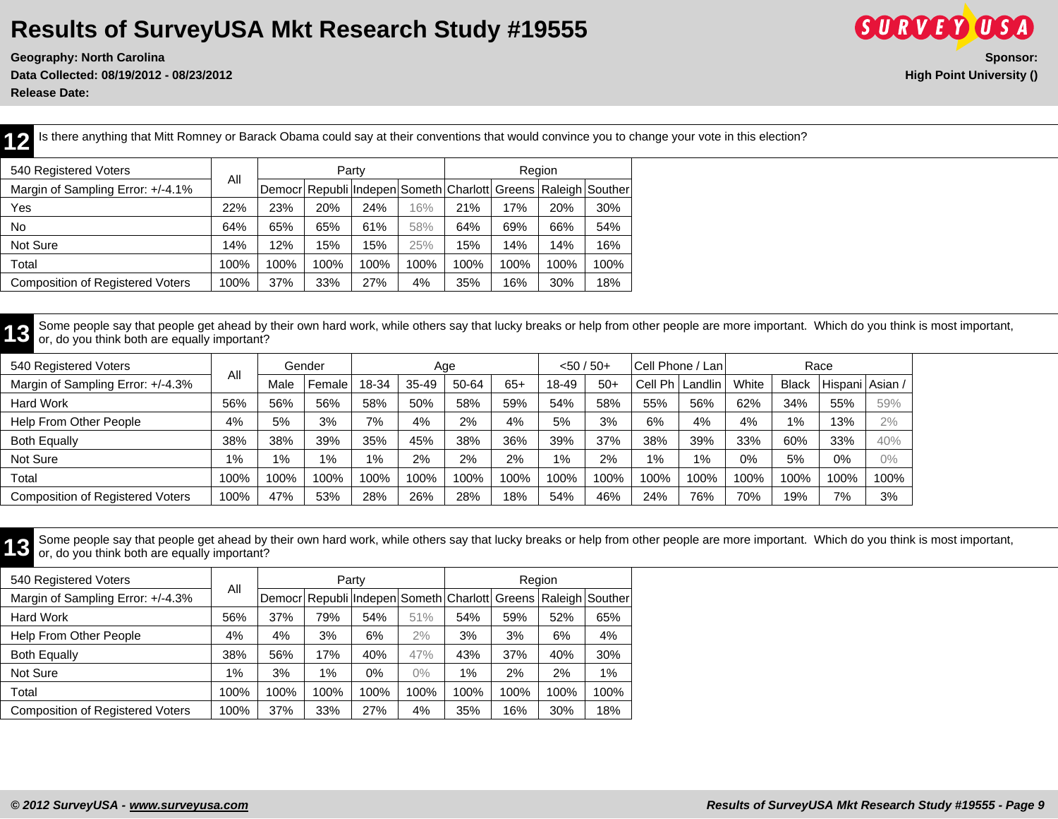**Geography: North Carolina Sponsor: Data Collected: 08/19/2012 - 08/23/2012 High Point University ()**



**Release Date:** 

12 Is there anything that Mitt Romney or Barack Obama could say at their conventions that would convince you to change your vote in this election?

| 540 Registered Voters                   |      |      |      | Party |      |      |      | Region |                                                               |
|-----------------------------------------|------|------|------|-------|------|------|------|--------|---------------------------------------------------------------|
| Margin of Sampling Error: +/-4.1%       | All  |      |      |       |      |      |      |        | Democr Republi Indepen Someth Charlott Greens Raleigh Souther |
| Yes                                     | 22%  | 23%  | 20%  | 24%   | 16%  | 21%  | 17%  | 20%    | 30%                                                           |
| No.                                     | 64%  | 65%  | 65%  | 61%   | 58%  | 64%  | 69%  | 66%    | 54%                                                           |
| Not Sure                                | 14%  | 12%  | 15%  | 15%   | 25%  | 15%  | 14%  | 14%    | 16%                                                           |
| Total                                   | 100% | 100% | 100% | 100%  | 100% | 100% | 100% | 100%   | 100%                                                          |
| <b>Composition of Registered Voters</b> | 100% | 37%  | 33%  | 27%   | 4%   | 35%  | 16%  | 30%    | 18%                                                           |

**13** Some people say that people get ahead by their own hard work, while others say that lucky breaks or help from other people are more important. Which do you think is most important, and you think is most important, or, do you think both are equally important?

| 540 Registered Voters             |       |      | Gender |       | Age     |       |       | $< 50 / 50 +$ |       | Cell Phone / Lani |                |       |              | Race              |      |
|-----------------------------------|-------|------|--------|-------|---------|-------|-------|---------------|-------|-------------------|----------------|-------|--------------|-------------------|------|
| Margin of Sampling Error: +/-4.3% | All   | Male | Female | 18-34 | $35-49$ | 50-64 | $65+$ | 18-49         | $50+$ | Cell              | I Ph   Landlin | White | <b>Black</b> | Hispani   Asian , |      |
| <b>Hard Work</b>                  | 56%   | 56%  | 56%    | 58%   | 50%     | 58%   | 59%   | 54%           | 58%   | 55%               | 56%            | 62%   | 34%          | 55%               | 59%  |
| Help From Other People            | 4%    | 5%   | 3%     | 7%    | 4%      | 2%    | 4%    | 5%            | 3%    | 6%                | 4%             | 4%    | 1%           | 13%               | 2%   |
| <b>Both Equally</b>               | 38%   | 38%  | 39%    | 35%   | 45%     | 38%   | 36%   | 39%           | 37%   | 38%               | 39%            | 33%   | 60%          | 33%               | 40%  |
| Not Sure                          | $1\%$ | 1%   | $1\%$  | 1%    | 2%      | 2%    | 2%    | 1%            | 2%    | $1\%$             | 1%             | 0%    | 5%           | 0%                | 0%   |
| Total                             | 100%  | 100% | 100%   | 100%  | 100%    | 100%  | 100%  | 100%          | 100%  | 100%              | 100%           | 100%  | 100%         | 100%              | 100% |
| Composition of Registered Voters  | 100%  | 47%  | 53%    | 28%   | 26%     | 28%   | 18%   | 54%           | 46%   | 24%               | 76%            | 70%   | 19%          | 7%                | 3%   |

Some people say that people get ahead by their own hard work, while others say that lucky breaks or help from other people are more important. Which do you think is most important, which are equally important? or, do you think both are equally important?

| 540 Registered Voters                   | All  |      |       | Party                                                         |       |       |      | Region |      |
|-----------------------------------------|------|------|-------|---------------------------------------------------------------|-------|-------|------|--------|------|
| Margin of Sampling Error: +/-4.3%       |      |      |       | Democr Republi Indepen Someth Charlott Greens Raleigh Souther |       |       |      |        |      |
| Hard Work                               | 56%  | 37%  | 79%   | 54%                                                           | 51%   | 54%   | 59%  | 52%    | 65%  |
| Help From Other People                  | 4%   | 4%   | 3%    | 6%                                                            | 2%    | 3%    | 3%   | 6%     | 4%   |
| <b>Both Equally</b>                     | 38%  | 56%  | 17%   | 40%                                                           | 47%   | 43%   | 37%  | 40%    | 30%  |
| Not Sure                                | 1%   | 3%   | $1\%$ | 0%                                                            | $0\%$ | $1\%$ | 2%   | 2%     | 1%   |
| Total                                   | 100% | 100% | 100%  | 100%                                                          | 100%  | 100%  | 100% | 100%   | 100% |
| <b>Composition of Registered Voters</b> | 100% | 37%  | 33%   | 27%                                                           | 4%    | 35%   | 16%  | 30%    | 18%  |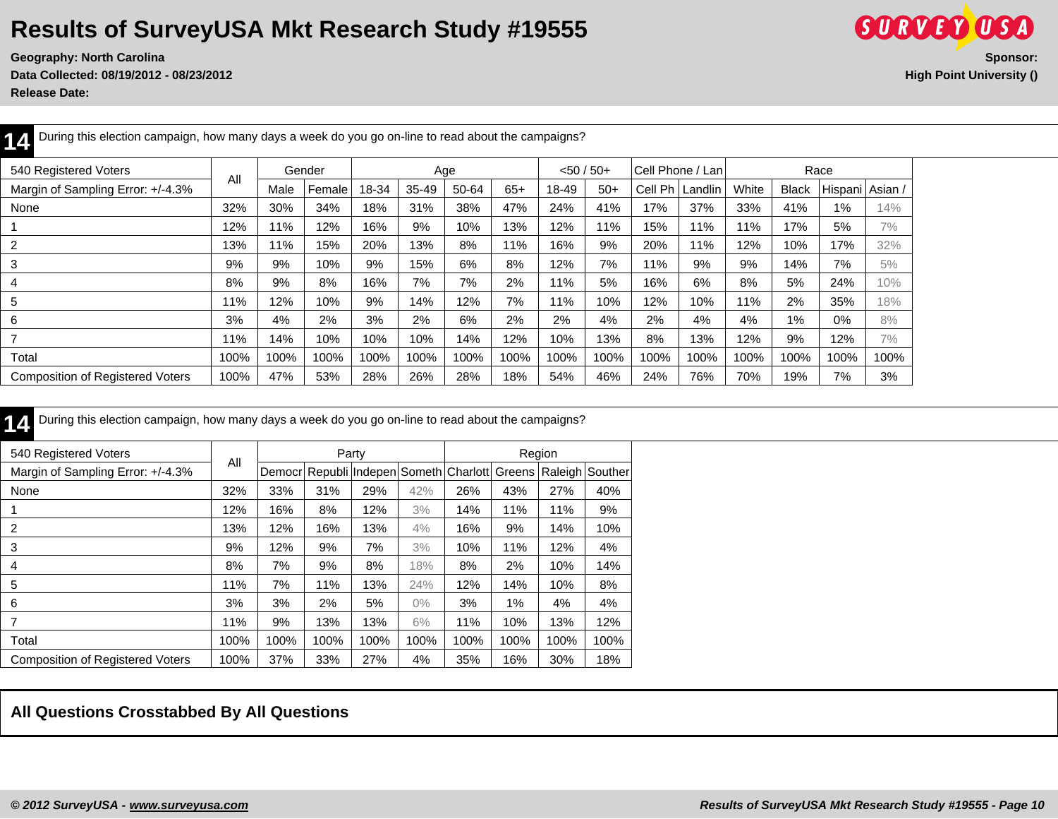**Data Collected: 08/19/2012 - 08/23/2012 High Point University ()**



**Release Date:** 

| During this election campaign, how many days a week do you go on-line to read about the campaigns?<br>14 |      |      |        |       |           |       |       |       |              |         |                  |       |              |                 |      |  |
|----------------------------------------------------------------------------------------------------------|------|------|--------|-------|-----------|-------|-------|-------|--------------|---------|------------------|-------|--------------|-----------------|------|--|
| 540 Registered Voters                                                                                    | All  |      | Gender |       |           | Age   |       |       | $< 50 / 50+$ |         | Cell Phone / Lan |       |              | Race            |      |  |
| Margin of Sampling Error: +/-4.3%                                                                        |      | Male | Female | 18-34 | $35 - 49$ | 50-64 | $65+$ | 18-49 | $50+$        | Cell Ph | Landlin          | White | <b>Black</b> | Hispani Asian / |      |  |
| None                                                                                                     | 32%  | 30%  | 34%    | 18%   | 31%       | 38%   | 47%   | 24%   | 41%          | 17%     | 37%              | 33%   | 41%          | $1\%$           | 14%  |  |
|                                                                                                          | 12%  | 11%  | 12%    | 16%   | 9%        | 10%   | 13%   | 12%   | 11%          | 15%     | 11%              | 11%   | 17%          | 5%              | 7%   |  |
| 2                                                                                                        | 13%  | 11%  | 15%    | 20%   | 13%       | 8%    | 11%   | 16%   | 9%           | 20%     | 11%              | 12%   | 10%          | 17%             | 32%  |  |
| 3                                                                                                        | 9%   | 9%   | 10%    | 9%    | 15%       | 6%    | 8%    | 12%   | 7%           | 11%     | 9%               | 9%    | 14%          | 7%              | 5%   |  |
| 4                                                                                                        | 8%   | 9%   | 8%     | 16%   | 7%        | 7%    | 2%    | 11%   | 5%           | 16%     | 6%               | 8%    | 5%           | 24%             | 10%  |  |
| 5                                                                                                        | 11%  | 12%  | 10%    | 9%    | 14%       | 12%   | 7%    | 11%   | 10%          | 12%     | 10%              | 11%   | 2%           | 35%             | 18%  |  |
| 6                                                                                                        | 3%   | 4%   | 2%     | 3%    | 2%        | 6%    | 2%    | 2%    | 4%           | 2%      | 4%               | 4%    | 1%           | 0%              | 8%   |  |
| $\overline{ }$                                                                                           | 11%  | 14%  | 10%    | 10%   | 10%       | 14%   | 12%   | 10%   | 13%          | 8%      | 13%              | 12%   | 9%           | 12%             | 7%   |  |
| Total                                                                                                    | 100% | 100% | 100%   | 100%  | 100%      | 100%  | 100%  | 100%  | 100%         | 100%    | 100%             | 100%  | 100%         | 100%            | 100% |  |
| <b>Composition of Registered Voters</b>                                                                  | 100% | 47%  | 53%    | 28%   | 26%       | 28%   | 18%   | 54%   | 46%          | 24%     | 76%              | 70%   | 19%          | 7%              | 3%   |  |

| 540 Registered Voters                   |      |        |      | Party |                                 |      |      | Region                     |      |
|-----------------------------------------|------|--------|------|-------|---------------------------------|------|------|----------------------------|------|
| Margin of Sampling Error: +/-4.3%       | All  | Democr |      |       | Republi Indepen Someth Charlott |      |      | Greens   Raleigh   Souther |      |
| None                                    | 32%  | 33%    | 31%  | 29%   | 42%                             | 26%  | 43%  | 27%                        | 40%  |
|                                         | 12%  | 16%    | 8%   | 12%   | 3%                              | 14%  | 11%  | 11%                        | 9%   |
| 2                                       | 13%  | 12%    | 16%  | 13%   | $4\%$                           | 16%  | 9%   | 14%                        | 10%  |
| 3                                       | 9%   | 12%    | 9%   | 7%    | 3%                              | 10%  | 11%  | 12%                        | 4%   |
| 4                                       | 8%   | 7%     | 9%   | 8%    | 18%                             | 8%   | 2%   | 10%                        | 14%  |
| 5                                       | 11%  | 7%     | 11%  | 13%   | 24%                             | 12%  | 14%  | 10%                        | 8%   |
| 6                                       | 3%   | 3%     | 2%   | 5%    | $0\%$                           | 3%   | 1%   | 4%                         | 4%   |
| 7                                       | 11%  | 9%     | 13%  | 13%   | 6%                              | 11%  | 10%  | 13%                        | 12%  |
| Total                                   | 100% | 100%   | 100% | 100%  | 100%                            | 100% | 100% | 100%                       | 100% |
| <b>Composition of Registered Voters</b> | 100% | 37%    | 33%  | 27%   | 4%                              | 35%  | 16%  | 30%                        | 18%  |

**14** During this election campaign, how many days a week do you go on-line to read about the campaigns?

#### **All Questions Crosstabbed By All Questions**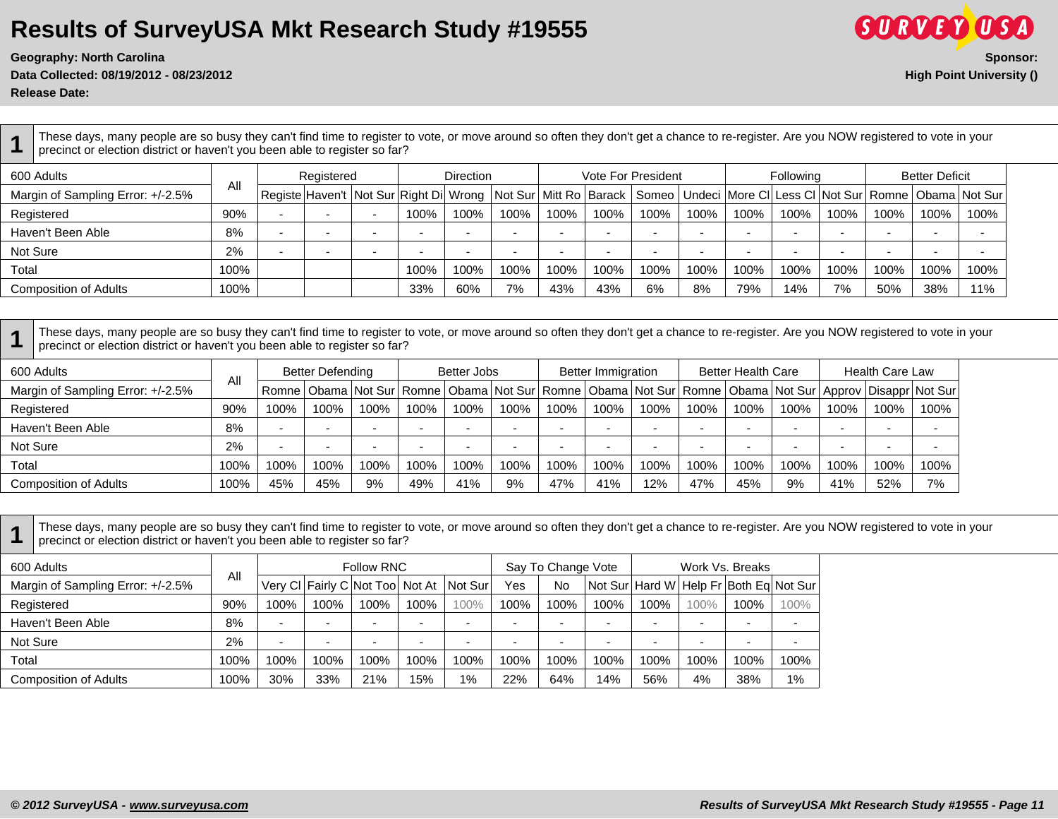**Geography: North Carolina Sponsor:**

**Data Collected: 08/19/2012 - 08/23/2012 High Point University ()**

**Release Date:** 

**1** These days, many people are so busy they can't find time to register to vote, or move around so often they don't get a chance to re-register. Are you NOW registered to vote in your precinct or election district or haven't you been able to register so far?

| 600 Adults                        |      |                          | Registered |                          |      | Direction |      |      |      | <b>Vote For President</b> |      |      | <b>Following</b> |      |      | <b>Better Deficit</b> |                                                                                                                                         |
|-----------------------------------|------|--------------------------|------------|--------------------------|------|-----------|------|------|------|---------------------------|------|------|------------------|------|------|-----------------------|-----------------------------------------------------------------------------------------------------------------------------------------|
| Margin of Sampling Error: +/-2.5% | All  |                          |            |                          |      |           |      |      |      |                           |      |      |                  |      |      |                       | Registe Haven't  Not Sur Right Di  Wrong   Not Sur  Mitt Ro  Barack    Someo   Undeci  More CI Less CI Not Sur   Romne   Obama  Not Sur |
| Registered                        | 90%  |                          |            | $\overline{\phantom{a}}$ | 100% | 100%      | 100% | 100% | 100% | 100%                      | 100% | 100% | 100%             | 100% | 100% | 100%                  | 100%                                                                                                                                    |
| Haven't Been Able                 | 8%   |                          |            |                          |      |           |      |      |      |                           |      |      |                  |      |      |                       |                                                                                                                                         |
| Not Sure                          | 2%   | $\overline{\phantom{a}}$ |            |                          |      |           | -    |      | -    |                           |      |      |                  |      |      |                       |                                                                                                                                         |
| Total                             | 100% |                          |            |                          | 100% | 100%      | 100% | 100% | 100% | 100%                      | 100% | 100% | 100%             | 100% | 100% | 100%                  | 100%                                                                                                                                    |
| <b>Composition of Adults</b>      | 100% |                          |            |                          | 33%  | 60%       | 7%   | 43%  | 43%  | 6%                        | 8%   | 79%  | 14%              | 7%   | 50%  | 38%                   | 11%                                                                                                                                     |

**1** These days, many people are so busy they can't find time to register to vote, or move around so often they don't get a chance to re-register. Are you NOW registered to vote in your precinct or election district or haven't you been able to register so far?

| 600 Adults                        |      |      | <b>Better Defending</b> |      |      | Better Jobs |      |      | <b>Better Immigration</b> |      |      | <b>Better Health Care</b> |      |      | <b>Health Care Law</b>                                                                                                             |      |
|-----------------------------------|------|------|-------------------------|------|------|-------------|------|------|---------------------------|------|------|---------------------------|------|------|------------------------------------------------------------------------------------------------------------------------------------|------|
| Margin of Sampling Error: +/-2.5% | All  |      |                         |      |      |             |      |      |                           |      |      |                           |      |      | Romne   Obama   Not Sur   Romne   Obama   Not Sur   Romne   Obama   Not Sur   Romne   Obama   Not Sur   Approv   Disappr   Not Sur |      |
| Registered                        | 90%  | 100% | 100%                    | 100% | 100% | 100%        | 100% | 100% | 100%                      | 100% | 100% | 100%                      | 100% | 100% | 100%                                                                                                                               | 100% |
| Haven't Been Able                 | 8%   |      |                         |      |      |             |      |      |                           |      |      |                           |      |      |                                                                                                                                    |      |
| Not Sure                          | 2%   |      |                         |      |      |             |      |      |                           |      |      |                           |      |      |                                                                                                                                    |      |
| Total                             | 100% | 100% | 100%                    | 100% | 100% | 100%        | 100% | 100% | 100%                      | 100% | 100% | 100%                      | 100% | 100% | 100%                                                                                                                               | 100% |
| <b>Composition of Adults</b>      | 100% | 45%  | 45%                     | 9%   | 49%  | 41%         | 9%   | 47%  | 41%                       | 12%  | 47%  | 45%                       | 9%   | 41%  | 52%                                                                                                                                | 7%   |

**1** These days, many people are so busy they can't find time to register to vote, or move around so often they don't get a chance to re-register. Are you NOW registered to vote in your precinct or election district or haven't you been able to register so far?

| 600 Adults                        |      |      |                          | <b>Follow RNC</b>               |      |         |                          | Say To Change Vote |      |                          |      | Work Vs. Breaks                        |      |
|-----------------------------------|------|------|--------------------------|---------------------------------|------|---------|--------------------------|--------------------|------|--------------------------|------|----------------------------------------|------|
| Margin of Sampling Error: +/-2.5% | All  |      |                          | Very CI Fairly C Not Too Not At |      | Not Sur | Yes                      | No                 |      |                          |      | Not Sur Hard W Help Fr Both Eq Not Sur |      |
| Registered                        | 90%  | 100% | 100%                     | 100%                            | 100% | 100%    | 100%                     | 100%               | 100% | 100%                     | 100% | 100%                                   | 100% |
| Haven't Been Able                 | 8%   | -    | $\overline{\phantom{0}}$ |                                 |      | -       | $\overline{\phantom{0}}$ |                    |      | $\overline{\phantom{0}}$ |      |                                        | -    |
| Not Sure                          | 2%   | -    | -                        |                                 |      | -       | -                        |                    |      | -                        | -    |                                        |      |
| Total                             | 100% | 100% | 100%                     | 100%                            | 100% | 100%    | 100%                     | 100%               | 100% | 100%                     | 100% | 100%                                   | 100% |
| <b>Composition of Adults</b>      | 100% | 30%  | 33%                      | 21%                             | 15%  | 1%      | 22%                      | 64%                | 14%  | 56%                      | 4%   | 38%                                    | 1%   |

**SURVEY USA**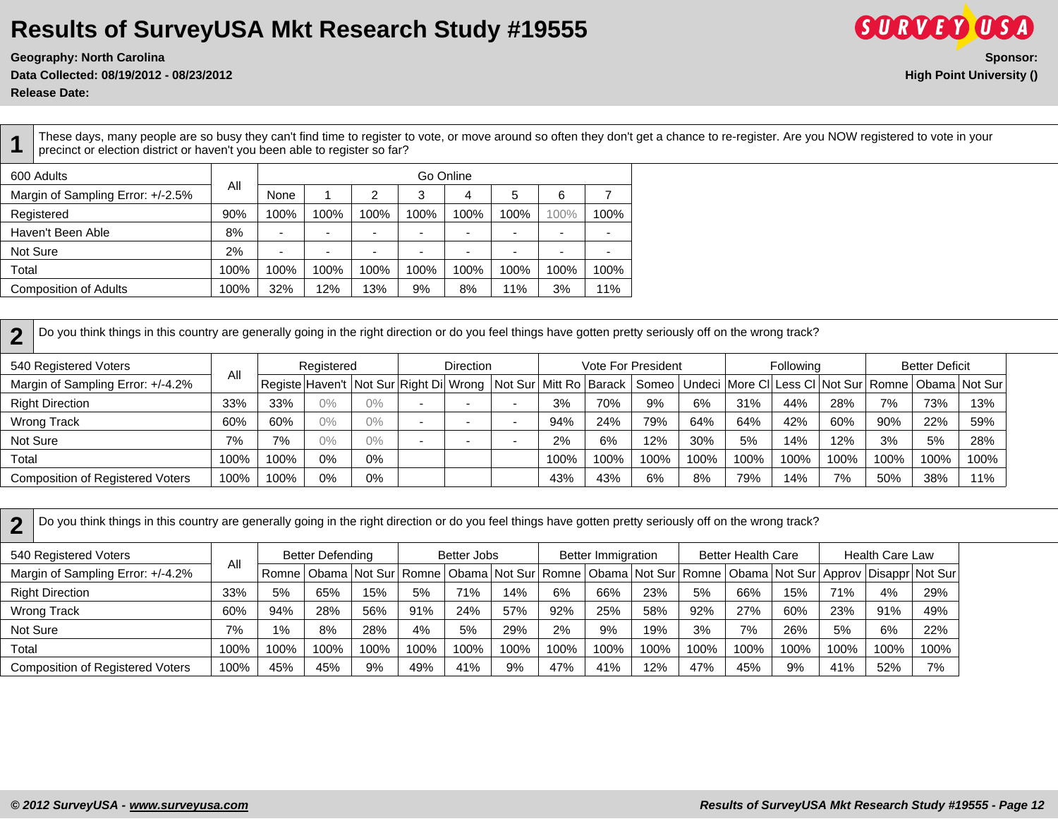**Data Collected: 08/19/2012 - 08/23/2012 High Point University ()**

**Release Date:** 

**1** These days, many people are so busy they can't find time to register to vote, or move around so often they don't get a chance to re-register. Are you NOW registered to vote in your precinct or election district or haven't you been able to register so far?

| 600 Adults                        |      |      |                          |      | Go Online                |      |      |      |      |
|-----------------------------------|------|------|--------------------------|------|--------------------------|------|------|------|------|
| Margin of Sampling Error: +/-2.5% | All  | None |                          | 2    | 3                        | 4    | 5    | 6    |      |
| Registered                        | 90%  | 100% | 100%                     | 100% | 100%                     | 100% | 100% | 100% | 100% |
| Haven't Been Able                 | 8%   | -    | $\overline{\phantom{0}}$ |      | $\overline{\phantom{0}}$ |      | -    | -    |      |
| Not Sure                          | 2%   |      | $\overline{\phantom{0}}$ |      | -                        | -    | -    | -    |      |
| Total                             | 100% | 100% | 100%                     | 100% | 100%                     | 100% | 100% | 100% | 100% |
| <b>Composition of Adults</b>      | 100% | 32%  | 12%                      | 13%  | 9%                       | 8%   | 11%  | 3%   | 11%  |

**2** Do you think things in this country are generally going in the right direction or do you feel things have gotten pretty seriously off on the wrong track?

| 540 Registered Voters                   |      |      | Registered |    |                                                                            | <b>Direction</b> |      | Vote For President |      |        |      | Following |      |      | <b>Better Deficit</b> |                                                                        |
|-----------------------------------------|------|------|------------|----|----------------------------------------------------------------------------|------------------|------|--------------------|------|--------|------|-----------|------|------|-----------------------|------------------------------------------------------------------------|
| Margin of Sampling Error: +/-4.2%       | All  |      |            |    | Registe  Haven't   Not Sur   Right Di   Wrong   Not Sur   Mitt Ro   Barack |                  |      |                    |      |        |      |           |      |      |                       | Someo   Undeci   More CI   Less CI   Not Sur   Romne   Obama   Not Sur |
| <b>Right Direction</b>                  | 33%  | 33%  | 0%         | 0% | . .                                                                        |                  | 3%   | 70%                | 9%   | 6%     | 31%  | 44%       | 28%  | 7%   | 73%                   | 13%                                                                    |
| Wrong Track                             | 60%  | 60%  | 0%         | 0% | . .                                                                        |                  | 94%  | 24%                | 79%  | 64%    | 64%  | 42%       | 60%  | 90%  | 22%                   | 59%                                                                    |
| Not Sure                                | 7%   | 7%   | $0\%$      | 0% | -                                                                          |                  | 2%   | 6%                 | 12%  | $30\%$ | 5%   | 14%       | 12%  | 3%   | 5%                    | 28%                                                                    |
| Total                                   | 100% | 100% | 0%         | 0% |                                                                            |                  | 100% | 100%               | 100% | 100%   | 100% | 100%      | 100% | 100% | 100%                  | 100%                                                                   |
| <b>Composition of Registered Voters</b> | 100% | 100% | 0%         | 0% |                                                                            |                  | 43%  | 43%                | 6%   | 8%     | 79%  | 14%       | 7%   | 50%  | 38%                   | 11%                                                                    |

**2** Do you think things in this country are generally going in the right direction or do you feel things have gotten pretty seriously off on the wrong track?

| 540 Registered Voters                   |      |       | <b>Better Defending</b> |      |      | Better Jobs |      |      | <b>Better Immigration</b> |      |                                                                                                                                    | <b>Better Health Care</b> |      |      | <b>Health Care Law</b> |      |
|-----------------------------------------|------|-------|-------------------------|------|------|-------------|------|------|---------------------------|------|------------------------------------------------------------------------------------------------------------------------------------|---------------------------|------|------|------------------------|------|
| Margin of Sampling Error: +/-4.2%       | Αll  |       |                         |      |      |             |      |      |                           |      | Romne   Obama   Not Sur   Romne   Obama   Not Sur   Romne   Obama   Not Sur   Romne   Obama   Not Sur   Approv   Disappr   Not Sur |                           |      |      |                        |      |
| <b>Right Direction</b>                  | 33%  | 5%    | 65%                     | 15%  | 5%   | 71%         | 14%  | 6%   | 66%                       | 23%  | 5%                                                                                                                                 | 66%                       | 15%  | 71%  | 4%                     | 29%  |
| Wrong Track                             | 60%  | 94%   | 28%                     | 56%  | 91%  | 24%         | 57%  | 92%  | 25%                       | 58%  | 92%                                                                                                                                | 27%                       | 60%  | 23%  | 91%                    | 49%  |
| Not Sure                                | 7%   | $1\%$ | 8%                      | 28%  | 4%   | 5%          | 29%  | 2%   | 9%                        | 19%  | 3%                                                                                                                                 | 7%                        | 26%  | 5%   | 6%                     | 22%  |
| Total                                   | 100% | 100%  | 100%                    | 100% | 100% | 100%        | 100% | 100% | 100%                      | 100% | 100%                                                                                                                               | 100%                      | 100% | 100% | 100%                   | 100% |
| <b>Composition of Registered Voters</b> | 100% | 45%   | 45%                     | 9%   | 49%  | 41%         | 9%   | 47%  | 41%                       | 12%  | 47%                                                                                                                                | 45%                       | 9%   | 41%  | 52%                    | 7%   |

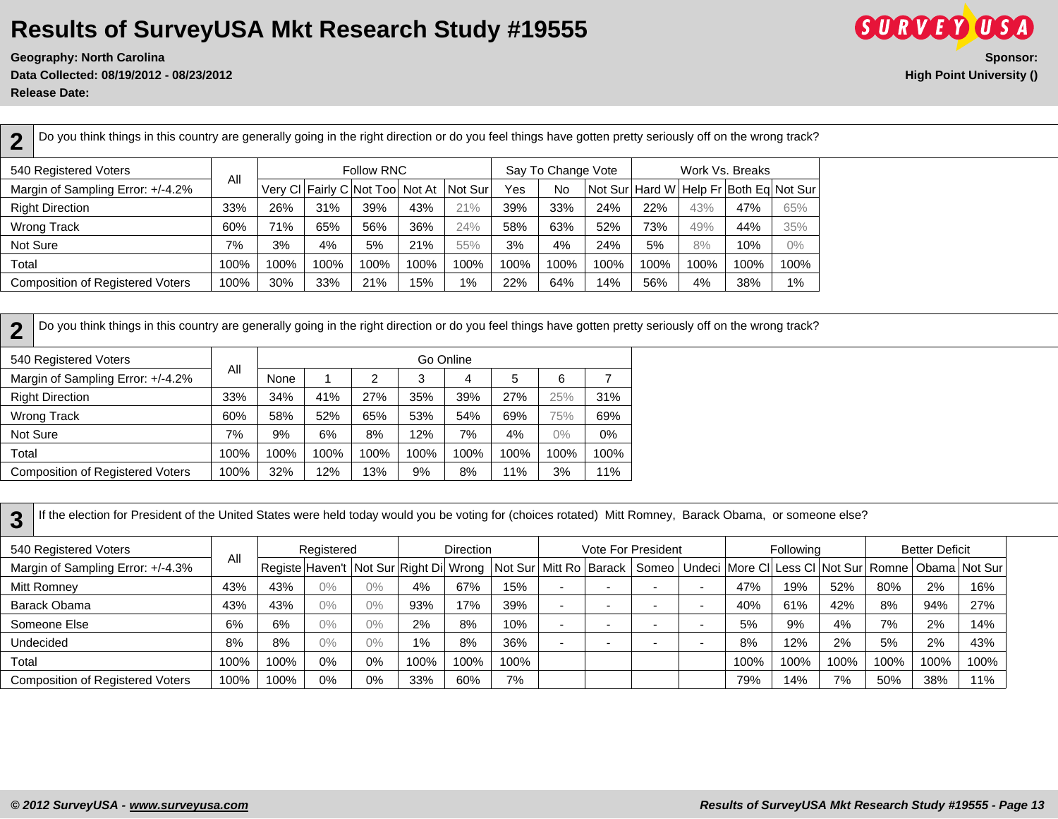**Data Collected: 08/19/2012 - 08/23/2012 High Point University () Release Date:** 



**2** Do you think things in this country are generally going in the right direction or do you feel things have gotten pretty seriously off on the wrong track? 540 Registered Voters All Follow RNC | Say To Change Vote | Work Vs. Breaks Margin of Sampling Error: +/-4.2% | '" | Very Cl Fairly C Not Too Not At | Not Sur | Yes | No | Not Sur | Hard W | Help Fr | Both Eq | Not Sur Right Direction | 33% | 26% | 31% | 39% | 43% | 30% | 33% | 24% | 22% | 43% | 47% | 65% Wrong Track | 60% | 71% | 65% | 56% | 36% | 24% | 58% | 52% | 73% | 49% | 44% | 35% Not Sure | 7% | 3% | 4% | 5% | 21% | 55% | 3% | 4% | 24% | 5% | 8% | 10% | 0% Total | 100% | 100% | 100% | 100% | 100% | 100% | 100% | 100% | 100% | 100% | 100% | 100% | 100% | 100% | 100% | 100% | 100% | 100% | 100% | 100% | 100% | 100% | 100% | 100% | 100% | 100 Composition of Registered Voters | 100% | 30% | 33% | 21% | 15% | 1% | 22% | 64% | 14% | 56% | 4% | 38% | 1%

**2** Do you think things in this country are generally going in the right direction or do you feel things have gotten pretty seriously off on the wrong track?

| 540 Registered Voters                   |      |      |      |      | Go Online |      |      |       |      |
|-----------------------------------------|------|------|------|------|-----------|------|------|-------|------|
| Margin of Sampling Error: +/-4.2%       | Αll  | None |      | 2    | 3         | 4    | 5    | 6     |      |
| <b>Right Direction</b>                  | 33%  | 34%  | 41%  | 27%  | 35%       | 39%  | 27%  | 25%   | 31%  |
| <b>Wrong Track</b>                      | 60%  | 58%  | 52%  | 65%  | 53%       | 54%  | 69%  | 75%   | 69%  |
| Not Sure                                | 7%   | 9%   | 6%   | 8%   | 12%       | 7%   | 4%   | $0\%$ | 0%   |
| Total                                   | 100% | 100% | 100% | 100% | 100%      | 100% | 100% | 100%  | 100% |
| <b>Composition of Registered Voters</b> | 100% | 32%  | 12%  | 13%  | 9%        | 8%   | 11%  | 3%    | 11%  |

**3** If the election for President of the United States were held today would you be voting for (choices rotated) Mitt Romney, Barack Obama, or someone else?

| 540 Registered Voters                   |      |      | Registered |       |       | <b>Direction</b> |      |     | Vote For President                                                                                                           |      | Following |      |      | <b>Better Deficit</b> |      |
|-----------------------------------------|------|------|------------|-------|-------|------------------|------|-----|------------------------------------------------------------------------------------------------------------------------------|------|-----------|------|------|-----------------------|------|
| Margin of Sampling Error: +/-4.3%       | All  |      |            |       |       |                  |      |     | Registe Haven't Not Sur Right Di Wrong Not Sur Mitt Ro Barack   Someo   Undeci More Cl Less Cl Not Sur Romne   Obama Not Sur |      |           |      |      |                       |      |
| Mitt Romney                             | 43%  | 43%  | $0\%$      | $0\%$ | 4%    | 67%              | 15%  | . . |                                                                                                                              | 47%  | 19%       | 52%  | 80%  | 2%                    | 16%  |
| Barack Obama                            | 43%  | 43%  | $0\%$      | $0\%$ | 93%   | 17%              | 39%  | . . |                                                                                                                              | 40%  | 61%       | 42%  | 8%   | 94%                   | 27%  |
| Someone Else                            | 6%   | 6%   | $0\%$      | $0\%$ | 2%    | 8%               | 10%  | . . |                                                                                                                              | 5%   | 9%        | 4%   | 7%   | 2%                    | 14%  |
| Undecided                               | 8%   | 8%   | $0\%$      | $0\%$ | $1\%$ | 8%               | 36%  |     |                                                                                                                              | 8%   | 12%       | 2%   | 5%   | 2%                    | 43%  |
| Total                                   | 100% | 100% | 0%         | 0%    | 100%  | 100%             | 100% |     |                                                                                                                              | 100% | 100%      | 100% | 100% | 100%                  | 100% |
| <b>Composition of Registered Voters</b> | 100% | 100% | $0\%$      | 0%    | 33%   | 60%              | 7%   |     |                                                                                                                              | 79%  | 14%       | 7%   | 50%  | 38%                   | 11%  |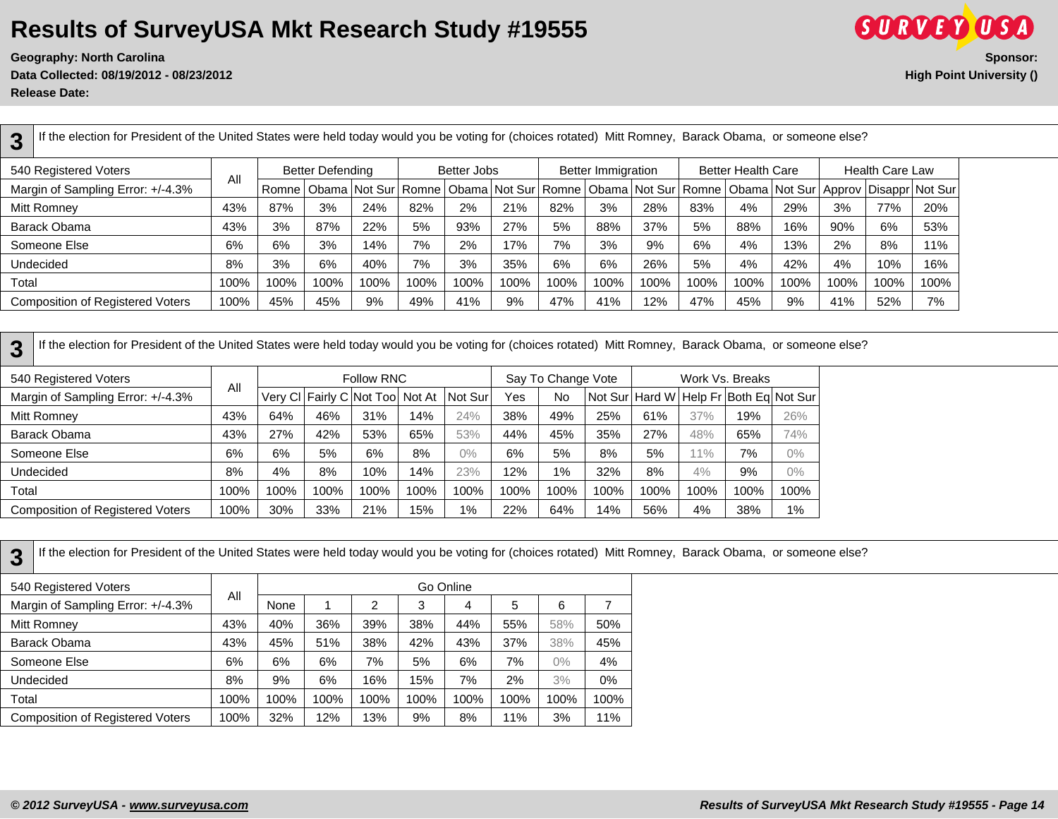**Data Collected: 08/19/2012 - 08/23/2012 High Point University ()**

**Release Date:** 

| If the election for President of the United States were held today would you be voting for (choices rotated) Mitt Romney, Barack Obama, or someone else?<br>3 |      |       |                         |                         |      |             |               |      |                           |      |      |                           |      |         |                        |                                                                                |
|---------------------------------------------------------------------------------------------------------------------------------------------------------------|------|-------|-------------------------|-------------------------|------|-------------|---------------|------|---------------------------|------|------|---------------------------|------|---------|------------------------|--------------------------------------------------------------------------------|
| 540 Registered Voters                                                                                                                                         | All  |       | <b>Better Defending</b> |                         |      | Better Jobs |               |      | <b>Better Immigration</b> |      |      | <b>Better Health Care</b> |      |         | <b>Health Care Law</b> |                                                                                |
| Margin of Sampling Error: +/-4.3%                                                                                                                             |      | Romne |                         | Obama   Not Sur   Romne |      |             | Obama Not Sur |      |                           |      |      |                           |      |         |                        | Romne   Obama   Not Sur   Romne   Obama   Not Sur   Approv   Disappr   Not Sur |
| Mitt Romney                                                                                                                                                   | 43%  | 87%   | 3%                      | 24%                     | 82%  | 2%          | 21%           | 82%  | 3%                        | 28%  | 83%  | 4%                        | 29%  | 3%      | 77%                    | 20%                                                                            |
| Barack Obama                                                                                                                                                  | 43%  | 3%    | 87%                     | 22%                     | 5%   | 93%         | 27%           | 5%   | 88%                       | 37%  | 5%   | 88%                       | 16%  | 90%     | 6%                     | 53%                                                                            |
| Someone Else                                                                                                                                                  | 6%   | 6%    | 3%                      | 14%                     | 7%   | 2%          | 17%           | 7%   | 3%                        | 9%   | 6%   | 4%                        | 13%  | 2%      | 8%                     | 11%                                                                            |
| Undecided                                                                                                                                                     | 8%   | 3%    | 6%                      | 40%                     | 7%   | 3%          | 35%           | 6%   | 6%                        | 26%  | 5%   | 4%                        | 42%  | 4%      | 10%                    | 16%                                                                            |
| Total                                                                                                                                                         | 100% | 100%  | 100%                    | 100%                    | 100% | 100%        | 100%          | 100% | 100%                      | 100% | 100% | 100%                      | 100% | $100\%$ | 100%                   | 100%                                                                           |
| <b>Composition of Registered Voters</b>                                                                                                                       | 100% | 45%   | 45%                     | 9%                      | 49%  | 41%         | 9%            | 47%  | 41%                       | 12%  | 47%  | 45%                       | 9%   | 41%     | 52%                    | 7%                                                                             |

| If the election for President of the United States were held today would you be voting for (choices rotated) Mitt Romney, Barack Obama, or someone else?<br>3 |      |      |      |                                 |      |         |      |                    |      |      |      |                 |                                                |
|---------------------------------------------------------------------------------------------------------------------------------------------------------------|------|------|------|---------------------------------|------|---------|------|--------------------|------|------|------|-----------------|------------------------------------------------|
| 540 Registered Voters                                                                                                                                         |      |      |      | Follow RNC                      |      |         |      | Say To Change Vote |      |      |      | Work Vs. Breaks |                                                |
| Margin of Sampling Error: +/-4.3%                                                                                                                             | All  |      |      | Very CI Fairly C Not Too Not At |      | Not Sur | Yes  | No                 |      |      |      |                 | Not Sur   Hard W   Help Fr   Both Eq   Not Sur |
| Mitt Romney                                                                                                                                                   | 43%  | 64%  | 46%  | 31%                             | 14%  | 24%     | 38%  | 49%                | 25%  | 61%  | 37%  | 19%             | 26%                                            |
| Barack Obama                                                                                                                                                  | 43%  | 27%  | 42%  | 53%                             | 65%  | 53%     | 44%  | 45%                | 35%  | 27%  | 48%  | 65%             | 74%                                            |
| Someone Else                                                                                                                                                  | 6%   | 6%   | 5%   | 6%                              | 8%   | $0\%$   | 6%   | 5%                 | 8%   | 5%   | 11%  | 7%              | $0\%$                                          |
| <b>Undecided</b>                                                                                                                                              | 8%   | 4%   | 8%   | 10%                             | 14%  | 23%     | 12%  | $1\%$              | 32%  | 8%   | 4%   | 9%              | $0\%$                                          |
| Total                                                                                                                                                         | 100% | 100% | 100% | 100%                            | 100% | 100%    | 100% | 100%               | 100% | 100% | 100% | 100%            | 100%                                           |
| <b>Composition of Registered Voters</b>                                                                                                                       | 100% | 30%  | 33%  | 21%                             | 15%  | $1\%$   | 22%  | 64%                | 14%  | 56%  | 4%   | 38%             | 1%                                             |

| If the election for President of the United States were held today would you be voting for (choices rotated) Mitt Romney, Barack Obama, or s<br>3 |      |      |      |      |      |           |      |       |       |  |
|---------------------------------------------------------------------------------------------------------------------------------------------------|------|------|------|------|------|-----------|------|-------|-------|--|
| 540 Registered Voters                                                                                                                             |      |      |      |      |      | Go Online |      |       |       |  |
| Margin of Sampling Error: +/-4.3%                                                                                                                 | All  | None |      | 2    | 3    | 4         | 5    | 6     |       |  |
| Mitt Romney                                                                                                                                       | 43%  | 40%  | 36%  | 39%  | 38%  | 44%       | 55%  | 58%   | 50%   |  |
| Barack Obama                                                                                                                                      | 43%  | 45%  | 51%  | 38%  | 42%  | 43%       | 37%  | 38%   | 45%   |  |
| Someone Else                                                                                                                                      | 6%   | 6%   | 6%   | 7%   | 5%   | 6%        | 7%   | $0\%$ | 4%    |  |
| <b>Undecided</b>                                                                                                                                  | 8%   | 9%   | 6%   | 16%  | 15%  | 7%        | 2%   | 3%    | $0\%$ |  |
| Total                                                                                                                                             | 100% | 100% | 100% | 100% | 100% | 100%      | 100% | 100%  | 100%  |  |
| <b>Composition of Registered Voters</b>                                                                                                           | 100% | 32%  | 12%  | 13%  | 9%   | 8%        | 11%  | 3%    | 11%   |  |
|                                                                                                                                                   |      |      |      |      |      |           |      |       |       |  |

If the election for President of the United States were held today would you be voting for (choices rotated) Mitt Romney, Barack Obama, or someone else?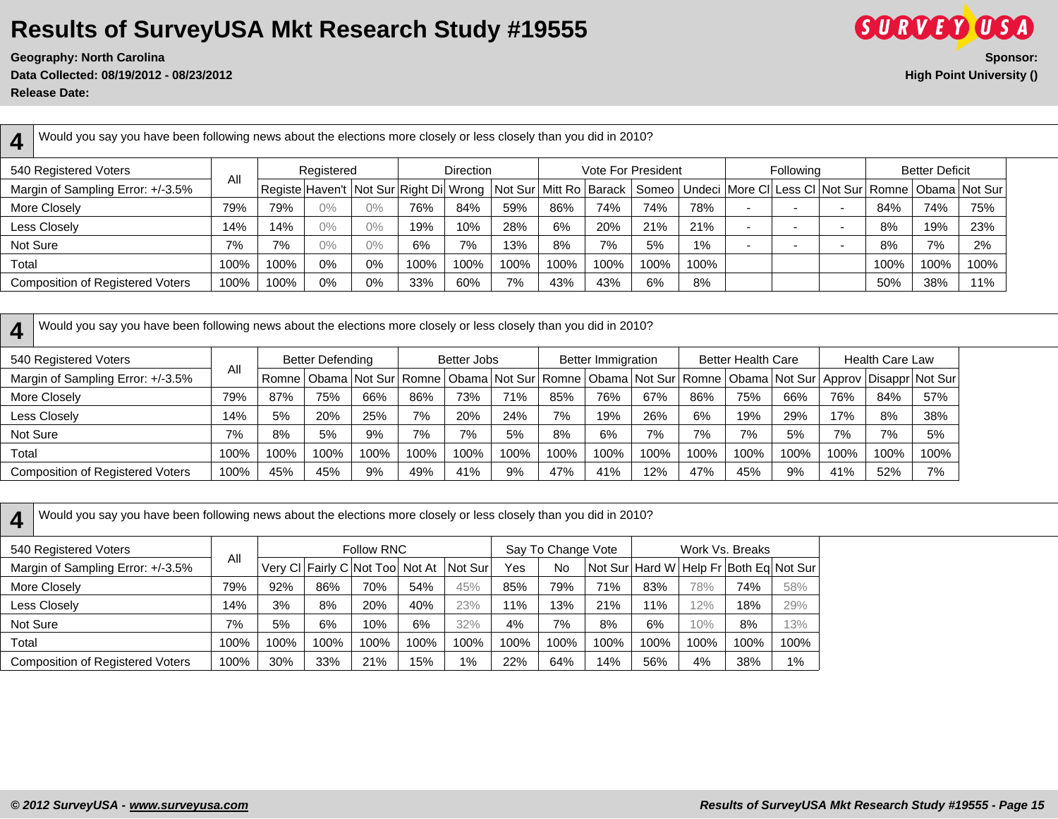**Data Collected: 08/19/2012 - 08/23/2012 High Point University () Release Date:** 



| $\mathbf 1$ | Would you say you have been following news about the elections more closely or less closely than you did in 2010? |      |      |            |       |                                            |                  |      |      |      |                           |      |                                                                                                     |                          |      |                       |      |
|-------------|-------------------------------------------------------------------------------------------------------------------|------|------|------------|-------|--------------------------------------------|------------------|------|------|------|---------------------------|------|-----------------------------------------------------------------------------------------------------|--------------------------|------|-----------------------|------|
|             | 540 Registered Voters                                                                                             | All  |      | Registered |       |                                            | <b>Direction</b> |      |      |      | <b>Vote For President</b> |      | <b>Following</b>                                                                                    |                          |      | <b>Better Deficit</b> |      |
|             | Margin of Sampling Error: +/-3.5%                                                                                 |      |      |            |       | Registe Haven't   Not Sur Right Di   Wrong |                  |      |      |      |                           |      | Not Sur   Mitt Ro   Barack   Someo   Undeci   More CI   Less CI   Not Sur   Romne   Obama   Not Sur |                          |      |                       |      |
|             | More Closely                                                                                                      | 79%  | 79%  | $0\%$      | 0%    | 76%                                        | 84%              | 59%  | 86%  | 74%  | 74%                       | 78%  |                                                                                                     | $\overline{\phantom{a}}$ | 84%  | 74%                   | 75%  |
|             | Less Closely                                                                                                      | 14%  | 14%  | $0\%$      | $0\%$ | 19%                                        | 10%              | 28%  | 6%   | 20%  | 21%                       | 21%  |                                                                                                     | $\overline{\phantom{a}}$ | 8%   | 19%                   | 23%  |
| Not Sure    |                                                                                                                   | 7%   | 7%   | 0%         | 0%    | 6%                                         | 7%               | 13%  | 8%   | 7%   | 5%                        | 1%   |                                                                                                     | $\overline{\phantom{a}}$ | 8%   | 7%                    | 2%   |
| Total       |                                                                                                                   | 100% | 100% | $0\%$      | 0%    | 100%                                       | 100%             | 100% | 100% | 100% | 100%                      | 100% |                                                                                                     |                          | 100% | 100%                  | 100% |
|             | <b>Composition of Registered Voters</b>                                                                           | 100% | 100% | 0%         | 0%    | 33%                                        | 60%              | 7%   | 43%  | 43%  | 6%                        | 8%   |                                                                                                     |                          | 50%  | 38%                   | 11%  |

**4** Would you say you have been following news about the elections more closely or less closely than you did in 2010?

| 540 Registered Voters                   |      |      | <b>Better Defending</b><br>Romne   Obama   Not Sur   Romne   Obama   Not Sur   Romne   Obama   Not Sur   Romne   Obama   Not Sur   Approv   Disappr   Not Sur |      |      | Better Jobs |      |      | <b>Better Immigration</b> |      |      | <b>Better Health Care</b> |      |      | <b>Health Care Law</b> |      |
|-----------------------------------------|------|------|---------------------------------------------------------------------------------------------------------------------------------------------------------------|------|------|-------------|------|------|---------------------------|------|------|---------------------------|------|------|------------------------|------|
| Margin of Sampling Error: +/-3.5%       | All  |      |                                                                                                                                                               |      |      |             |      |      |                           |      |      |                           |      |      |                        |      |
| More Closely                            | 79%  | 87%  | 75%                                                                                                                                                           | 66%  | 86%  | 73%         | 71%  | 85%  | 76%                       | 67%  | 86%  | 75%                       | 66%  | 76%  | 84%                    | 57%  |
| Less Closely                            | 14%  | 5%   | 20%                                                                                                                                                           | 25%  | 7%   | 20%         | 24%  | 7%   | 19%                       | 26%  | 6%   | 19%                       | 29%  | 17%  | 8%                     | 38%  |
| Not Sure                                | 7%   | 8%   | 5%                                                                                                                                                            | 9%   | 7%   | 7%          | 5%   | 8%   | 6%                        | 7%   | 7%   | 7%                        | 5%   | 7%   | 7%                     | 5%   |
| Total                                   | 100% | 100% | 100%                                                                                                                                                          | 100% | 100% | 100%        | 100% | 100% | 100%                      | 100% | 100% | 100%                      | 100% | 100% | 100%                   | 100% |
| <b>Composition of Registered Voters</b> | 100% | 45%  | 45%                                                                                                                                                           | 9%   | 49%  | 41%         | 9%   | 47%  | 41%                       | 12%  | 47%  | 45%                       | 9%   | 41%  | 52%                    | 7%   |

| Δ.    | Would you say you have been following news about the elections more closely or less closely than you did in 2010? |      |      |      |                                  |      |         |      |                    |      |      |      |                                        |       |
|-------|-------------------------------------------------------------------------------------------------------------------|------|------|------|----------------------------------|------|---------|------|--------------------|------|------|------|----------------------------------------|-------|
|       | 540 Registered Voters                                                                                             | All  |      |      | Follow RNC                       |      |         |      | Say To Change Vote |      |      |      | Work Vs. Breaks                        |       |
|       | Margin of Sampling Error: +/-3.5%                                                                                 |      |      |      | Very CI Fairly C Not Tool Not At |      | Not Sur | Yes  | No                 |      |      |      | Not Sur Hard W Help Fr Both Eq Not Sur |       |
|       | More Closely                                                                                                      | 79%  | 92%  | 86%  | 70%                              | 54%  | 45%     | 85%  | 79%                | 71%  | 83%  | 78%  | 74%                                    | 58%   |
|       | <b>Less Closely</b>                                                                                               | 14%  | 3%   | 8%   | 20%                              | 40%  | 23%     | 11%  | 13%                | 21%  | 11%  | 12%  | 18%                                    | 29%   |
|       | Not Sure                                                                                                          | 7%   | 5%   | 6%   | 10%                              | 6%   | 32%     | 4%   | 7%                 | 8%   | 6%   | 10%  | 8%                                     | 13%   |
| Total |                                                                                                                   | 100% | 100% | 100% | 100%                             | 100% | 100%    | 100% | 100%               | 100% | 100% | 100% | 100%                                   | 100%  |
|       | <b>Composition of Registered Voters</b>                                                                           | 100% | 30%  | 33%  | 21%                              | 15%  | 1%      | 22%  | 64%                | 14%  | 56%  | 4%   | 38%                                    | $1\%$ |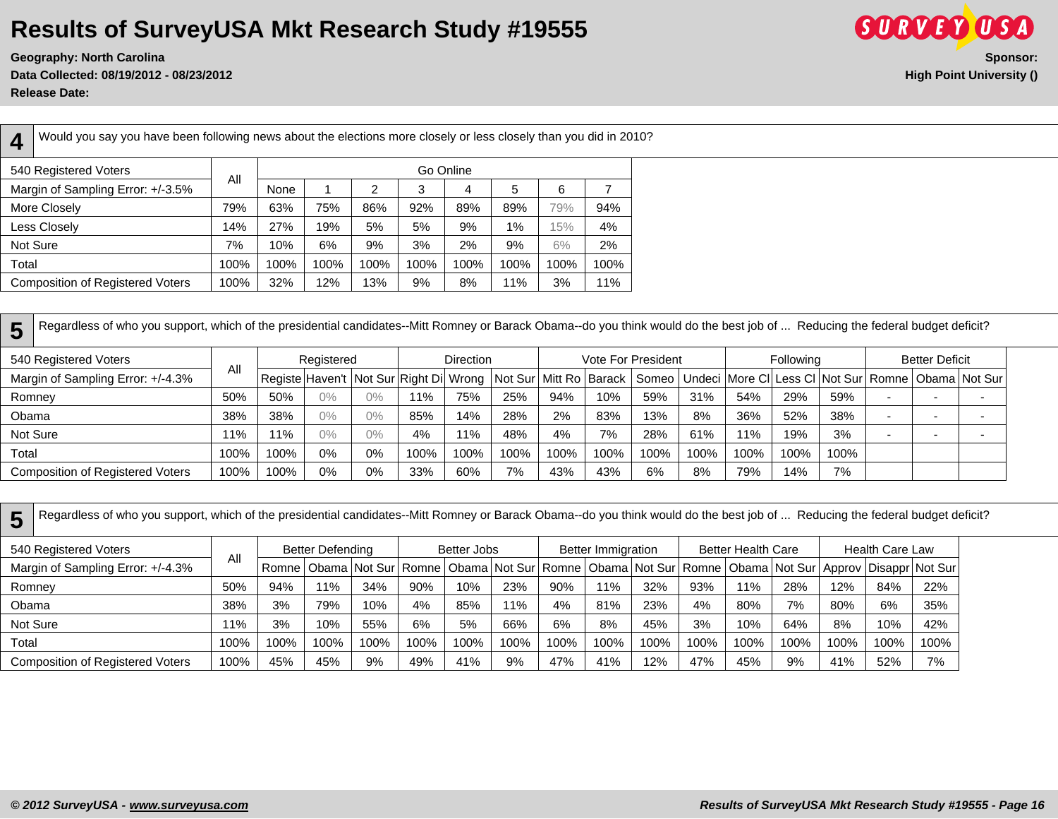**Geography: North Carolina Sponsor: Data Collected: 08/19/2012 - 08/23/2012 High Point University () Release Date:** 



**4** Would you say you have been following news about the elections more closely or less closely than you did in 2010? 540 Registered Voters All Go Online Margin of Sampling Error: +/-3.5% None 1 2 3 4 5 6 7 More Closely 79% 63% 75% 86% 92% 89% 89% 79% 94% Less Closely 14% 27% 19% 5% 5% 9% 1% 15% 4% Not Sure | 7% | 10% | 6% | 9% | 3% | 2% | 9% | 6% | 2% Total 100% 100% 100% 100% 100% 100% 100% 100% 100%

Composition of Registered Voters | 100% | 32% | 12% | 13% | 9% | 8% | 11% | 3% | 11%

**5** Regardless of who you support, which of the presidential candidates--Mitt Romney or Barack Obama--do you think would do the best job of ... Reducing the federal budget deficit?

| 540 Registered Voters                   |      |      | Registered<br>Registe ∣Haven't ∣Not Sur ∣Right Di│Wrong │Not Sur│Mitt Ro│Barack │Someo│Undeci ∣More Cl│Less Cl│Not Sur│Romne│Obama│Not Sur│ |       |      | <b>Direction</b> |      |      |      | <b>Vote For President</b> |      |      | <b>Following</b> |      | <b>Better Deficit</b>    |  |
|-----------------------------------------|------|------|---------------------------------------------------------------------------------------------------------------------------------------------|-------|------|------------------|------|------|------|---------------------------|------|------|------------------|------|--------------------------|--|
| Margin of Sampling Error: +/-4.3%       | All  |      |                                                                                                                                             |       |      |                  |      |      |      |                           |      |      |                  |      |                          |  |
| Romney                                  | 50%  | 50%  | 0%                                                                                                                                          | $0\%$ | 11%  | 75%              | 25%  | 94%  | 10%  | 59%                       | 31%  | 54%  | 29%              | 59%  | . .                      |  |
| Obama                                   | 38%  | 38%  | 0%                                                                                                                                          | $0\%$ | 85%  | 4%               | 28%  | 2%   | 83%  | 13%                       | 8%   | 36%  | 52%              | 38%  | $\overline{\phantom{0}}$ |  |
| Not Sure                                | 11%  | 1%   | 0%                                                                                                                                          | $0\%$ | 4%   | $1\%$            | 48%  | 4%   | 7%   | 28%                       | 61%  | 11%  | 19%              | 3%   | $\overline{\phantom{0}}$ |  |
| Total                                   | 100% | 100% | 0%                                                                                                                                          | 0%    | 100% | 100%             | 100% | 100% | 100% | 100%                      | 100% | 100% | 100%             | 100% |                          |  |
| <b>Composition of Registered Voters</b> | 100% | 100% | 0%                                                                                                                                          | 0%    | 33%  | 60%              | 7%   | 43%  | 43%  | 6%                        | 8%   | 79%  | 14%              | 7%   |                          |  |

| 5        | Regardless of who you support, which of the presidential candidates--Mitt Romney or Barack Obama--do you think would do the best job of  Reducing the federal budget deficit? |      |       |                  |      |      |             |      |      |                    |      |      |                           |      |      |                        |                                                                                                                            |
|----------|-------------------------------------------------------------------------------------------------------------------------------------------------------------------------------|------|-------|------------------|------|------|-------------|------|------|--------------------|------|------|---------------------------|------|------|------------------------|----------------------------------------------------------------------------------------------------------------------------|
|          | 540 Registered Voters                                                                                                                                                         |      |       | Better Defending |      |      | Better Jobs |      |      | Better Immigration |      |      | <b>Better Health Care</b> |      |      | <b>Health Care Law</b> |                                                                                                                            |
|          | Margin of Sampling Error: +/-4.3%                                                                                                                                             | Αll  | Romne |                  |      |      |             |      |      |                    |      |      |                           |      |      |                        | Obama   Not Sur   Romne   Obama   Not Sur   Romne   Obama   Not Sur   Romne   Obama   Not Sur   Approv   Disappr   Not Sur |
| Romney   |                                                                                                                                                                               | 50%  | 94%   | 11%              | 34%  | 90%  | 10%         | 23%  | 90%  | 11%                | 32%  | 93%  | 11%                       | 28%  | 12%  | 84%                    | 22%                                                                                                                        |
| Obama    |                                                                                                                                                                               | 38%  | 3%    | 79%              | 10%  | 4%   | 85%         | 11%  | 4%   | 81%                | 23%  | 4%   | 80%                       | 7%   | 80%  | 6%                     | 35%                                                                                                                        |
| Not Sure |                                                                                                                                                                               | 1%   | 3%    | 10%              | 55%  | 6%   | 5%          | 66%  | 6%   | 8%                 | 45%  | 3%   | 10%                       | 64%  | 8%   | 10%                    | 42%                                                                                                                        |
| Total    |                                                                                                                                                                               | 100% | 100%  | 100%             | 100% | 100% | 100%        | 100% | 100% | 100%               | 100% | 100% | 100%                      | 100% | 100% | 100%                   | 100%                                                                                                                       |
|          | <b>Composition of Registered Voters</b>                                                                                                                                       | 100% | 45%   | 45%              | 9%   | 49%  | 41%         | 9%   | 47%  | 41%                | 12%  | 47%  | 45%                       | 9%   | 41%  | 52%                    | 7%                                                                                                                         |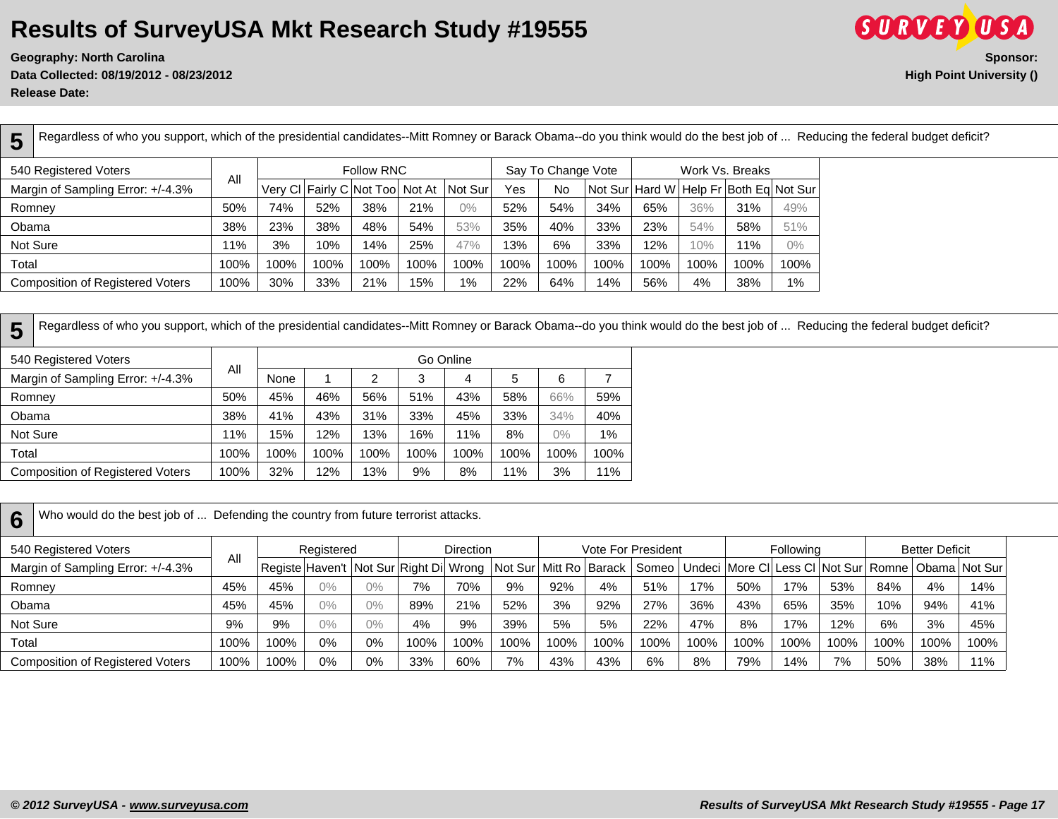**Data Collected: 08/19/2012 - 08/23/2012 High Point University ()**



**Release Date:** 

**5** Regardless of who you support, which of the presidential candidates--Mitt Romney or Barack Obama--do you think would do the best job of ... Reducing the federal budget deficit?

| 540 Registered Voters                   | All  |      |      | Follow RNC                      |      |          |      | Say To Change Vote |      |      |      | Work Vs. Breaks                        |       |
|-----------------------------------------|------|------|------|---------------------------------|------|----------|------|--------------------|------|------|------|----------------------------------------|-------|
| Margin of Sampling Error: +/-4.3%       |      |      |      | Very CI Fairly C Not Too Not At |      | Not Surl | Yes  | No                 |      |      |      | Not Sur Hard W Help Fr Both Eq Not Sur |       |
| Romney                                  | 50%  | 74%  | 52%  | 38%                             | 21%  | 0%       | 52%  | 54%                | 34%  | 65%  | 36%  | 31%                                    | 49%   |
| Obama                                   | 38%  | 23%  | 38%  | 48%                             | 54%  | 53%      | 35%  | 40%                | 33%  | 23%  | 54%  | 58%                                    | 51%   |
| Not Sure                                | 11%  | 3%   | 10%  | 14%                             | 25%  | 47%      | 13%  | 6%                 | 33%  | 12%  | 10%  | 11%                                    | $0\%$ |
| Total                                   | 100% | 100% | 100% | 100%                            | 100% | 100%     | 100% | 100%               | 100% | 100% | 100% | 100%                                   | 100%  |
| <b>Composition of Registered Voters</b> | 100% | 30%  | 33%  | 21%                             | 15%  | 1%       | 22%  | 64%                | 14%  | 56%  | 4%   | 38%                                    | 1%    |

**5** Regardless of who you support, which of the presidential candidates--Mitt Romney or Barack Obama--do you think would do the best job of ... Reducing the federal budget deficit?

| 540 Registered Voters                   |      |      |      |      | Go Online |      |      |       |      |
|-----------------------------------------|------|------|------|------|-----------|------|------|-------|------|
| Margin of Sampling Error: +/-4.3%       | All  | None |      | 2    | 3         | 4    | 5    | 6     |      |
| Romney                                  | 50%  | 45%  | 46%  | 56%  | 51%       | 43%  | 58%  | 66%   | 59%  |
| Obama                                   | 38%  | 41%  | 43%  | 31%  | 33%       | 45%  | 33%  | 34%   | 40%  |
| Not Sure                                | 11%  | 15%  | 12%  | 13%  | 16%       | 11%  | 8%   | $0\%$ | 1%   |
| Total                                   | 100% | 100% | 100% | 100% | 100%      | 100% | 100% | 100%  | 100% |
| <b>Composition of Registered Voters</b> | 100% | 32%  | 12%  | 13%  | 9%        | 8%   | 11%  | 3%    | 11%  |

**6** Who would do the best job of ... Defending the country from future terrorist attacks.

| 540 Registered Voters                   |      |      | Registered<br>Registe Haven't   Not Sur Right Di   Wrong   Not Sur   Mitt Ro   Barack |       |      | <b>Direction</b> |      |      |      | Vote For President |      |      | Following |      |      | <b>Better Deficit</b> |                                                                        |
|-----------------------------------------|------|------|---------------------------------------------------------------------------------------|-------|------|------------------|------|------|------|--------------------|------|------|-----------|------|------|-----------------------|------------------------------------------------------------------------|
| Margin of Sampling Error: +/-4.3%       | All  |      |                                                                                       |       |      |                  |      |      |      |                    |      |      |           |      |      |                       | Someo   Undeci   More CI   Less CI   Not Sur   Romne   Obama   Not Sur |
| Romney                                  | 45%  | 45%  | $0\%$                                                                                 | $0\%$ | 7%   | 70%              | 9%   | 92%  | 4%   | 51%                | 17%  | 50%  | 17%       | 53%  | 84%  | 4%                    | 14%                                                                    |
| Obama                                   | 45%  | 45%  | $0\%$                                                                                 | $0\%$ | 89%  | 21%              | 52%  | 3%   | 92%  | 27%                | 36%  | 43%  | 65%       | 35%  | 10%  | 94%                   | 41%                                                                    |
| Not Sure                                | 9%   | 9%   | 0%                                                                                    | $0\%$ | 4%   | 9%               | 39%  | 5%   | 5%   | 22%                | 47%  | 8%   | 17%       | 12%  | 6%   | 3%                    | 45%                                                                    |
| Total                                   | 100% | 100% | 0%                                                                                    | 0%    | 100% | 100%             | 100% | 100% | 100% | 100%               | 100% | 100% | 100%      | 100% | 100% | 100%                  | 100%                                                                   |
| <b>Composition of Registered Voters</b> | 100% | 100% | 0%                                                                                    | 0%    | 33%  | 60%              | 7%   | 43%  | 43%  | 6%                 | 8%   | 79%  | 14%       | 7%   | 50%  | 38%                   | 11%                                                                    |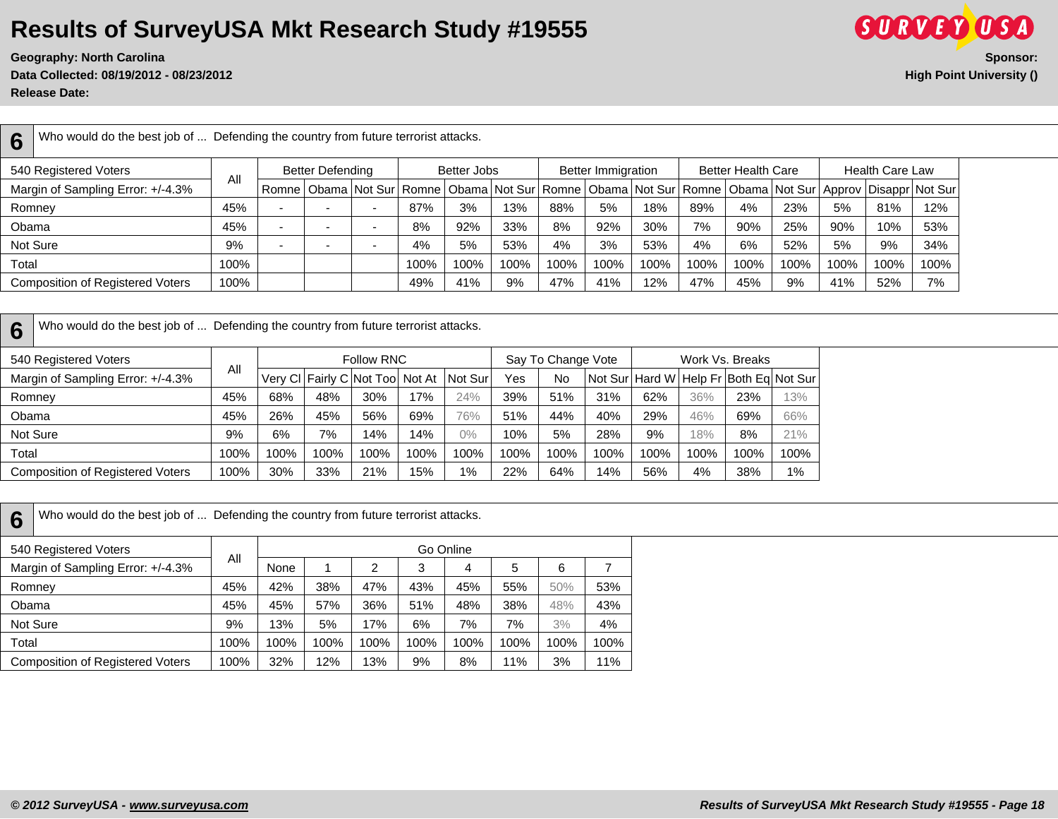**Data Collected: 08/19/2012 - 08/23/2012 High Point University () Release Date:** 



**6** Who would do the best job of ... Defending the country from future terrorist attacks.

| 540 Registered Voters                   | All  |   | <b>Better Defending</b> |      | Better Jobs |      |      | <b>Better Immigration</b> |      |      | <b>Better Health Care</b> |      |      | <b>Health Care Law</b>                                                                                                             |      |
|-----------------------------------------|------|---|-------------------------|------|-------------|------|------|---------------------------|------|------|---------------------------|------|------|------------------------------------------------------------------------------------------------------------------------------------|------|
| Margin of Sampling Error: +/-4.3%       |      |   |                         |      |             |      |      |                           |      |      |                           |      |      | Romne   Obama   Not Sur   Romne   Obama   Not Sur   Romne   Obama   Not Sur   Romne   Obama   Not Sur   Approv   Disappr   Not Sur |      |
| Romney                                  | 45%  |   |                         | 87%  | 3%          | 13%  | 88%  | 5%                        | 18%  | 89%  | 4%                        | 23%  | 5%   | 81%                                                                                                                                | 12%  |
| Obama                                   | 45%  | - |                         | 8%   | 92%         | 33%  | 8%   | 92%                       | 30%  | 7%   | 90%                       | 25%  | 90%  | 10%                                                                                                                                | 53%  |
| Not Sure                                | 9%   |   |                         | 4%   | 5%          | 53%  | 4%   | 3%                        | 53%  | 4%   | 6%                        | 52%  | 5%   | 9%                                                                                                                                 | 34%  |
| Total                                   | 100% |   |                         | 100% | 100%        | 100% | 100% | 100%                      | 100% | 100% | 100%                      | 100% | 100% | 100%                                                                                                                               | 100% |
| <b>Composition of Registered Voters</b> | 100% |   |                         | 49%  | 41%         | 9%   | 47%  | 41%                       | 12%  | 47%  | 45%                       | 9%   | 41%  | 52%                                                                                                                                | 7%   |

**6** Who would do the best job of ... Defending the country from future terrorist attacks.

| 540 Registered Voters                   |      |     |      | Follow RNC                      |      |         |      | Say To Change Vote |        |                |      | Work Vs. Breaks         |      |
|-----------------------------------------|------|-----|------|---------------------------------|------|---------|------|--------------------|--------|----------------|------|-------------------------|------|
| Margin of Sampling Error: +/-4.3%       | All  |     |      | Very CI Fairly C Not Too Not At |      | Not Sur | Yes  | No                 |        | Not Sur Hard W |      | Help Fr Both Eq Not Sur |      |
| Romney                                  | 45%  | 68% | 48%  | 30%                             | 17%  | 24%     | 39%  | 51%                | 31%    | 62%            | 36%  | 23%                     | 13%  |
| Obama                                   | 45%  | 26% | 45%  | 56%                             | 69%  | 76%     | 51%  | 44%                | 40%    | 29%            | 46%  | 69%                     | 66%  |
| Not Sure                                | 9%   | 6%  | 7%   | 14%                             | 14%  | 0%      | 10%  | 5%                 | 28%    | 9%             | 18%  | 8%                      | 21%  |
| Total                                   | 100% | 00% | 100% | 100%                            | 100% | 100%    | 100% | 100%               | $00\%$ | 100%           | 100% | 100%                    | 100% |
| <b>Composition of Registered Voters</b> | 100% | 30% | 33%  | 21%                             | 15%  | $1\%$   | 22%  | 64%                | 14%    | 56%            | 4%   | 38%                     | 1%   |

**6** Who would do the best job of ... Defending the country from future terrorist attacks.

| 540 Registered Voters                   |      |      |      |      |      | Go Online |      |      |      |
|-----------------------------------------|------|------|------|------|------|-----------|------|------|------|
| Margin of Sampling Error: +/-4.3%       | All  | None |      | 2    | 3    | 4         | 5    | 6    |      |
| Romney                                  | 45%  | 42%  | 38%  | 47%  | 43%  | 45%       | 55%  | 50%  | 53%  |
| Obama                                   | 45%  | 45%  | 57%  | 36%  | 51%  | 48%       | 38%  | 48%  | 43%  |
| Not Sure                                | 9%   | 13%  | 5%   | 17%  | 6%   | 7%        | 7%   | 3%   | 4%   |
| Total                                   | 100% | 100% | 100% | 100% | 100% | 100%      | 100% | 100% | 100% |
| <b>Composition of Registered Voters</b> | 100% | 32%  | 12%  | 13%  | 9%   | 8%        | 11%  | 3%   | 11%  |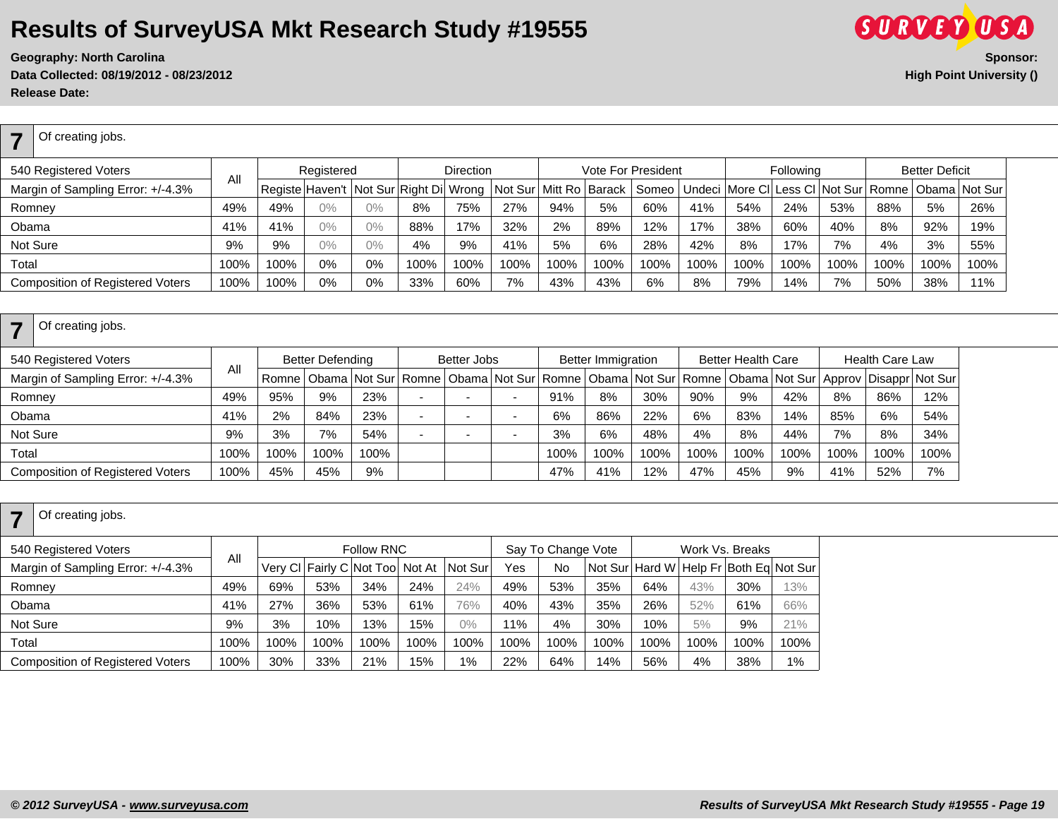**Geography: North Carolina Data Collected: 08/19/2012 - 08/23/2012 High Point University () Release Date:** 

| SIIRVFY                  |                 |
|--------------------------|-----------------|
|                          | <b>Sponsor:</b> |
| High Point University () |                 |

| ⇁      | Of creating jobs.                       |      |      |            |       |                                                               |                  |      |      |      |                                                                        |      |      |           |      |      |                       |      |
|--------|-----------------------------------------|------|------|------------|-------|---------------------------------------------------------------|------------------|------|------|------|------------------------------------------------------------------------|------|------|-----------|------|------|-----------------------|------|
|        | 540 Registered Voters                   | All  |      | Registered |       |                                                               | <b>Direction</b> |      |      |      | Vote For President                                                     |      |      | Following |      |      | <b>Better Deficit</b> |      |
|        | Margin of Sampling Error: +/-4.3%       |      |      |            |       | Registe Haven't Not Sur Right Di Wrong Not Sur Mitt Ro Barack |                  |      |      |      | Someo   Undeci   More CI   Less CI   Not Sur   Romne   Obama   Not Sur |      |      |           |      |      |                       |      |
| Romney |                                         | 49%  | 49%  | $0\%$      | $0\%$ | 8%                                                            | 75%              | 27%  | 94%  | 5%   | 60%                                                                    | 41%  | 54%  | 24%       | 53%  | 88%  | 5%                    | 26%  |
| Obama  |                                         | 41%  | 41%  | $0\%$      | $0\%$ | 88%                                                           | 17%              | 32%  | 2%   | 89%  | 12%                                                                    | 17%  | 38%  | 60%       | 40%  | 8%   | 92%                   | 19%  |
|        | Not Sure                                | 9%   | 9%   | $0\%$      | $0\%$ | 4%                                                            | 9%               | 41%  | 5%   | 6%   | 28%                                                                    | 42%  | 8%   | 17%       | 7%   | 4%   | 3%                    | 55%  |
| Total  |                                         | 100% | 100% | 0%         | 0%    | 100%                                                          | 100%             | 100% | 100% | 100% | 100%                                                                   | 100% | 100% | 100%      | 100% | 100% | 100%                  | 100% |
|        | <b>Composition of Registered Voters</b> | 100% | 100% | 0%         | 0%    | 33%                                                           | 60%              | 7%   | 43%  | 43%  | 6%                                                                     | 8%   | 79%  | 14%       | 7%   | 50%  | 38%                   | 11%  |

| Of creating jobs.                       |      |      |                         |      |                                                           |      |                           |      |      |                           |      |      |                        |                                                                        |
|-----------------------------------------|------|------|-------------------------|------|-----------------------------------------------------------|------|---------------------------|------|------|---------------------------|------|------|------------------------|------------------------------------------------------------------------|
| 540 Registered Voters                   | All  |      | <b>Better Defending</b> |      | Better Jobs                                               |      | <b>Better Immigration</b> |      |      | <b>Better Health Care</b> |      |      | <b>Health Care Law</b> |                                                                        |
| Margin of Sampling Error: +/-4.3%       |      |      |                         |      | Romne   Obama   Not Sur   Romne   Obama   Not Sur   Romne |      |                           |      |      |                           |      |      |                        | Obama   Not Sur   Romne   Obama   Not Sur   Approv   Disappr   Not Sur |
| Romney                                  | 49%  | 95%  | 9%                      | 23%  |                                                           | 91%  | 8%                        | 30%  | 90%  | 9%                        | 42%  | 8%   | 86%                    | 12%                                                                    |
| Obama                                   | 41%  | 2%   | 84%                     | 23%  |                                                           | 6%   | 86%                       | 22%  | 6%   | 83%                       | 14%  | 85%  | 6%                     | 54%                                                                    |
| Not Sure                                | 9%   | 3%   | 7%                      | 54%  |                                                           | 3%   | 6%                        | 48%  | 4%   | 8%                        | 44%  | 7%   | 8%                     | 34%                                                                    |
| Total                                   | 100% | 100% | 100%                    | 100% |                                                           | 100% | 100%                      | 100% | 100% | 100%                      | 100% | 100% | 100%                   | 100%                                                                   |
| <b>Composition of Registered Voters</b> | 100% | 45%  | 45%                     | 9%   |                                                           | 47%  | 41%                       | 12%  | 47%  | 45%                       | 9%   | 41%  | 52%                    | 7%                                                                     |

| Of creating jobs.                       |      |      |      |                                 |      |         |      |                    |      |      |      |                                                |      |
|-----------------------------------------|------|------|------|---------------------------------|------|---------|------|--------------------|------|------|------|------------------------------------------------|------|
| 540 Registered Voters                   |      |      |      | Follow RNC                      |      |         |      | Say To Change Vote |      |      |      | Work Vs. Breaks                                |      |
| Margin of Sampling Error: +/-4.3%       | ΑIΙ  |      |      | Very CI Fairly C Not Too Not At |      | Not Sur | Yes  | No                 |      |      |      | Not Sur   Hard W   Help Fr   Both Eq   Not Sur |      |
| Romney                                  | 49%  | 69%  | 53%  | 34%                             | 24%  | 24%     | 49%  | 53%                | 35%  | 64%  | 43%  | 30%                                            | 13%  |
| Obama                                   | 41%  | 27%  | 36%  | 53%                             | 61%  | 76%     | 40%  | 43%                | 35%  | 26%  | 52%  | 61%                                            | 66%  |
| Not Sure                                | 9%   | 3%   | 10%  | 13%                             | 15%  | $0\%$   | 11%  | 4%                 | 30%  | 10%  | 5%   | 9%                                             | 21%  |
| Total                                   | 100% | 100% | 100% | 100%                            | 100% | 100%    | 100% | 100%               | 100% | 100% | 100% | 100%                                           | 100% |
| <b>Composition of Registered Voters</b> | 100% | 30%  | 33%  | 21%                             | 15%  | $1\%$   | 22%  | 64%                | 14%  | 56%  | 4%   | 38%                                            | 1%   |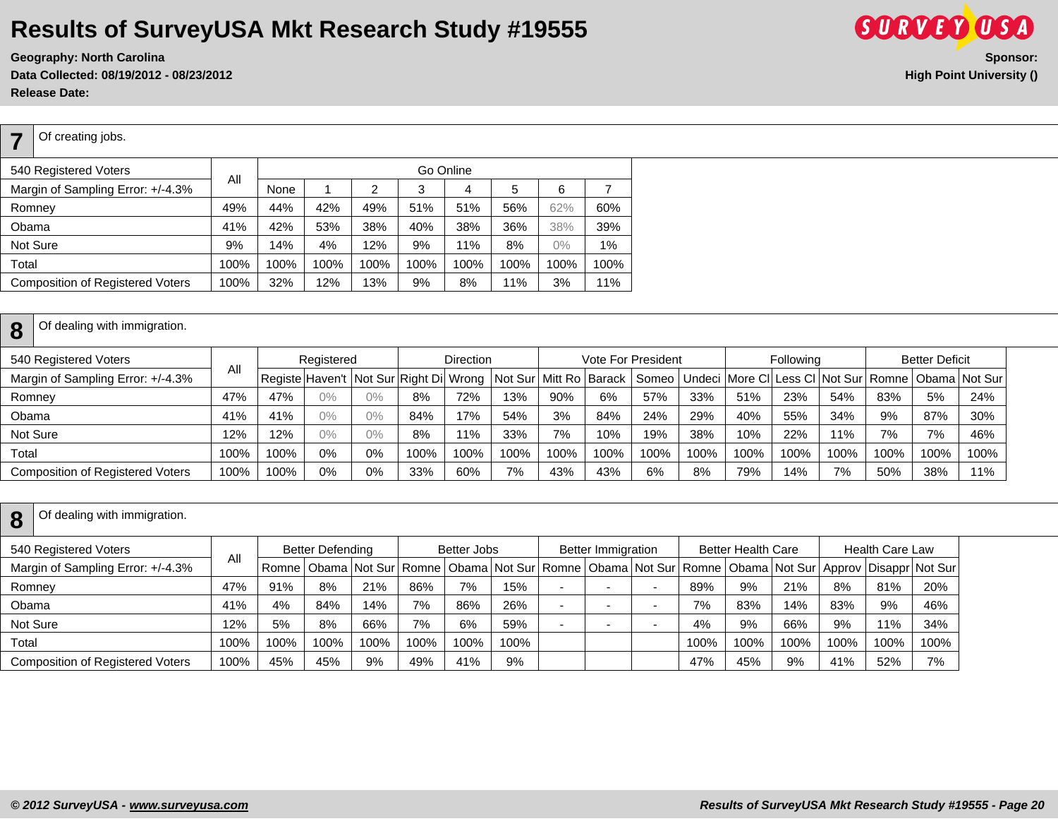**Data Collected: 08/19/2012 - 08/23/2012 High Point University () Release Date:** 

| <b>Composition of Registered Voters</b> | 100% | 32%  | 12%  | 13%  | 9%        | 8%   | 11%  | 3%    | 11%  |  |  |  |
|-----------------------------------------|------|------|------|------|-----------|------|------|-------|------|--|--|--|
| Total                                   | 100% | 100% | 100% | 100% | 100%      | 100% | 100% | 100%  | 100% |  |  |  |
| Not Sure                                | 9%   | 14%  | 4%   | 12%  | 9%        | 11%  | 8%   | $0\%$ | 1%   |  |  |  |
| Obama                                   | 41%  | 42%  | 53%  | 38%  | 40%       | 38%  | 36%  | 38%   | 39%  |  |  |  |
| Romney                                  | 49%  | 44%  | 42%  | 49%  | 51%       | 51%  | 56%  | 62%   | 60%  |  |  |  |
| Margin of Sampling Error: +/-4.3%       | All  | None |      |      | З         | 4    | 5.   | 6     |      |  |  |  |
| 540 Registered Voters                   |      |      |      |      | Go Online |      |      |       |      |  |  |  |

| Margin of Sampling Error: +/-4.3% | ы    |      |            |       |      |      |      |      |      |      |      |      |      |      |      |      | Registe Haven't Not Sur Right Di Wrong Not Sur Mitt Ro Barack   Someo   Undeci More CI Less CI Not Sur Romne   Obama Not Sur   Not Sur |
|-----------------------------------|------|------|------------|-------|------|------|------|------|------|------|------|------|------|------|------|------|----------------------------------------------------------------------------------------------------------------------------------------|
| Romnev                            | 47%  | 47%  | $0\%$      | $0\%$ | 8%   | 72%  | 13%  | 90%  | 6%   | 57%  | 33%  | 51%  | 23%  | 54%  | 83%  | 5%   | 24%                                                                                                                                    |
| Obama                             | 41%  | 41%  | $\gamma\%$ | 0%    | 84%  | 17%  | 54%  | 3%   | 84%  | 24%  | 29%  | 40%  | 55%  | 34%  | 9%   | 87%  | 30%                                                                                                                                    |
| Not Sure                          | 12%  | 12%  | $0\%$      | $0\%$ | 8%   | 11%  | 33%  | 7%   | 10%  | 19%  | 38%  | 10%  | 22%  | 11%  | 7%   | 7%   | 46%                                                                                                                                    |
| Total                             | 100% | 100% | 0%         | 0%    | 100% | 100% | 100% | 100% | 100% | 100% | 100% | 100% | 100% | 100% | 100% | 100% | 100%                                                                                                                                   |
| Composition of Registered Voters  | 100% | 100% | 0%         | 0%    | 33%  | 60%  | 7%   | 43%  | 43%  | 6%   | 8%   | 79%  | 14%  | 7%   | 50%  | 38%  | 11%                                                                                                                                    |

|          | Of dealing with immigration.            |      |      |                         |      |      |             |      |                           |                          |      |                           |                                                                                                                                    |      |                        |      |
|----------|-----------------------------------------|------|------|-------------------------|------|------|-------------|------|---------------------------|--------------------------|------|---------------------------|------------------------------------------------------------------------------------------------------------------------------------|------|------------------------|------|
|          | 540 Registered Voters                   | All  |      | <b>Better Defending</b> |      |      | Better Jobs |      | <b>Better Immigration</b> |                          |      | <b>Better Health Care</b> |                                                                                                                                    |      | <b>Health Care Law</b> |      |
|          | Margin of Sampling Error: +/-4.3%       |      |      |                         |      |      |             |      |                           |                          |      |                           | Romne   Obama   Not Sur   Romne   Obama   Not Sur   Romne   Obama   Not Sur   Romne   Obama   Not Sur   Approv   Disappr   Not Sur |      |                        |      |
| Romney   |                                         | 47%  | 91%  | 8%                      | 21%  | 86%  | 7%          | 15%  |                           | $\overline{\phantom{0}}$ | 89%  | 9%                        | 21%                                                                                                                                | 8%   | 81%                    | 20%  |
| Obama    |                                         | 41%  | 4%   | 84%                     | 14%  | 7%   | 86%         | 26%  |                           | -                        | 7%   | 83%                       | 14%                                                                                                                                | 83%  | 9%                     | 46%  |
| Not Sure |                                         | 12%  | 5%   | 8%                      | 66%  | 7%   | 6%          | 59%  |                           | -                        | 4%   | 9%                        | 66%                                                                                                                                | 9%   | 11%                    | 34%  |
| Total    |                                         | 100% | 100% | 100%                    | 100% | 100% | 100%        | 100% |                           |                          | 100% | 100%                      | 100%                                                                                                                               | 100% | 100%                   | 100% |
|          | <b>Composition of Registered Voters</b> | 100% | 45%  | 45%                     | 9%   | 49%  | 41%         | 9%   |                           |                          | 47%  | 45%                       | 9%                                                                                                                                 | 41%  | 52%                    | 7%   |

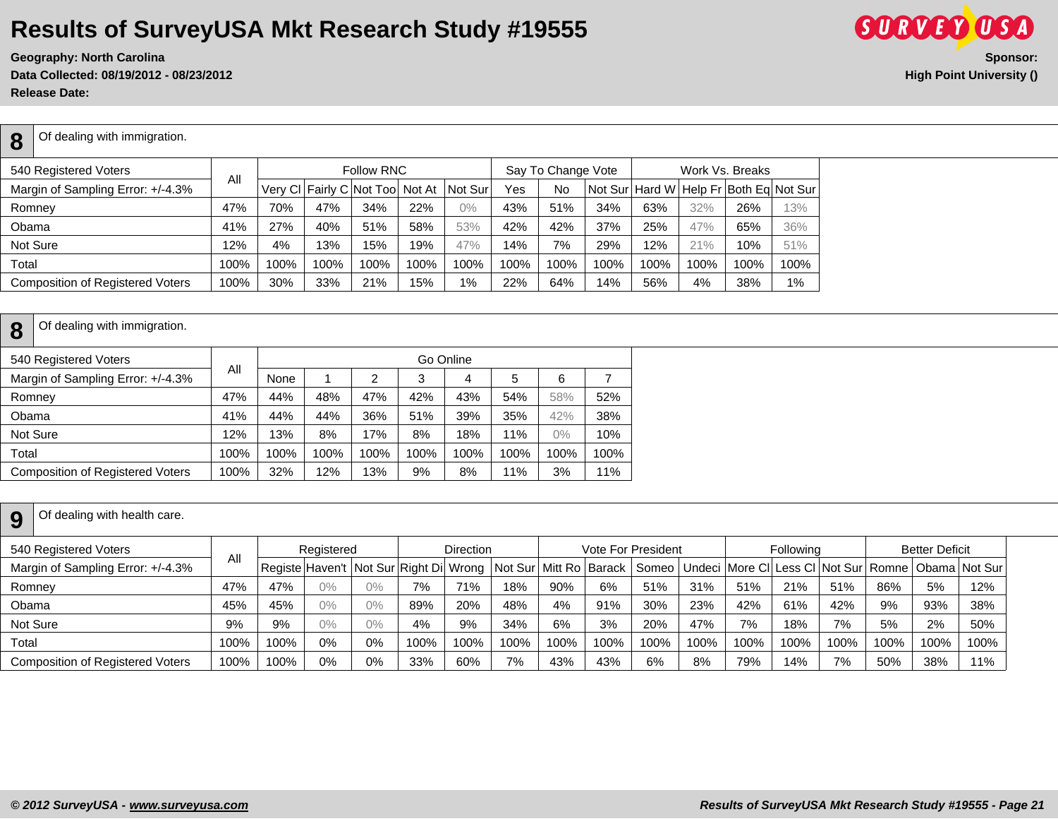**Geography: North Carolina Sponsor: Data Collected: 08/19/2012 - 08/23/2012 High Point University () Release Date:** 

| 8      | Of dealing with immigration.      |     |     |     |                                         |     |       |     |                    |                                           |     |     |                 |     |
|--------|-----------------------------------|-----|-----|-----|-----------------------------------------|-----|-------|-----|--------------------|-------------------------------------------|-----|-----|-----------------|-----|
|        | 540 Registered Voters             |     |     |     | <b>Follow RNC</b>                       |     |       |     | Say To Change Vote |                                           |     |     | Work Vs. Breaks |     |
|        | Margin of Sampling Error: +/-4.3% | All |     |     | Very CI Fairly C Not Too Not At Not Sur |     |       | Yes | <b>No</b>          | Not Surl Hard WI Help Fr Both Eq Not Surl |     |     |                 |     |
| Romney |                                   | 47% | 70% | 47% | 34%                                     | 22% | $0\%$ | 43% | 51%                | 34%                                       | 63% | 32% | 26%             | 13% |

Total | 100% | 100% | 100% | 100% | 100% | 100% | 100% | 100% | 100% | 100% | 100% | 100% | 100% | 100% | 100% | 100% | 100% | 100% | 100% | 100% | 100% | 100% | 100% | 100% | 100% | 100 Composition of Registered Voters | 100% | 30% | 33% | 21% | 15% | 1% | 22% | 64% | 14% | 56% | 4% | 38% | 1%

|  | $\mathbf{9}$ Of dealing with health care. |
|--|-------------------------------------------|
|--|-------------------------------------------|

| 540 Registered Voters                   |      |      | Registered |       |                                              | <b>Direction</b> |                            |      |      | Vote For President |      |                                                                        | Following |      |      | <b>Better Deficit</b> |      |
|-----------------------------------------|------|------|------------|-------|----------------------------------------------|------------------|----------------------------|------|------|--------------------|------|------------------------------------------------------------------------|-----------|------|------|-----------------------|------|
| Margin of Sampling Error: +/-4.3%       | All  |      |            |       | Registe Haven't   Not Sur   Right Di   Wrong |                  | Not Sur   Mitt Ro   Barack |      |      |                    |      | Someo   Undeci   More CI   Less CI   Not Sur   Romne   Obama   Not Sur |           |      |      |                       |      |
| Romney                                  | 47%  | 47%  | $0\%$      | $0\%$ | 7%                                           | 71%              | 18%                        | 90%  | 6%   | 51%                | 31%  | 51%                                                                    | 21%       | 51%  | 86%  | 5%                    | 12%  |
| Obama                                   | 45%  | 45%  | $0\%$      | 0%    | 89%                                          | 20%              | 48%                        | 4%   | 91%  | 30%                | 23%  | 42%                                                                    | 61%       | 42%  | 9%   | 93%                   | 38%  |
| Not Sure                                | 9%   | 9%   | $0\%$      | $0\%$ | 4%                                           | 9%               | 34%                        | 6%   | 3%   | 20%                | 47%  | 7%                                                                     | 18%       | 7%   | 5%   | 2%                    | 50%  |
| Total                                   | 100% | 100% | 0%         | 0%    | 100%                                         | 100%             | 100%                       | 100% | 100% | 100%               | 100% | 100%                                                                   | 100%      | 100% | 100% | 100%                  | 100% |
| <b>Composition of Registered Voters</b> | 100% | 100% | 0%         | $0\%$ | 33%                                          | 60%              | 7%                         | 43%  | 43%  | 6%                 | 8%   | 79%                                                                    | 14%       | 7%   | 50%  | 38%                   | 11%  |



Obama 41% 27% 40% 51% 58% 53% 42% 42% 37% 25% 47% 65% 36% Not Sure | 12% | 4% | 13% | 15% | 19% | 47% | 14% | 7% | 29% | 12% | 21% | 10% | 51%

**8**

#### **8** Of dealing with immigration.

| 540 Registered Voters                   |      |      |      |      |      | Go Online |      |       |      |
|-----------------------------------------|------|------|------|------|------|-----------|------|-------|------|
| Margin of Sampling Error: +/-4.3%       | Αll  | None |      | 2    | 3    | 4         | 5    | 6     |      |
| Romney                                  | 47%  | 44%  | 48%  | 47%  | 42%  | 43%       | 54%  | 58%   | 52%  |
| Obama                                   | 41%  | 44%  | 44%  | 36%  | 51%  | 39%       | 35%  | 42%   | 38%  |
| Not Sure                                | 12%  | 13%  | 8%   | 17%  | 8%   | 18%       | 11%  | $0\%$ | 10%  |
| Total                                   | 100% | 100% | 100% | 100% | 100% | 100%      | 100% | 100%  | 100% |
| <b>Composition of Registered Voters</b> | 100% | 32%  | 12%  | 13%  | 9%   | 8%        | 11%  | 3%    | 11%  |
|                                         |      |      |      |      |      |           |      |       |      |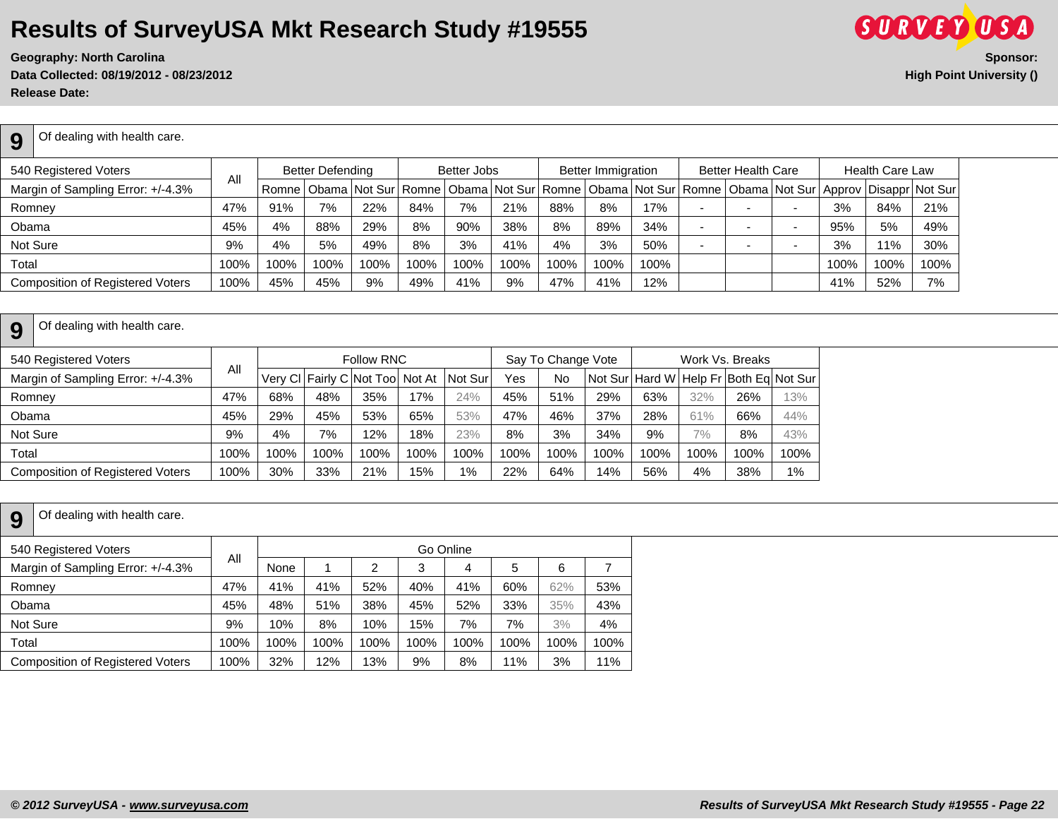**Data Collected: 08/19/2012 - 08/23/2012 High Point University () Release Date:** 



**9** Of dealing with health care.

| 540 Registered Voters                   | All  |      | <b>Better Defending</b> |      |      | Better Jobs |      |      | <b>Better Immigration</b> |                                                                                                                                    |     | <b>Better Health Care</b> |      | <b>Health Care Law</b> |      |
|-----------------------------------------|------|------|-------------------------|------|------|-------------|------|------|---------------------------|------------------------------------------------------------------------------------------------------------------------------------|-----|---------------------------|------|------------------------|------|
| Margin of Sampling Error: +/-4.3%       |      |      |                         |      |      |             |      |      |                           | Romne   Obama   Not Sur   Romne   Obama   Not Sur   Romne   Obama   Not Sur   Romne   Obama   Not Sur   Approv   Disappr   Not Sur |     |                           |      |                        |      |
| Romney                                  | 47%  | 91%  | 7%                      | 22%  | 84%  | 7%          | 21%  | 88%  | 8%                        | 17%                                                                                                                                |     |                           | 3%   | 84%                    | 21%  |
| Obama                                   | 45%  | 4%   | 88%                     | 29%  | 8%   | 90%         | 38%  | 8%   | 89%                       | 34%                                                                                                                                |     |                           | 95%  | 5%                     | 49%  |
| Not Sure                                | 9%   | 4%   | 5%                      | 49%  | 8%   | 3%          | 41%  | 4%   | 3%                        | 50%                                                                                                                                | . . |                           | 3%   | 11%                    | 30%  |
| Total                                   | 100% | 100% | 100%                    | 100% | 100% | 100%        | 100% | 100% | 100%                      | 100%                                                                                                                               |     |                           | 100% | 100%                   | 100% |
| <b>Composition of Registered Voters</b> | 100% | 45%  | 45%                     | 9%   | 49%  | 41%         | 9%   | 47%  | 41%                       | 12%                                                                                                                                |     |                           | 41%  | 52%                    | 7%   |

#### **9** Of dealing with health care.

|      |      |      |      |      |                                                      | Yes     | No   |      |                    |       |      |                                                           |
|------|------|------|------|------|------------------------------------------------------|---------|------|------|--------------------|-------|------|-----------------------------------------------------------|
| 47%  | 68%  | 48%  | 35%  | 17%  | 24%                                                  | 45%     | 51%  | 29%  | 63%                | 32%   | 26%  | 13%                                                       |
| 45%  | 29%  | 45%  | 53%  | 65%  | 53%                                                  | 47%     | 46%  | 37%  | 28%                | 61%   | 66%  | 44%                                                       |
| 9%   | 4%   | 7%   | 12%  | 18%  | 23%                                                  | 8%      | 3%   | 34%  | 9%                 | $7\%$ | 8%   | 43%                                                       |
| 100% | 100% | 100% | 100% | 100% | 100%                                                 | 100%    | 100% | 100% | 100%               | 100%  | 100% | 100%                                                      |
| 100% | 30%  | 33%  | 21%  | 15%  | 1%                                                   | 22%     | 64%  | 14%  | 56%                | 4%    | 38%  | $1\%$                                                     |
|      | All  |      |      |      | <b>Follow RNC</b><br>Very CI Fairly C Not Too Not At | Not Sur |      |      | Say To Change Vote |       |      | Work Vs. Breaks<br>Not Sur Hard W Help Fr Both Eq Not Sur |

#### **9** Of dealing with health care.

| 540 Registered Voters                   |      |      |      |      |      | Go Online |      |      |      |
|-----------------------------------------|------|------|------|------|------|-----------|------|------|------|
| Margin of Sampling Error: +/-4.3%       | All  | None |      | 2    | 3    | 4         | 5    | 6    |      |
| Romney                                  | 47%  | 41%  | 41%  | 52%  | 40%  | 41%       | 60%  | 62%  | 53%  |
| Obama                                   | 45%  | 48%  | 51%  | 38%  | 45%  | 52%       | 33%  | 35%  | 43%  |
| Not Sure                                | 9%   | 10%  | 8%   | 10%  | 15%  | 7%        | 7%   | 3%   | 4%   |
| Total                                   | 100% | 100% | 100% | 100% | 100% | 100%      | 100% | 100% | 100% |
| <b>Composition of Registered Voters</b> | 100% | 32%  | 12%  | 13%  | 9%   | 8%        | 11%  | 3%   | 11%  |
|                                         |      |      |      |      |      |           |      |      |      |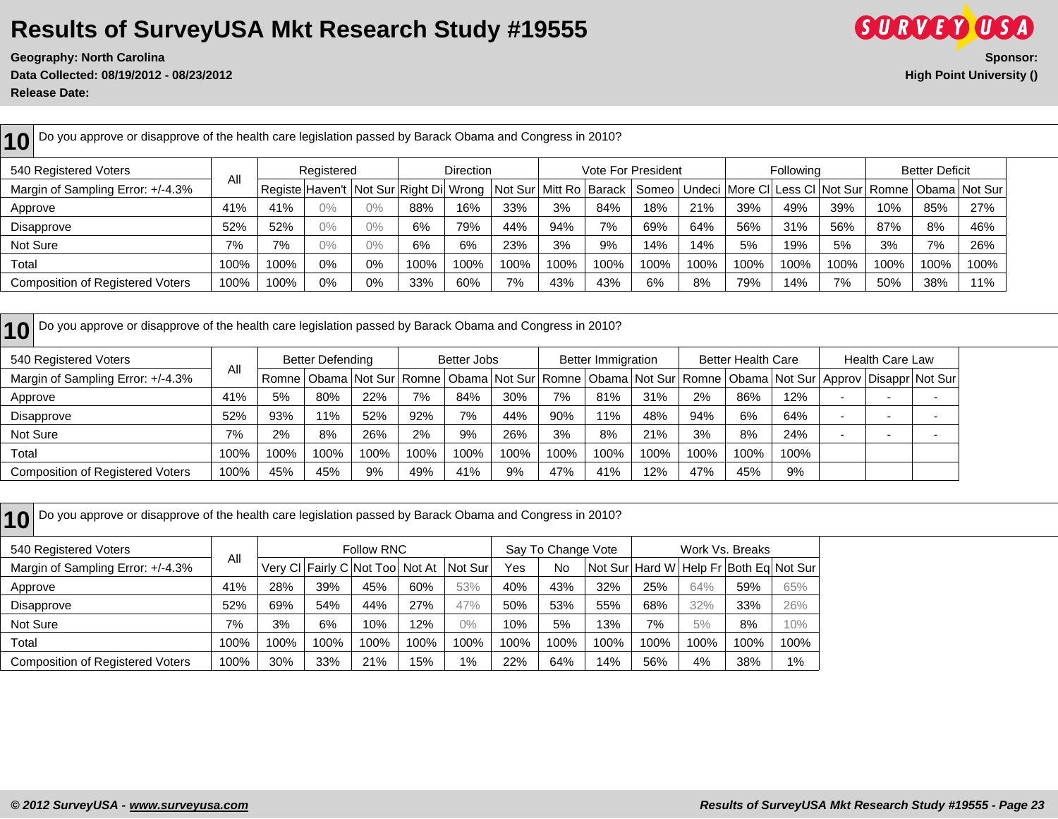**Data Collected: 08/19/2012 - 08/23/2012 High Point University () Release Date:** 



**10** Do you approve or disapprove of the health care legislation passed by Barack Obama and Congress in 2010? 540 Registered Voters All Registered | Direction | Vote For President | Following | Better Deficit Margin of Sampling Error: +/-4.3% | Notegiste Haven't Not Sur Right Di Wrong Not Sur Mitt Ro Barack Someo Undeci More Cl Less Cl Not Sur Romne Obama Not Sur Approve | 41% | 41% | 0% | 0% | 88% | 16% | 33% | 3% | 84% | 18% | 21% | 39% | 49% | 39% | 10% | 85% | 27% Disapprove | 52% | 52% | 0% | 0% | 6% | 79% | 44% | 94% | 7% | 69% | 64% | 56% | 31% | 56% | 87% | 8% | 46% Not Sure | 7% | 7% | 0% | 0% | 6% | 6% | 23% | 3% | 9% | 14% | 14% | 5% | 19% | 3% | 7% | 26% Total | 100% | 100% | 0% | 0% | 100% |100% |100% |100% |100% |100% |100% |100% |100% |100% |100% |100% |100% |100% |100% |100% |100% |100% | Composition of Registered Voters | 100% | 100% | 0% | 0% | 33% | 60% | 7% | 43% | 43% | 6% | 8% | 79% | 14% | 7% | 50% | 38% | 11%

**10** Do you approve or disapprove of the health care legislation passed by Barack Obama and Congress in 2010?

| 540 Registered Voters                   |      |      | Better Defending |      |      | Better Jobs |      |      | <b>Better Immigration</b> |      |      | <b>Better Health Care</b> |      | <b>Health Care Law</b> |                                                                                                                                    |
|-----------------------------------------|------|------|------------------|------|------|-------------|------|------|---------------------------|------|------|---------------------------|------|------------------------|------------------------------------------------------------------------------------------------------------------------------------|
| Margin of Sampling Error: +/-4.3%       | Αll  |      |                  |      |      |             |      |      |                           |      |      |                           |      |                        | Romne   Obama   Not Sur   Romne   Obama   Not Sur   Romne   Obama   Not Sur   Romne   Obama   Not Sur   Approv   Disappr   Not Sur |
| Approve                                 | 41%  | 5%   | 80%              | 22%  | 7%   | 84%         | 30%  | 7%   | 81%                       | 31%  | 2%   | 86%                       | 12%  |                        |                                                                                                                                    |
| Disapprove                              | 52%  | 93%  | 1%               | 52%  | 92%  | 7%          | 44%  | 90%  | 11%                       | 48%  | 94%  | 6%                        | 64%  | . .                    |                                                                                                                                    |
| Not Sure                                | 7%   | 2%   | 8%               | 26%  | 2%   | 9%          | 26%  | 3%   | 8%                        | 21%  | 3%   | 8%                        | 24%  |                        |                                                                                                                                    |
| Total                                   | 100% | 100% | 100%             | 100% | 100% | 100%        | 100% | 100% | 100%                      | 100% | 100% | 100%                      | 100% |                        |                                                                                                                                    |
| <b>Composition of Registered Voters</b> | 100% | 45%  | 45%              | 9%   | 49%  | 41%         | 9%   | 47%  | 41%                       | 12%  | 47%  | 45%                       | 9%   |                        |                                                                                                                                    |

| Do you approve or disapprove of the health care legislation passed by Barack Obama and Congress in 2010? |      |      |      |                                  |      |         |      |                    |      |      |      |                                        |       |
|----------------------------------------------------------------------------------------------------------|------|------|------|----------------------------------|------|---------|------|--------------------|------|------|------|----------------------------------------|-------|
| 540 Registered Voters                                                                                    |      |      |      | <b>Follow RNC</b>                |      |         |      | Say To Change Vote |      |      |      | Work Vs. Breaks                        |       |
| Margin of Sampling Error: +/-4.3%                                                                        | All  |      |      | Very CI Fairly C Not Tool Not At |      | Not Sur | Yes  | No                 |      |      |      | Not Sur Hard W Help Fr Both Eq Not Sur |       |
| Approve                                                                                                  | 41%  | 28%  | 39%  | 45%                              | 60%  | 53%     | 40%  | 43%                | 32%  | 25%  | 64%  | 59%                                    | 65%   |
| Disapprove                                                                                               | 52%  | 69%  | 54%  | 44%                              | 27%  | 47%     | 50%  | 53%                | 55%  | 68%  | 32%  | 33%                                    | 26%   |
| Not Sure                                                                                                 | 7%   | 3%   | 6%   | 10%                              | 12%  | 0%      | 10%  | 5%                 | 13%  | 7%   | 5%   | 8%                                     | 10%   |
| Total                                                                                                    | 100% | 100% | 100% | 100%                             | 100% | $100\%$ | 100% | 100%               | 100% | 100% | 100% | 100%                                   | 100%  |
| <b>Composition of Registered Voters</b>                                                                  | 100% | 30%  | 33%  | 21%                              | 15%  | 1%      | 22%  | 64%                | 14%  | 56%  | 4%   | 38%                                    | $1\%$ |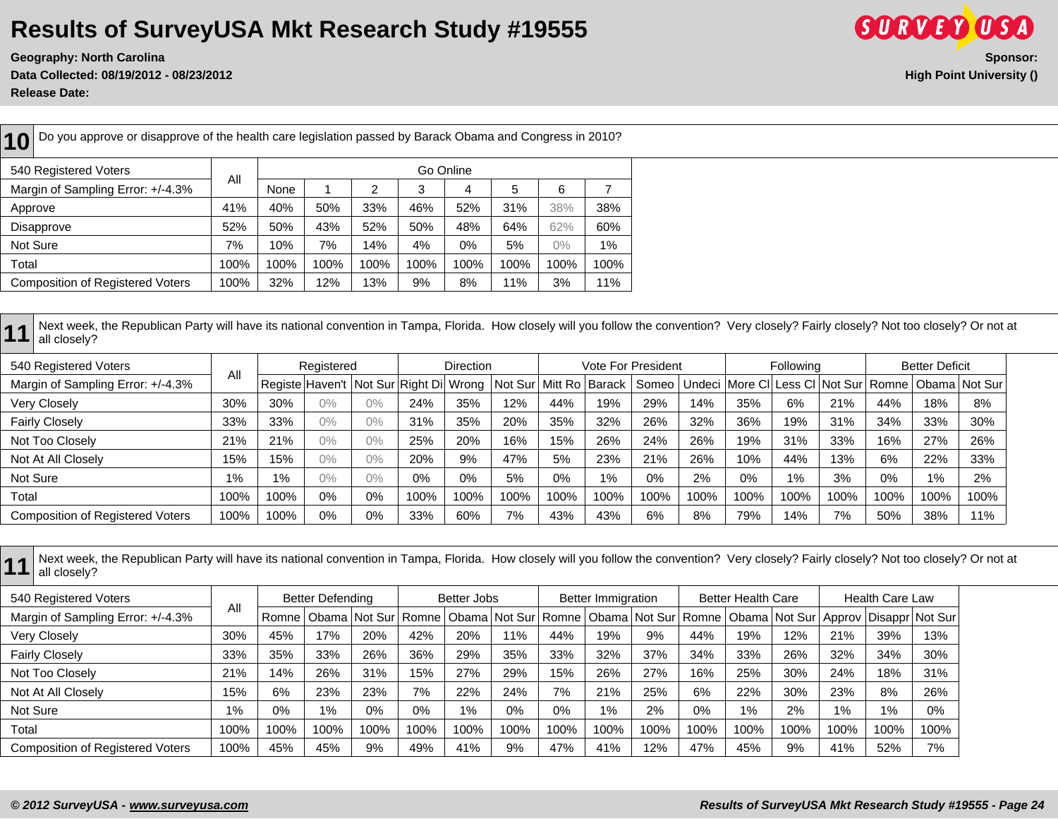**Data Collected: 08/19/2012 - 08/23/2012 High Point University () Release Date:** 



**10** Do you approve or disapprove of the health care legislation passed by Barack Obama and Congress in 2010? 540 Registered Voters All Go Online Margin of Sampling Error: +/-4.3% None 1 2 3 4 5 6 7 Approve | 41% | 40% | 50% | 33% | 46% | 52% | 31% | 38% | 38% Disapprove 52% 50% 43% 52% 50% 48% 64% 62% 60% Not Sure | 7% | 10% | 7% | 14% | 4% | 0% | 5% | 0% | 1% Total 100% 100% 100% 100% 100% 100% 100% 100% 100% Composition of Registered Voters | 100% | 32% | 12% | 13% | 9% | 8% | 11% | 3% | 11%

11 Next week, the Republican Party will have its national convention in Tampa, Florida. How closely will you follow the convention? Very closely? Fairly closely? Not too closely? Or not at all closely? Or not at all closely?

| 540 Registered Voters                   |       |       | Registered |                                        |      | <b>Direction</b> |                            |      |      | <b>Vote For President</b>                                              |      |      | Following |      |       | <b>Better Deficit</b> |      |
|-----------------------------------------|-------|-------|------------|----------------------------------------|------|------------------|----------------------------|------|------|------------------------------------------------------------------------|------|------|-----------|------|-------|-----------------------|------|
| Margin of Sampling Error: +/-4.3%       | All   |       |            | Registe Haven't Not Sur Right Di Wrong |      |                  | Not Sur   Mitt Ro   Barack |      |      | Someo   Undeci   More CI   Less CI   Not Sur   Romne   Obama   Not Sur |      |      |           |      |       |                       |      |
| Very Closely                            | 30%   | 30%   | $0\%$      | $0\%$                                  | 24%  | 35%              | 12%                        | 44%  | 19%  | 29%                                                                    | 14%  | 35%  | 6%        | 21%  | 44%   | 18%                   | 8%   |
| <b>Fairly Closely</b>                   | 33%   | 33%   | $0\%$      | $0\%$                                  | 31%  | 35%              | 20%                        | 35%  | 32%  | 26%                                                                    | 32%  | 36%  | 19%       | 31%  | 34%   | 33%                   | 30%  |
| Not Too Closely                         | 21%   | 21%   | $0\%$      | $0\%$                                  | 25%  | 20%              | 16%                        | 15%  | 26%  | 24%                                                                    | 26%  | 19%  | 31%       | 33%  | 16%   | 27%                   | 26%  |
| Not At All Closely                      | 15%   | 15%   | $0\%$      | $0\%$                                  | 20%  | 9%               | 47%                        | 5%   | 23%  | 21%                                                                    | 26%  | 10%  | 44%       | 13%  | 6%    | 22%                   | 33%  |
| Not Sure                                | $1\%$ | $1\%$ | $0\%$      | $0\%$                                  | 0%   | 0%               | 5%                         | 0%   | 1%   | 0%                                                                     | 2%   | 0%   | 1%        | 3%   | $0\%$ | $1\%$                 | 2%   |
| Total                                   | 100%  | 100%  | $0\%$      | 0%                                     | 100% | 100%             | 100%                       | 100% | 100% | 100%                                                                   | 100% | 100% | 100%      | 100% | 100%  | 100%                  | 100% |
| <b>Composition of Registered Voters</b> | 100%  | 100%  | 0%         | 0%                                     | 33%  | 60%              | 7%                         | 43%  | 43%  | 6%                                                                     | 8%   | 79%  | 14%       | 7%   | 50%   | 38%                   | 11%  |

11 Next week, the Republican Party will have its national convention in Tampa, Florida. How closely will you follow the convention? Very closely? Fairly closely? Not too closely? Or not at all closely? Or not at all closely?

| 540 Registered Voters                   |       |         | Better Defending |                                                                                                          |       | Better Jobs |       |      | <b>Better Immigration</b> |      |      | <b>Better Health Care</b> |      |       | <b>Health Care Law</b> |      |
|-----------------------------------------|-------|---------|------------------|----------------------------------------------------------------------------------------------------------|-------|-------------|-------|------|---------------------------|------|------|---------------------------|------|-------|------------------------|------|
| Margin of Sampling Error: +/-4.3%       | All   | Romne I |                  | Obama Not Sur Romne   Obama Not Sur Romne   Obama Not Sur Romne   Obama Not Sur Approv   Disappr Not Sur |       |             |       |      |                           |      |      |                           |      |       |                        |      |
| <b>Very Closely</b>                     | 30%   | 45%     | 17%              | 20%                                                                                                      | 42%   | 20%         | 11%   | 44%  | 19%                       | 9%   | 44%  | 19%                       | 12%  | 21%   | 39%                    | 13%  |
| <b>Fairly Closely</b>                   | 33%   | 35%     | 33%              | 26%                                                                                                      | 36%   | 29%         | 35%   | 33%  | 32%                       | 37%  | 34%  | 33%                       | 26%  | 32%   | 34%                    | 30%  |
| Not Too Closely                         | 21%   | 14%     | 26%              | 31%                                                                                                      | 15%   | 27%         | 29%   | 15%  | 26%                       | 27%  | 16%  | 25%                       | 30%  | 24%   | 18%                    | 31%  |
| Not At All Closely                      | 15%   | 6%      | 23%              | 23%                                                                                                      | 7%    | 22%         | 24%   | 7%   | 21%                       | 25%  | 6%   | 22%                       | 30%  | 23%   | 8%                     | 26%  |
| Not Sure                                | $1\%$ | 0%      | 1%               | 0%                                                                                                       | $0\%$ | 1%          | $0\%$ | 0%   | $1\%$                     | 2%   | 0%   | $1\%$                     | 2%   | $1\%$ | 1%                     | 0%   |
| Total                                   | 100%  | 100%    | 100%             | 100%                                                                                                     | 100%  | 100%        | 100%  | 100% | 100%                      | 100% | 100% | 100%                      | 100% | 100%  | 100%                   | 100% |
| <b>Composition of Registered Voters</b> | 100%  | 45%     | 45%              | 9%                                                                                                       | 49%   | 41%         | 9%    | 47%  | 41%                       | 12%  | 47%  | 45%                       | 9%   | 41%   | 52%                    | 7%   |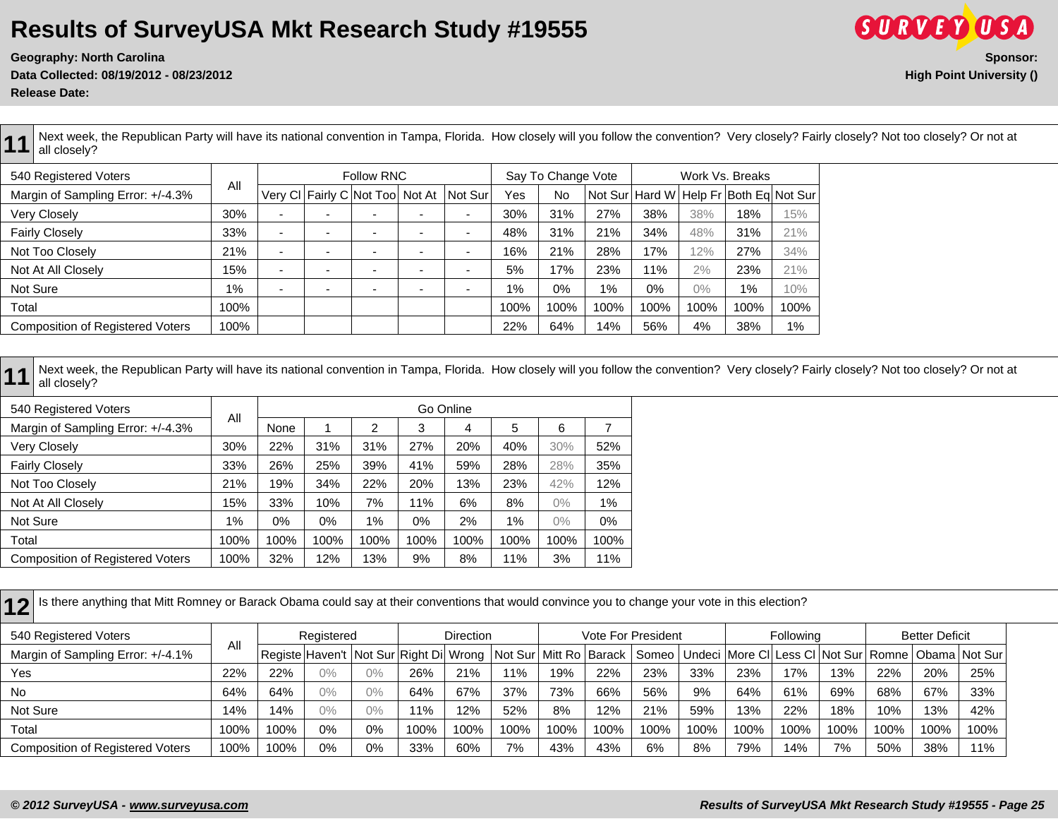**Data Collected: 08/19/2012 - 08/23/2012 High Point University () Release Date:** 



Next week, the Republican Party will have its national convention in Tampa, Florida. How closely will you follow the convention? Very closely? Fairly closely? Not too closely? Or not at all closely?

| 540 Registered Voters                   |       |                          |                          | <b>Follow RNC</b>               |                          |      | Say To Change Vote |      |      | Work Vs. Breaks |       |                                                |
|-----------------------------------------|-------|--------------------------|--------------------------|---------------------------------|--------------------------|------|--------------------|------|------|-----------------|-------|------------------------------------------------|
| Margin of Sampling Error: +/-4.3%       | All   |                          |                          | Very CI Fairly C Not Too Not At | Not Sur                  | Yes  | No                 |      |      |                 |       | Not Sur   Hard W   Help Fr   Both Eq   Not Sur |
| Very Closely                            | 30%   | $\overline{\phantom{a}}$ | $\overline{\phantom{a}}$ |                                 | $\overline{\phantom{0}}$ | 30%  | 31%                | 27%  | 38%  | 38%             | 18%   | 15%                                            |
| <b>Fairly Closely</b>                   | 33%   | $\blacksquare$           | $\overline{\phantom{0}}$ |                                 | $\overline{\phantom{0}}$ | 48%  | 31%                | 21%  | 34%  | 48%             | 31%   | 21%                                            |
| Not Too Closely                         | 21%   | -                        | $\overline{\phantom{0}}$ |                                 | -                        | 16%  | 21%                | 28%  | 17%  | 12%             | 27%   | 34%                                            |
| Not At All Closely                      | 15%   | -                        | $\overline{\phantom{0}}$ |                                 | $\overline{\phantom{0}}$ | 5%   | 17%                | 23%  | 11%  | 2%              | 23%   | 21%                                            |
| Not Sure                                | $1\%$ | -                        | $\overline{\phantom{0}}$ |                                 | $\overline{\phantom{0}}$ | 1%   | 0%                 | 1%   | 0%   | $0\%$           | $1\%$ | 10%                                            |
| Total                                   | 100%  |                          |                          |                                 |                          | 100% | 100%               | 100% | 100% | 100%            | 100%  | 100%                                           |
| <b>Composition of Registered Voters</b> | 100%  |                          |                          |                                 |                          | 22%  | 64%                | 14%  | 56%  | 4%              | 38%   | $1\%$                                          |

11 Next week, the Republican Party will have its national convention in Tampa, Florida. How closely will you follow the convention? Very closely? Fairly closely? Not too closely? Or not at all closely? Or not at all closely?

| 540 Registered Voters                   |       |       |      |      |      | Go Online |      |       |      |
|-----------------------------------------|-------|-------|------|------|------|-----------|------|-------|------|
| Margin of Sampling Error: +/-4.3%       | All   | None  |      | 2    | 3    | 4         | 5    | 6     |      |
| Very Closely                            | 30%   | 22%   | 31%  | 31%  | 27%  | 20%       | 40%  | 30%   | 52%  |
| <b>Fairly Closely</b>                   | 33%   | 26%   | 25%  | 39%  | 41%  | 59%       | 28%  | 28%   | 35%  |
| Not Too Closely                         | 21%   | 19%   | 34%  | 22%  | 20%  | 13%       | 23%  | 42%   | 12%  |
| Not At All Closely                      | 15%   | 33%   | 10%  | 7%   | 11%  | 6%        | 8%   | $0\%$ | 1%   |
| Not Sure                                | $1\%$ | $0\%$ | 0%   | 1%   | 0%   | 2%        | 1%   | $0\%$ | 0%   |
| Total                                   | 100%  | 100%  | 100% | 100% | 100% | 100%      | 100% | 100%  | 100% |
| <b>Composition of Registered Voters</b> | 100%  | 32%   | 12%  | 13%  | 9%   | 8%        | 11%  | 3%    | 11%  |

12 Is there anything that Mitt Romney or Barack Obama could say at their conventions that would convince you to change your vote in this election?

| 540 Registered Voters                   | All  |      | Registered                                                              |    |      | <b>Direction</b> |      |      |      | Vote For President                                                     |      |      | <b>Following</b> |      |      | <b>Better Deficit</b> |      |  |
|-----------------------------------------|------|------|-------------------------------------------------------------------------|----|------|------------------|------|------|------|------------------------------------------------------------------------|------|------|------------------|------|------|-----------------------|------|--|
| Margin of Sampling Error: +/-4.1%       |      |      | Registe Haven't   Not Sur Right Di   Wrong   Not Sur   Mitt Ro   Barack |    |      |                  |      |      |      | Someo   Undeci   More CI   Less CI   Not Sur   Romne   Obama   Not Sur |      |      |                  |      |      |                       |      |  |
| Yes                                     | 22%  | 22%  | $0\%$                                                                   | 0% | 26%  | 21%              | 11%  | 19%  | 22%  | 23%                                                                    | 33%  | 23%  | 17%              | 13%  | 22%  | 20%                   | 25%  |  |
| <b>No</b>                               | 64%  | 64%  | $0\%$                                                                   | 0% | 64%  | 67%              | 37%  | 73%  | 66%  | 56%                                                                    | 9%   | 64%  | 61%              | 69%  | 68%  | 67%                   | 33%  |  |
| Not Sure                                | 14%  | 14%  | $0\%$                                                                   | 0% | 11%  | 12%              | 52%  | 8%   | 12%  | 21%                                                                    | 59%  | 13%  | 22%              | 18%  | 10%  | 13%                   | 42%  |  |
| Total                                   | 100% | 100% | 0%                                                                      | 0% | 100% | 100%             | 100% | 100% | 100% | 100%                                                                   | 100% | 100% | 100%             | 100% | 100% | 100%                  | 100% |  |
| <b>Composition of Registered Voters</b> | 100% | 100% | 0%                                                                      | 0% | 33%  | 60%              | 7%   | 43%  | 43%  | 6%                                                                     | 8%   | 79%  | 14%              | 7%   | 50%  | 38%                   | 11%  |  |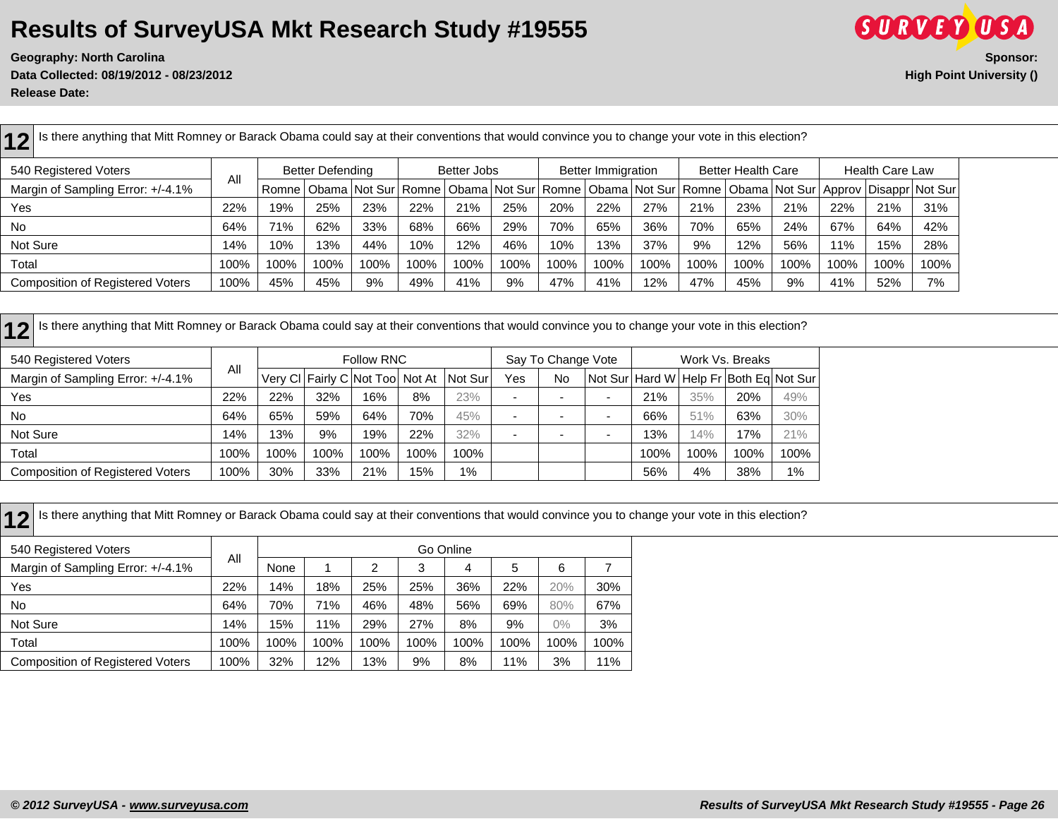**Geography: North Carolina Sponsor: Data Collected: 08/19/2012 - 08/23/2012 High Point University () Release Date:** 



12 Is there anything that Mitt Romney or Barack Obama could say at their conventions that would convince you to change your vote in this election? 540 Registered Voters All Better Defending | Better Jobs | Better Immigration | Better Health Care | Health Care Law Margin of Sampling Error: +/-4.1% | "Romne Obama Not Sur Romne Obama Not Sur Romne Obama Not Sur Romne Obama Not Sur Approv Disappr Not Sur Yes | 22% | 19% | 25% | 23% | 22% | 21% | 20% | 20% | 22% | 21% | 21% | 21% | 22% | 21% | 31% No 64% 71% 62% 33% 68% 66% 29% 70% 65% 36% 70% 65% 24% 67% 64% 42% Not Sure | 14% | 10% | 13% | 44% | 10% | 12% | 46% | 10% | 13% | 37% | 9% | 12% | 56% | 11% | 15% | 28% Total | 100% | 100% | 100% | 100% | 100% | 100% | 100% | 100% | 100% | 100% | 100% | 100% | 100% | 100% | 100% | 100% | 100% | 100% | 100% | 100% | 100% | 100% | 100% | 100% | 100% | 100% | Composition of Registered Voters | 100% | 45% | 45% | 9% | 49% | 41% | 9% | 47% | 47% | 47% | 47% | 9% | 41% | 52% | 7%

12 Is there anything that Mitt Romney or Barack Obama could say at their conventions that would convince you to change your vote in this election?

| 540 Registered Voters                   |      |      |      | Follow RNC                      |      |         |     | Say To Change Vote |                          | Work Vs. Breaks |      |                                                |      |  |
|-----------------------------------------|------|------|------|---------------------------------|------|---------|-----|--------------------|--------------------------|-----------------|------|------------------------------------------------|------|--|
| Margin of Sampling Error: +/-4.1%       | All  |      |      | Very CI Fairly C Not Too Not At |      | Not Sur | Yes | No                 |                          |                 |      | Not Sur   Hard W   Help Fr   Both Eq   Not Sur |      |  |
| Yes                                     | 22%  | 22%  | 32%  | 16%                             | 8%   | 23%     |     |                    | $\overline{\phantom{0}}$ | 21%             | 35%  | 20%                                            | 49%  |  |
| <b>No</b>                               | 64%  | 65%  | 59%  | 64%                             | 70%  | 45%     |     |                    | $\overline{\phantom{0}}$ | 66%             | 51%  | 63%                                            | 30%  |  |
| Not Sure                                | 4%   | 13%  | 9%   | 19%                             | 22%  | 32%     |     |                    | -                        | 13%             | 14%  | 17%                                            | 21%  |  |
| Total                                   | 100% | 100% | 100% | 100%                            | 100% | 100%    |     |                    |                          | 100%            | 100% | 100%                                           | 100% |  |
| <b>Composition of Registered Voters</b> | 100% | 30%  | 33%  | 21%                             | 15%  | 1%      |     |                    |                          | 56%             | 4%   | 38%                                            | 1%   |  |

| Is there anything that Mitt Romney or Barack Obama could say at their conventions that would convince you to change your vote in this election? |      |      |      |      |      |           |      |       |      |
|-------------------------------------------------------------------------------------------------------------------------------------------------|------|------|------|------|------|-----------|------|-------|------|
| 540 Registered Voters                                                                                                                           |      |      |      |      |      | Go Online |      |       |      |
| Margin of Sampling Error: +/-4.1%                                                                                                               | All  | None |      |      |      | 4         | 5    | 6     |      |
| Yes                                                                                                                                             | 22%  | 14%  | 18%  | 25%  | 25%  | 36%       | 22%  | 20%   | 30%  |
| No.                                                                                                                                             | 64%  | 70%  | 71%  | 46%  | 48%  | 56%       | 69%  | 80%   | 67%  |
| Not Sure                                                                                                                                        | 14%  | 15%  | 11%  | 29%  | 27%  | 8%        | 9%   | $0\%$ | 3%   |
| Total                                                                                                                                           | 100% | 100% | 100% | 100% | 100% | 100%      | 100% | 100%  | 100% |
| <b>Composition of Registered Voters</b>                                                                                                         | 100% | 32%  | 12%  | 13%  | 9%   | 8%        | 11%  | 3%    | 11%  |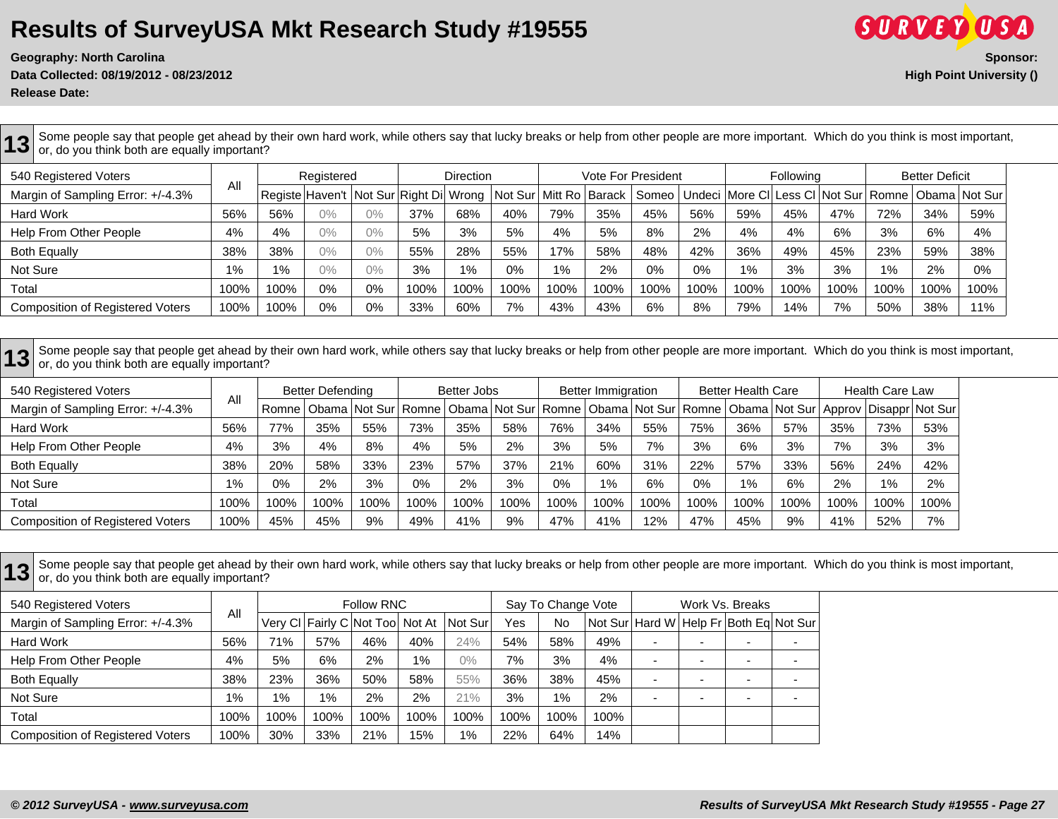**Release Date:** 

**13** Some people say that people get ahead by their own hard work, while others say that lucky breaks or help from other people are more important. Which do you think is most important,<br>**13** or do you think both are equall or, do you think both are equally important? 540 Registered Voters All Registered | Direction | Vote For President | Following | Better Deficit Margin of Sampling Error: +/-4.3% | "|Registe Haven't | Not Sur Right Di Wrong | Not Sur | Mitt Ro | Barack | Someo | Undeci | More Cl | Less Cl | Not Sur | Romne | Obama | Not Sur Hard Work | 56% | 56% | 0% | 0% | 37% | 68% | 40% | 79% | 35% | 45% | 59% | 59% | 47% | 72% | 34% | 59% Help From Other People 4% 4% 4% 0% 0% 5% 3% 3% 5% 4% 5% 8% 3% 4% 4% 4% 4% 6% 3% 6% 4% Both Equally | 38% | 38% | 0% | 0% | 55% | 28% | 57% | 58% | 48% | 42% | 36% | 49% | 45% | 23% | 59% | 38%

13 Some people say that people get ahead by their own hard work, while others say that lucky breaks or help from other people are more important. Which do you think is most important,<br>13 or, do you think both are equally i or, do you think both are equally important?

Not Sure | 1% | 1% | 0% | 0% | 3% | 1% | 0% | 1% | 0% | 0% | 1% | 3% | 3% | 1% | 2% | 0% Total | 100% | 100% | 0% | 0% | 100% |100% |100% |100% |100% |100% |100% |100% |100% |100% |100% |100% |100% |100% |100% |100% |100% |100% | Composition of Registered Voters | 100% | 100% | 0% | 0% | 33% | 60% | 7% | 43% | 43% | 6% | 8% | 79% | 14% | 7% | 50% | 38% | 11%

| 540 Registered Voters                   |       | <b>Better Defending</b> |      |      | Better Jobs |      |      |      | <b>Better Immigration</b> |      |      | <b>Better Health Care</b> |      | <b>Health Care Law</b> |       |                                                                                                                                    |
|-----------------------------------------|-------|-------------------------|------|------|-------------|------|------|------|---------------------------|------|------|---------------------------|------|------------------------|-------|------------------------------------------------------------------------------------------------------------------------------------|
| Margin of Sampling Error: +/-4.3%       | All   |                         |      |      |             |      |      |      |                           |      |      |                           |      |                        |       | Romne   Obama   Not Sur   Romne   Obama   Not Sur   Romne   Obama   Not Sur   Romne   Obama   Not Sur   Approv   Disappr   Not Sur |
| <b>Hard Work</b>                        | 56%   | 77%                     | 35%  | 55%  | 73%         | 35%  | 58%  | 76%  | 34%                       | 55%  | 75%  | 36%                       | 57%  | 35%                    | 73%   | 53%                                                                                                                                |
| Help From Other People                  | 4%    | 3%                      | 4%   | 8%   | 4%          | 5%   | 2%   | 3%   | 5%                        | 7%   | 3%   | 6%                        | 3%   | 7%                     | 3%    | 3%                                                                                                                                 |
| <b>Both Equally</b>                     | 38%   | 20%                     | 58%  | 33%  | 23%         | 57%  | 37%  | 21%  | 60%                       | 31%  | 22%  | 57%                       | 33%  | 56%                    | 24%   | 42%                                                                                                                                |
| Not Sure                                | $1\%$ | 0%                      | 2%   | 3%   | $0\%$       | 2%   | 3%   | 0%   | $1\%$                     | 6%   | 0%   | $1\%$                     | 6%   | 2%                     | $1\%$ | 2%                                                                                                                                 |
| Total                                   | 100%  | 100%                    | 100% | 100% | 100%        | 100% | 100% | 100% | 100%                      | 100% | 100% | 100%                      | 100% | 100%                   | 100%  | 100%                                                                                                                               |
| <b>Composition of Registered Voters</b> | 100%  | 45%                     | 45%  | 9%   | 49%         | 41%  | 9%   | 47%  | 41%                       | 12%  | 47%  | 45%                       | 9%   | 41%                    | 52%   | 7%                                                                                                                                 |

**13** Some people say that people get ahead by their own hard work, while others say that lucky breaks or help from other people are more important. Which do you think is most important, <br>13 or do you think both are equally or, do you think both are equally important?

| 540 Registered Voters                   |       | <b>Follow RNC</b><br>Say To Change Vote |      |                                 |      |         |      |       |      |                          |  | Work Vs. Breaks                            |   |  |
|-----------------------------------------|-------|-----------------------------------------|------|---------------------------------|------|---------|------|-------|------|--------------------------|--|--------------------------------------------|---|--|
| Margin of Sampling Error: +/-4.3%       | All   |                                         |      | Very CI Fairly C Not Too Not At |      | Not Sur | Yes  | No    |      |                          |  | Not Sur   Hard W   Help Fr Both Eq Not Sur |   |  |
| <b>Hard Work</b>                        | 56%   | 71%                                     | 57%  | 46%                             | 40%  | 24%     | 54%  | 58%   | 49%  | -                        |  |                                            |   |  |
| Help From Other People                  | 4%    | 5%                                      | 6%   | 2%                              | 1%   | $0\%$   | 7%   | 3%    | 4%   | $\overline{\phantom{0}}$ |  |                                            |   |  |
| <b>Both Equally</b>                     | 38%   | 23%                                     | 36%  | 50%                             | 58%  | 55%     | 36%  | 38%   | 45%  | -                        |  |                                            |   |  |
| Not Sure                                | $1\%$ | 1%                                      | 1%   | 2%                              | 2%   | 21%     | 3%   | $1\%$ | 2%   | -                        |  |                                            | - |  |
| Total                                   | 100%  | 100%                                    | 100% | 100%                            | 100% | 100%    | 100% | 100%  | 100% |                          |  |                                            |   |  |
| <b>Composition of Registered Voters</b> | 100%  | 30%                                     | 33%  | 21%                             | 15%  | 1%      | 22%  | 64%   | 14%  |                          |  |                                            |   |  |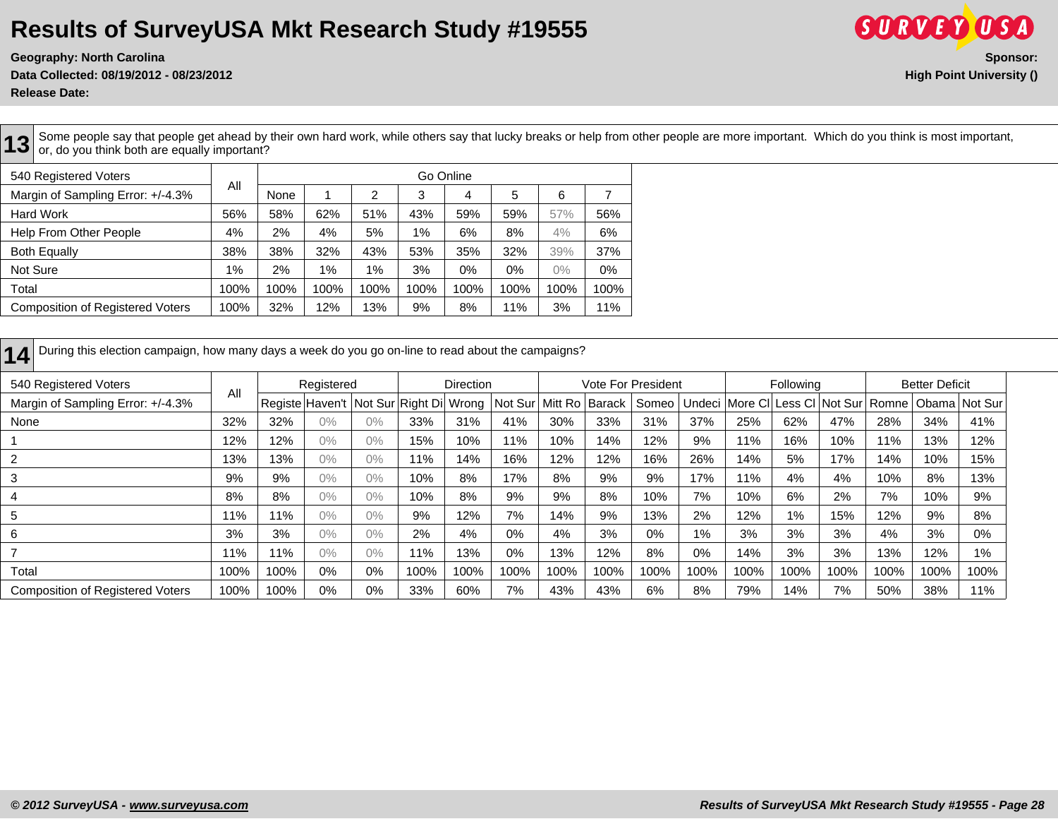**Release Date:** 

**SURVEY USA Geography: North Carolina Sponsor: Data Collected: 08/19/2012 - 08/23/2012 High Point University ()**

**13** Some people say that people get ahead by their own hard work, while others say that lucky breaks or help from other people are more important. Which do you think is most important, inportant, or, do you think both are equally important? 540 Registered Voters All Go Online Margin of Sampling Error: +/-4.3% None 1 2 3 4 5 6 7 Hard Work 56% 58% 62% 51% 43% 59% 59% 57% 56% Help From Other People 19% 2% 4% 5% 1% 6% 8% 4% 6% Both Equally 28% 38% 38% 38% 32% 32% 33% 35% 32% 39% 37% Not Sure | 1% | 2% | 1% | 1% | 3% | 0% | 0% | 0% | 0%

| .                                       | .    | .    | .    | .    | .    | .    | .    | - - - | .    |  |
|-----------------------------------------|------|------|------|------|------|------|------|-------|------|--|
| Total                                   | 100% | 100% | 100% | 100% | 100% | 100% | 100% | 100%  | 100% |  |
| <b>Composition of Registered Voters</b> | 100% | 32%  | 12%  | 13%  | 9%   | 8%   | 11%  | 3%    | 11%  |  |

| During this election campaign, how many days a week do you go on-line to read about the campaigns?<br> 14 |      |                   |                                                        |       |      |           |       |                  |                           |       |      |      |           |      |      |                                                      |       |  |
|-----------------------------------------------------------------------------------------------------------|------|-------------------|--------------------------------------------------------|-------|------|-----------|-------|------------------|---------------------------|-------|------|------|-----------|------|------|------------------------------------------------------|-------|--|
| 540 Registered Voters                                                                                     |      | Registered<br>All |                                                        |       |      | Direction |       |                  | <b>Vote For President</b> |       |      |      | Following |      |      | <b>Better Deficit</b>                                |       |  |
| Margin of Sampling Error: +/-4.3%                                                                         |      |                   | Registe Haven't   Not Sur   Right Di   Wrong   Not Sur |       |      |           |       | Mitt Ro   Barack |                           | Someo |      |      |           |      |      | Undeci More CI Less CI Not Sur Romne   Obama Not Sur |       |  |
| None                                                                                                      | 32%  | 32%               | $0\%$                                                  | 0%    | 33%  | 31%       | 41%   | 30%              | 33%                       | 31%   | 37%  | 25%  | 62%       | 47%  | 28%  | 34%                                                  | 41%   |  |
|                                                                                                           | 12%  | 12%               | $0\%$                                                  | 0%    | 15%  | 10%       | 11%   | 10%              | 14%                       | 12%   | 9%   | 11%  | 16%       | 10%  | 11%  | 13%                                                  | 12%   |  |
| 2                                                                                                         | 13%  | 13%               | $0\%$                                                  | 0%    | 11%  | 14%       | 16%   | 12%              | 12%                       | 16%   | 26%  | 14%  | 5%        | 17%  | 14%  | 10%                                                  | 15%   |  |
| 3                                                                                                         | 9%   | 9%                | $0\%$                                                  | 0%    | 10%  | 8%        | 17%   | 8%               | 9%                        | 9%    | 17%  | 11%  | 4%        | 4%   | 10%  | 8%                                                   | 13%   |  |
| 4                                                                                                         | 8%   | 8%                | $0\%$                                                  | 0%    | 10%  | 8%        | 9%    | 9%               | 8%                        | 10%   | 7%   | 10%  | 6%        | 2%   | 7%   | 10%                                                  | 9%    |  |
| 5                                                                                                         | 11%  | 11%               | $0\%$                                                  | 0%    | 9%   | 12%       | 7%    | 14%              | 9%                        | 13%   | 2%   | 12%  | 1%        | 15%  | 12%  | 9%                                                   | 8%    |  |
| 6                                                                                                         | 3%   | 3%                | $0\%$                                                  | $0\%$ | 2%   | 4%        | 0%    | 4%               | 3%                        | 0%    | 1%   | 3%   | 3%        | 3%   | 4%   | 3%                                                   | 0%    |  |
|                                                                                                           | 11%  | 11%               | $0\%$                                                  | 0%    | 11%  | 13%       | $0\%$ | 13%              | 12%                       | 8%    | 0%   | 14%  | 3%        | 3%   | 13%  | 12%                                                  | $1\%$ |  |
| Total                                                                                                     | 100% | 100%              | 0%                                                     | 0%    | 100% | 100%      | 100%  | 100%             | 100%                      | 100%  | 100% | 100% | 100%      | 100% | 100% | 100%                                                 | 100%  |  |
| <b>Composition of Registered Voters</b>                                                                   | 100% | 100%              | 0%                                                     | 0%    | 33%  | 60%       | 7%    | 43%              | 43%                       | 6%    | 8%   | 79%  | 14%       | 7%   | 50%  | 38%                                                  | 11%   |  |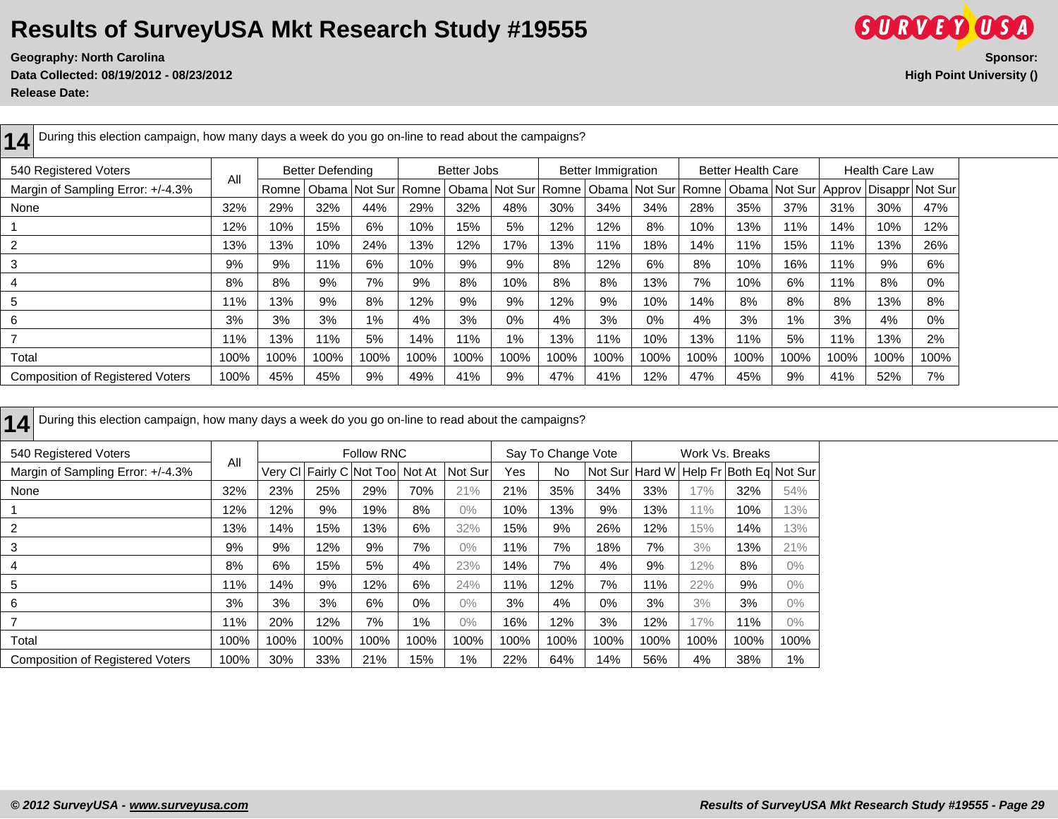**14** During this election campaign, how many days a week do you go on-line to read about the campaigns?

**Data Collected: 08/19/2012 - 08/23/2012 High Point University ()**



**Release Date:** 

| During this election campaign, how many days a week do you go on-line to read about the campaigns? |                                                                                                                                   |       |      |               |         |      |                                                   |      |      |       |      |      |                          |      |                 |      |
|----------------------------------------------------------------------------------------------------|-----------------------------------------------------------------------------------------------------------------------------------|-------|------|---------------|---------|------|---------------------------------------------------|------|------|-------|------|------|--------------------------|------|-----------------|------|
| 540 Registered Voters                                                                              | <b>Health Care Law</b><br><b>Better Defending</b><br>Better Jobs<br><b>Better Immigration</b><br><b>Better Health Care</b><br>All |       |      |               |         |      |                                                   |      |      |       |      |      |                          |      |                 |      |
| Margin of Sampling Error: +/-4.3%                                                                  |                                                                                                                                   | Romne |      | Obama Not Sur | l Romne |      | Obama   Not Sur   Romne   Obama   Not Sur   Romne |      |      |       |      |      | Obama   Not Sur   Approv |      | Disappr Not Sur |      |
| None                                                                                               | 32%                                                                                                                               | 29%   | 32%  | 44%           | 29%     | 32%  | 48%                                               | 30%  | 34%  | 34%   | 28%  | 35%  | 37%                      | 31%  | 30%             | 47%  |
|                                                                                                    | 12%                                                                                                                               | 10%   | 15%  | 6%            | 10%     | 15%  | 5%                                                | 12%  | 12%  | 8%    | 10%  | 13%  | 11%                      | 14%  | 10%             | 12%  |
| $\overline{2}$                                                                                     | 13%                                                                                                                               | 13%   | 10%  | 24%           | 13%     | 12%  | 17%                                               | 13%  | 11%  | 18%   | 14%  | 11%  | 15%                      | 11%  | 13%             | 26%  |
| -3                                                                                                 | 9%                                                                                                                                | 9%    | 11%  | 6%            | 10%     | 9%   | 9%                                                | 8%   | 12%  | 6%    | 8%   | 10%  | 16%                      | 11%  | 9%              | 6%   |
| -4                                                                                                 | 8%                                                                                                                                | 8%    | 9%   | 7%            | 9%      | 8%   | 10%                                               | 8%   | 8%   | 13%   | 7%   | 10%  | 6%                       | 11%  | 8%              | 0%   |
| 5                                                                                                  | 11%                                                                                                                               | 13%   | 9%   | 8%            | 12%     | 9%   | 9%                                                | 12%  | 9%   | 10%   | 14%  | 8%   | 8%                       | 8%   | 13%             | 8%   |
| 6                                                                                                  | 3%                                                                                                                                | 3%    | 3%   | $1\%$         | 4%      | 3%   | $0\%$                                             | 4%   | 3%   | $0\%$ | 4%   | 3%   | $1\%$                    | 3%   | 4%              | 0%   |
|                                                                                                    | 11%                                                                                                                               | 13%   | 11%  | 5%            | 14%     | 11%  | $1\%$                                             | 13%  | 11%  | 10%   | 13%  | 11%  | 5%                       | 11%  | 13%             | 2%   |
| Total                                                                                              | 100%                                                                                                                              | 100%  | 100% | 100%          | 100%    | 100% | 100%                                              | 100% | 100% | 100%  | 100% | 100% | 100%                     | 100% | 100%            | 100% |
| <b>Composition of Registered Voters</b>                                                            | 100%                                                                                                                              | 45%   | 45%  | 9%            | 49%     | 41%  | 9%                                                | 47%  | 41%  | 12%   | 47%  | 45%  | 9%                       | 41%  | 52%             | 7%   |

| 540 Registered Voters                   |      |      |      | <b>Follow RNC</b>               |       |         |      | Say To Change Vote |      |      |      | Work Vs. Breaks                                |       |
|-----------------------------------------|------|------|------|---------------------------------|-------|---------|------|--------------------|------|------|------|------------------------------------------------|-------|
| Margin of Sampling Error: +/-4.3%       | All  |      |      | Very CI Fairly C Not Too Not At |       | Not Sur | Yes  | No                 |      |      |      | Not Sur   Hard W   Help Fr   Both Eq   Not Sur |       |
| None                                    | 32%  | 23%  | 25%  | 29%                             | 70%   | 21%     | 21%  | 35%                | 34%  | 33%  | 17%  | 32%                                            | 54%   |
|                                         | 12%  | 12%  | 9%   | 19%                             | 8%    | $0\%$   | 10%  | 13%                | 9%   | 13%  | 11%  | 10%                                            | 13%   |
| 2                                       | 13%  | 14%  | 15%  | 13%                             | 6%    | 32%     | 15%  | 9%                 | 26%  | 12%  | 15%  | 14%                                            | 13%   |
| 3                                       | 9%   | 9%   | 12%  | 9%                              | 7%    | $0\%$   | 11%  | 7%                 | 18%  | 7%   | 3%   | 13%                                            | 21%   |
| 4                                       | 8%   | 6%   | 15%  | 5%                              | 4%    | 23%     | 14%  | 7%                 | 4%   | 9%   | 12%  | 8%                                             | $0\%$ |
| 5                                       | 11%  | 14%  | 9%   | 12%                             | 6%    | 24%     | 11%  | 12%                | 7%   | 11%  | 22%  | 9%                                             | $0\%$ |
| 6                                       | 3%   | 3%   | 3%   | 6%                              | 0%    | $0\%$   | 3%   | 4%                 | 0%   | 3%   | 3%   | 3%                                             | $0\%$ |
|                                         | 11%  | 20%  | 12%  | 7%                              | $1\%$ | $0\%$   | 16%  | 12%                | 3%   | 12%  | 17%  | 11%                                            | $0\%$ |
| Total                                   | 100% | 100% | 100% | 100%                            | 100%  | 100%    | 100% | 100%               | 100% | 100% | 100% | 100%                                           | 100%  |
| <b>Composition of Registered Voters</b> | 100% | 30%  | 33%  | 21%                             | 15%   | $1\%$   | 22%  | 64%                | 14%  | 56%  | 4%   | 38%                                            | $1\%$ |